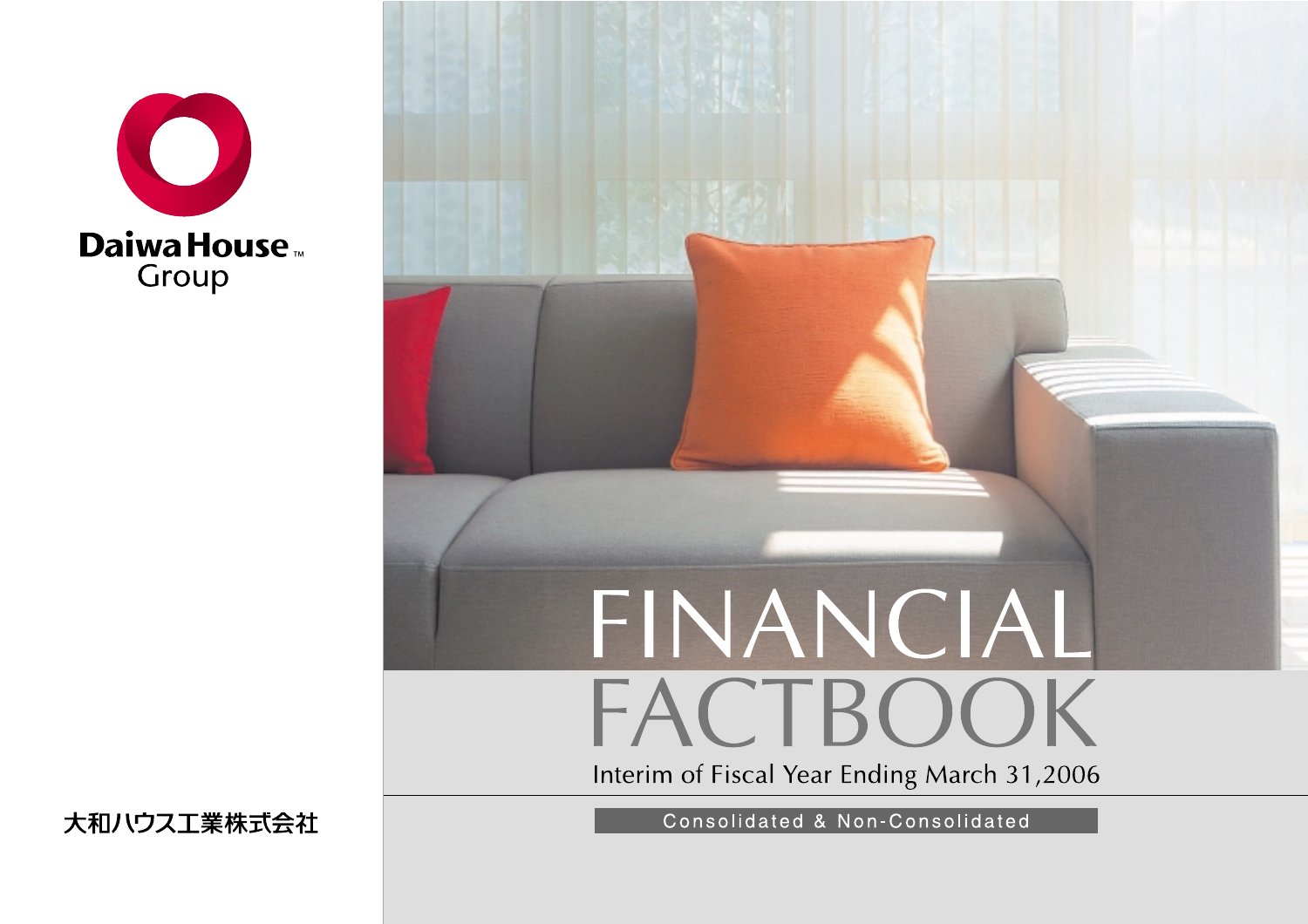



大和ハウス工業株式会社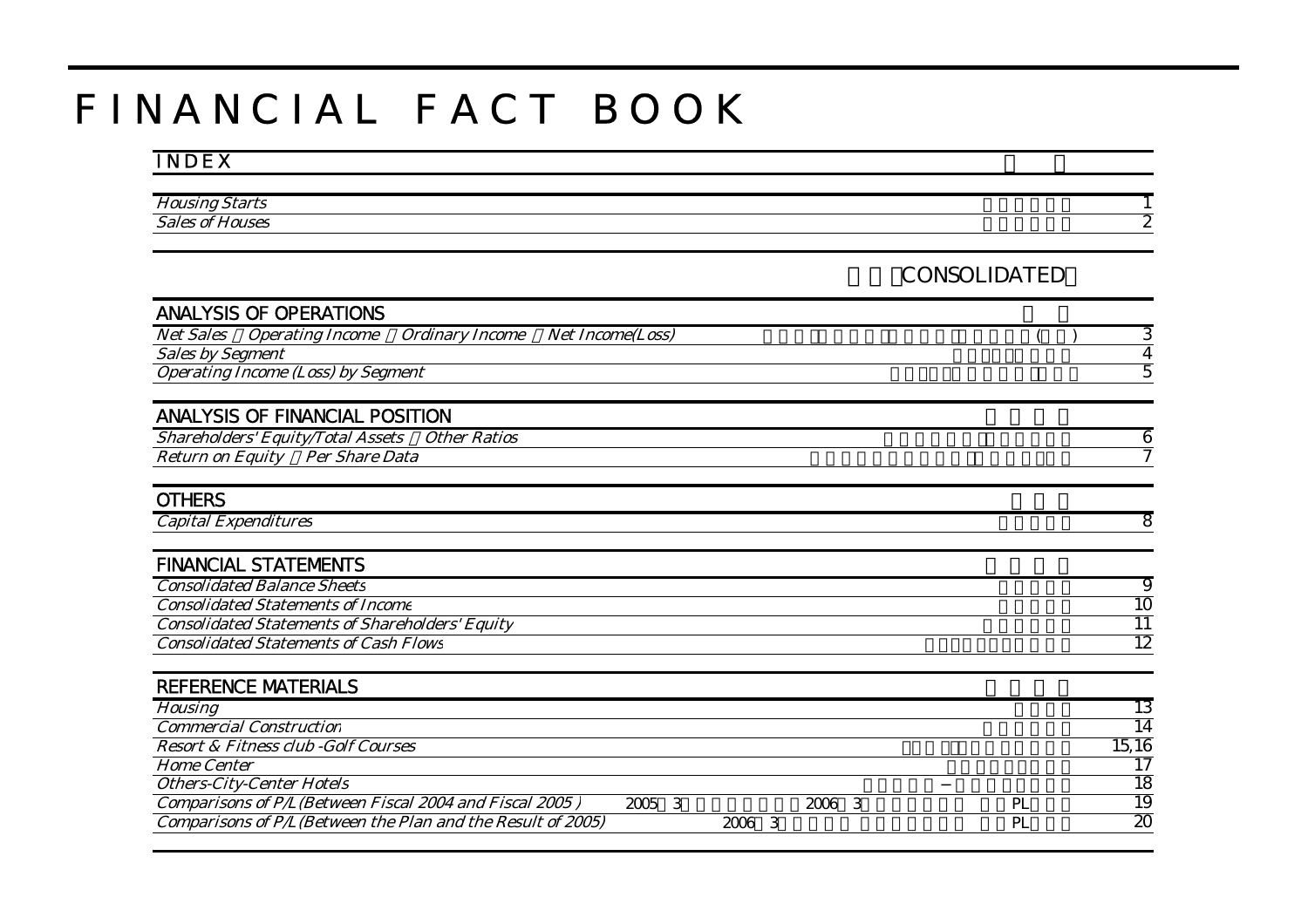# F I N A N C I A L F A C T B O O K

# I N D E X

| <b>Housil</b><br>$+$ $ +$ $-$<br>,,,<br>.                   |    |
|-------------------------------------------------------------|----|
| $\sim$ $\blacksquare$<br><b>Sales</b><br>ouses<br>Ωl<br>701 | -- |
|                                                             |    |

# 連結(CONSOLIDATED)

| <b>ANALYSIS OF OPERATIONS</b>                                                |                         |        |    |                 |
|------------------------------------------------------------------------------|-------------------------|--------|----|-----------------|
| <b>Net Sales</b><br><i><b>Operating Income</b></i><br><b>Ordinary Income</b> | <b>Net Income(Loss)</b> |        |    | З               |
| <b>Sales by Segment</b>                                                      |                         |        |    | 4               |
| <b>Operating Income (Loss) by Segment</b>                                    |                         |        |    | 5               |
|                                                                              |                         |        |    |                 |
| <b>ANALYSIS OF FINANCIAL POSITION</b>                                        |                         |        |    |                 |
| <b>Shareholders' Equity/Total Assets</b><br><b>Other Ratios</b>              |                         |        |    | 6               |
| Per Share Data<br><b>Return on Equity</b>                                    |                         |        |    | 7               |
|                                                                              |                         |        |    |                 |
| <b>OTHERS</b>                                                                |                         |        |    |                 |
| <b>Capital Expenditures</b>                                                  |                         |        |    | 8               |
|                                                                              |                         |        |    |                 |
| <b>FINANCIAL STATEMENTS</b>                                                  |                         |        |    |                 |
| <b>Consolidated Balance Sheets</b>                                           |                         |        |    | 9               |
| <b>Consolidated Statements of Income</b>                                     |                         |        |    | $\overline{10}$ |
| <b>Consolidated Statements of Shareholders' Equity</b>                       |                         |        |    | $\overline{11}$ |
| <b>Consolidated Statements of Cash Flows</b>                                 |                         |        |    | 12              |
|                                                                              |                         |        |    |                 |
| <b>REFERENCE MATERIALS</b>                                                   |                         |        |    |                 |
| <b>Housing</b>                                                               |                         |        |    | 13              |
| <b>Commercial Construction</b>                                               |                         |        |    | 14              |
| <b>Resort &amp; Fitness club - Golf Courses</b>                              |                         |        |    | 15,16           |
| <b>Home Center</b>                                                           |                         |        |    | 17              |
| <b>Others-City-Center Hotels</b>                                             |                         |        |    | 18              |
| Comparisons of P/L(Between Fiscal 2004 and Fiscal 2005)                      | 3<br>2005               | 2006 3 | PL | 19              |
| Comparisons of P/L(Between the Plan and the Result of 2005)                  | 2006 3                  |        | PL | $\overline{20}$ |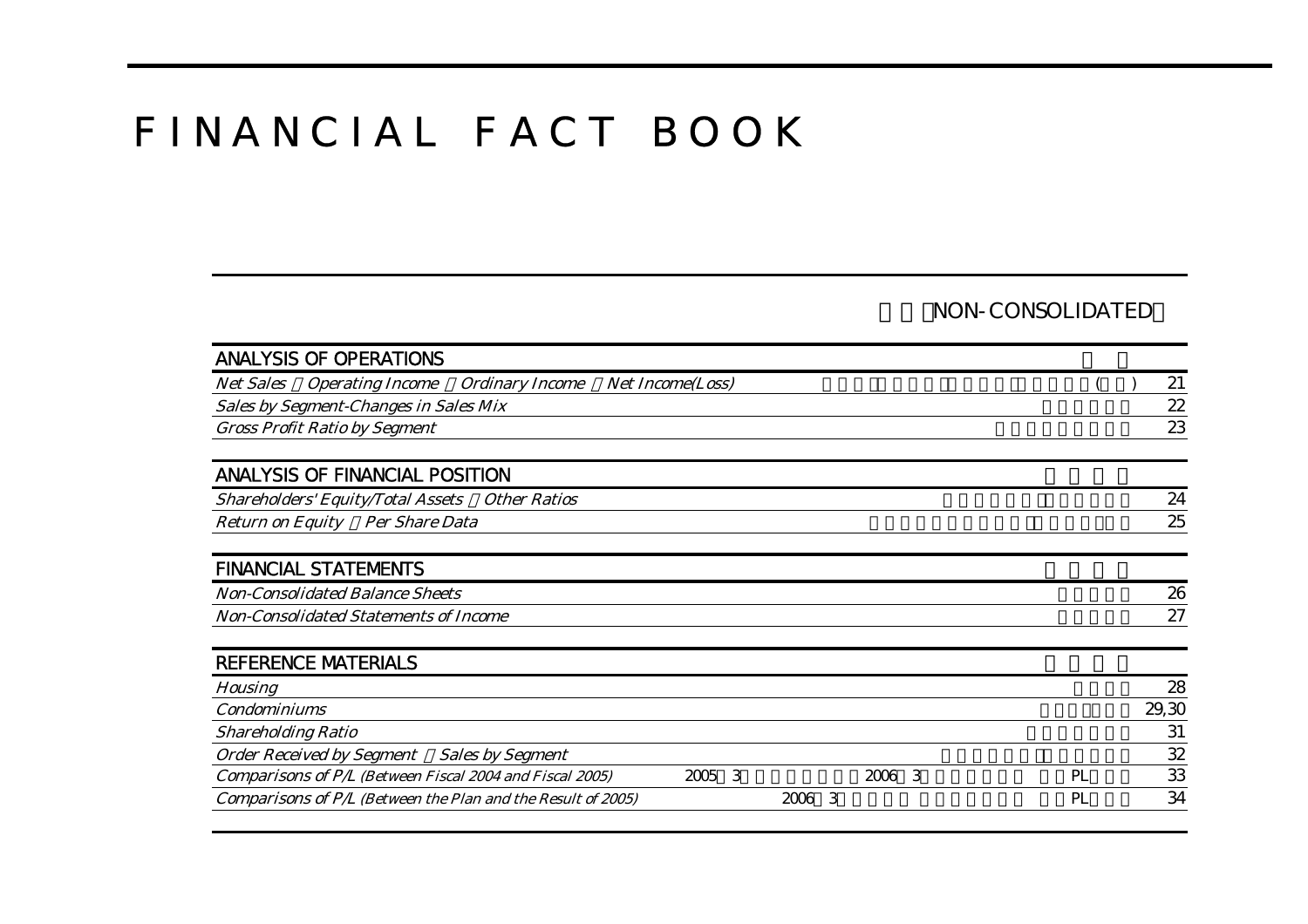# F I N A N C I A L F A C T B O O K

### NON-CONSOLIDATED

| <b>ANALYSIS OF OPERATIONS</b>                                         |                         |        |    |       |
|-----------------------------------------------------------------------|-------------------------|--------|----|-------|
| <b>Operating Income</b><br><b>Ordinary Income</b><br><b>Net Sales</b> | <b>Net Income(Loss)</b> |        |    | 21    |
| Sales by Segment-Changes in Sales Mix                                 |                         |        |    | 22    |
| <b>Gross Profit Ratio by Segment</b>                                  |                         |        |    | 23    |
| <b>ANALYSIS OF FINANCIAL POSITION</b>                                 |                         |        |    |       |
| <b>Shareholders' Equity/Total Assets</b><br><b>Other Ratios</b>       |                         |        |    | 24    |
| <b>Per Share Data</b><br><b>Return on Equity</b>                      |                         |        |    | 25    |
| <b>FINANCIAL STATEMENTS</b>                                           |                         |        |    |       |
| <b>Non-Consolidated Balance Sheets</b>                                |                         |        |    | 26    |
| <b>Non-Consolidated Statements of Income</b>                          |                         |        |    | 27    |
| <b>REFERENCE MATERIALS</b>                                            |                         |        |    |       |
| <b>Housing</b>                                                        |                         |        |    | 28    |
| <b>Condominiums</b>                                                   |                         |        |    | 29,30 |
| <b>Shareholding Ratio</b>                                             |                         |        |    | 31    |
| <b>Order Received by Segment</b><br><b>Sales by Segment</b>           |                         |        |    | 32    |
| Comparisons of P/L (Between Fiscal 2004 and Fiscal 2005)              | 2005 3                  | 2006 3 | PL | 33    |
| Comparisons of P/L (Between the Plan and the Result of 2005)          |                         | 2006 3 | PL | 34    |
|                                                                       |                         |        |    |       |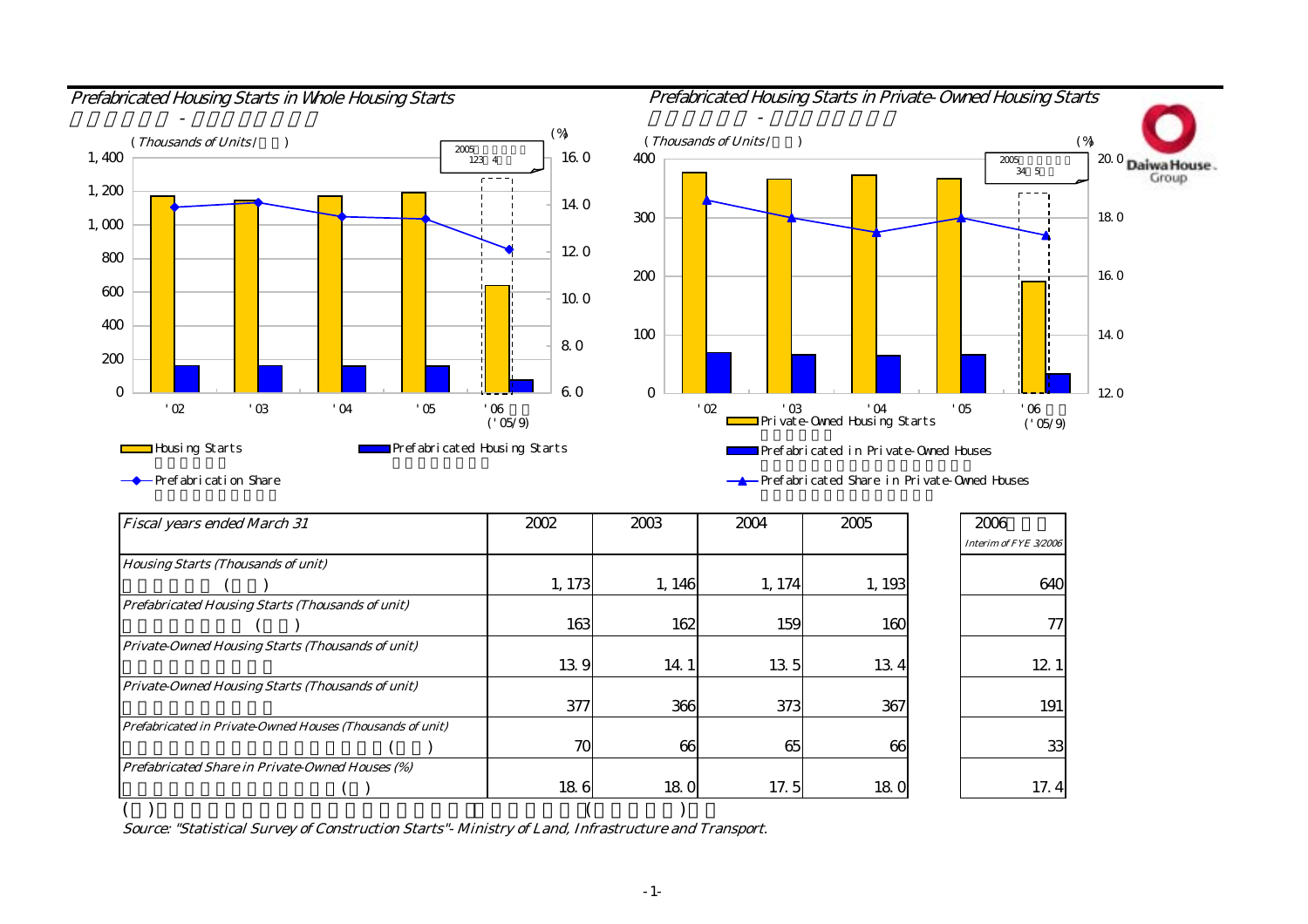



Prefabrication Share

Prefabricated Share in Private-Owned Houses

| <b>Fiscal years ended March 31</b>                        | 2002   | 2003   | 2004   | 2005   | 2006                  |
|-----------------------------------------------------------|--------|--------|--------|--------|-----------------------|
|                                                           |        |        |        |        | Interim of FYE 3/2006 |
| <b>Housing Starts (Thousands of unit)</b>                 |        |        |        |        |                       |
|                                                           | 1, 173 | 1, 146 | 1, 174 | 1, 193 | 640                   |
| <b>Prefabricated Housing Starts (Thousands of unit)</b>   |        |        |        |        |                       |
|                                                           | 163    | 162    | 159    | 160    | 77                    |
| Private-Owned Housing Starts (Thousands of unit)          |        |        |        |        |                       |
|                                                           | 139    | 14.1   | 135    | 134    | 12.1                  |
| Private-Owned Housing Starts (Thousands of unit)          |        |        |        |        |                       |
|                                                           | 377    | 366    | 373    | 367    | 191                   |
| Prefabricated in Private-Owned Houses (Thousands of unit) |        |        |        |        |                       |
|                                                           | 70     | 66     | 65     | 66     | 33                    |
| Prefabricated Share in Private-Owned Houses (%)           |        |        |        |        |                       |
|                                                           | 186    | 180    | 17.5   | 180    | 17.4                  |
|                                                           |        |        |        |        |                       |

Source: "Statistical Survey of Construction Starts"- Ministry of Land, Infrastructure and Transport.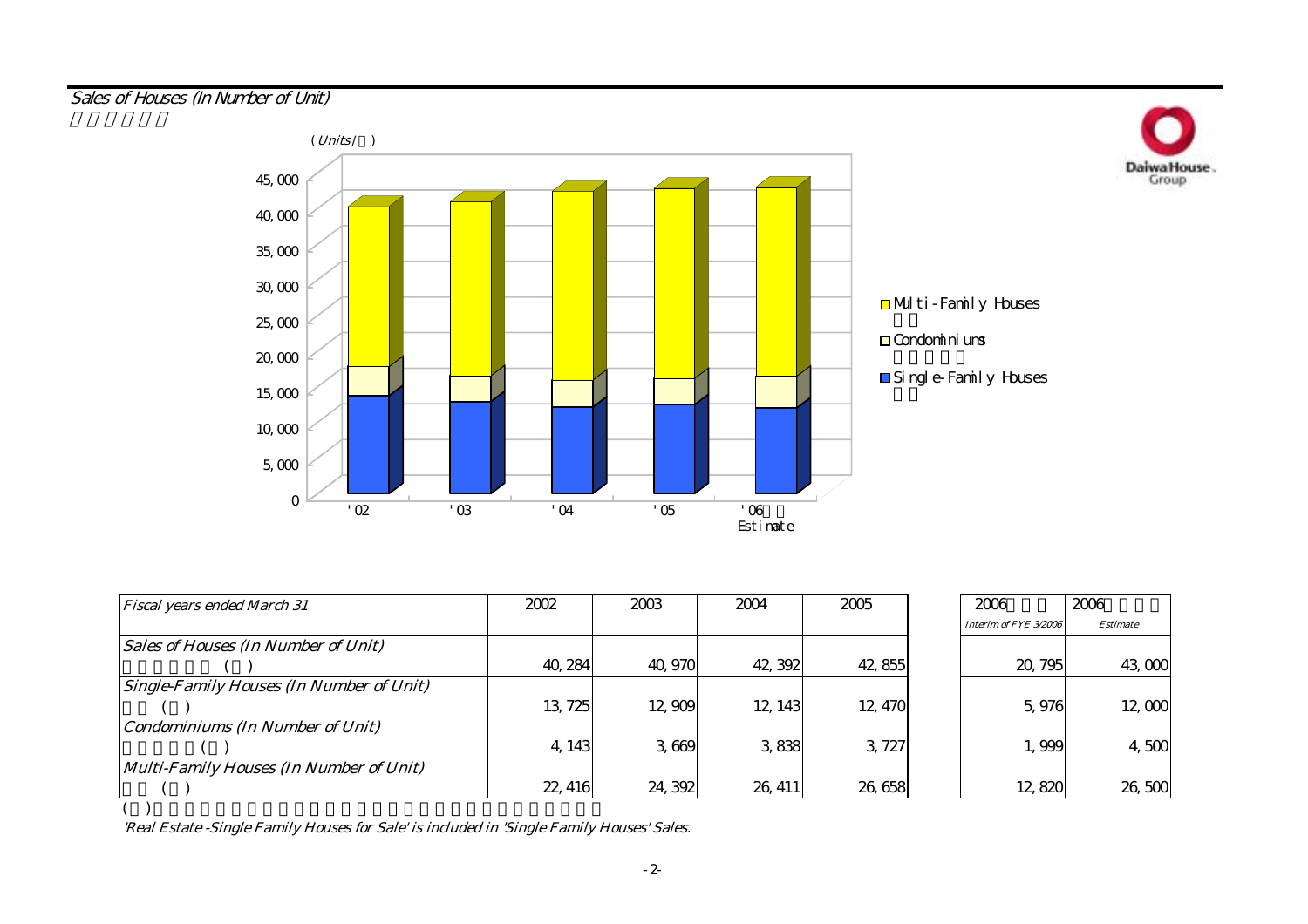Sales of Houses (In Number of Unit)



| <b>Fiscal years ended March 31</b>              | 2002    | 2003    | 2004    | 2005    | 2006                  |
|-------------------------------------------------|---------|---------|---------|---------|-----------------------|
|                                                 |         |         |         |         | Interim of FYE 3/2006 |
| <b>Sales of Houses (In Number of Unit)</b>      |         |         |         |         |                       |
|                                                 | 40, 284 | 40,970  | 42, 392 | 42,855  | 20, 795               |
| <b>Single-Family Houses (In Number of Unit)</b> |         |         |         |         |                       |
|                                                 | 13, 725 | 12,909  | 12, 143 | 12, 470 | 5,976                 |
| <b>Condominiums (In Number of Unit)</b>         |         |         |         |         |                       |
|                                                 | 4, 143  | 3,669   | 3,838   | 3, 727  | 1,999                 |
| Multi-Family Houses (In Number of Unit)         |         |         |         |         |                       |
|                                                 | 22, 416 | 24, 392 | 26, 411 | 26,658  | 12,820                |

| 2006                  | 2006            |
|-----------------------|-----------------|
| Interim of FYE 3/2006 | <b>Estimate</b> |
| 20, 795               | 43,000          |
| 5,976                 | 12,000          |
| 1,999                 | 4,500           |
| 12.82                 | 26, 50C         |

Daiwa House.

( )

'Real Estate -Single Family Houses for Sale' is included in 'Single Family Houses' Sales.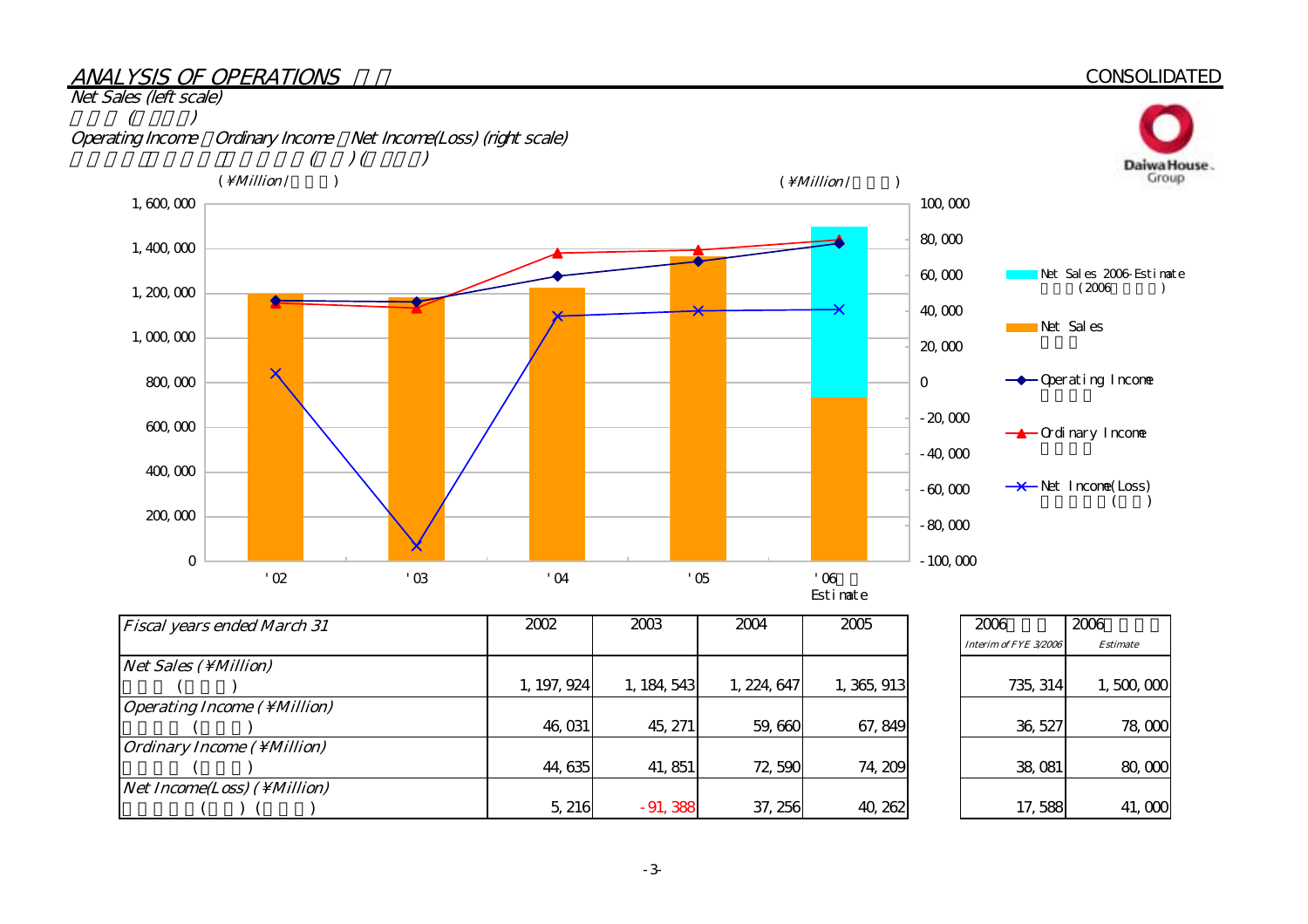#### ANALYSIS OF OPERATIONS

#### **CONSOLIDATED**



| <b>Fiscal years ended March 31</b>                 | 2002        | 2003        | 2004        | 2005        | 2006                  |
|----------------------------------------------------|-------------|-------------|-------------|-------------|-----------------------|
|                                                    |             |             |             |             | Interim of FYE 3/2006 |
| $Net Sales ( \Million)$                            |             |             |             |             |                       |
|                                                    | 1, 197, 924 | 1, 184, 543 | 1, 224, 647 | 1, 365, 913 | 735, 314              |
| Operating Income $(\ \M $ illion)                  |             |             |             |             |                       |
|                                                    | 46,031      | 45, 271     | 59,660      | 67, 849     | 36, 527               |
| $\int$ <i>Ordinary Income</i> ( \ <i>Million</i> ) |             |             |             |             |                       |
|                                                    | 44,635      | 41, 851     | 72,590      | 74, 209     | 38,081                |
| $Net Income (Loss)$ ( \ Million)                   |             |             |             |             |                       |
|                                                    | 5, 216      | $-91,388$   | 37, 256     | 40, 262     | 17,588                |

| 2006                  | 2006            |
|-----------------------|-----------------|
| Interim of FYF 3/2006 | <b>Estimate</b> |
| 735, 314              | 1,500,000       |
| 36, 527               | 78,000          |
| 38,081                | 80,000          |
| 17,588                | 41,000          |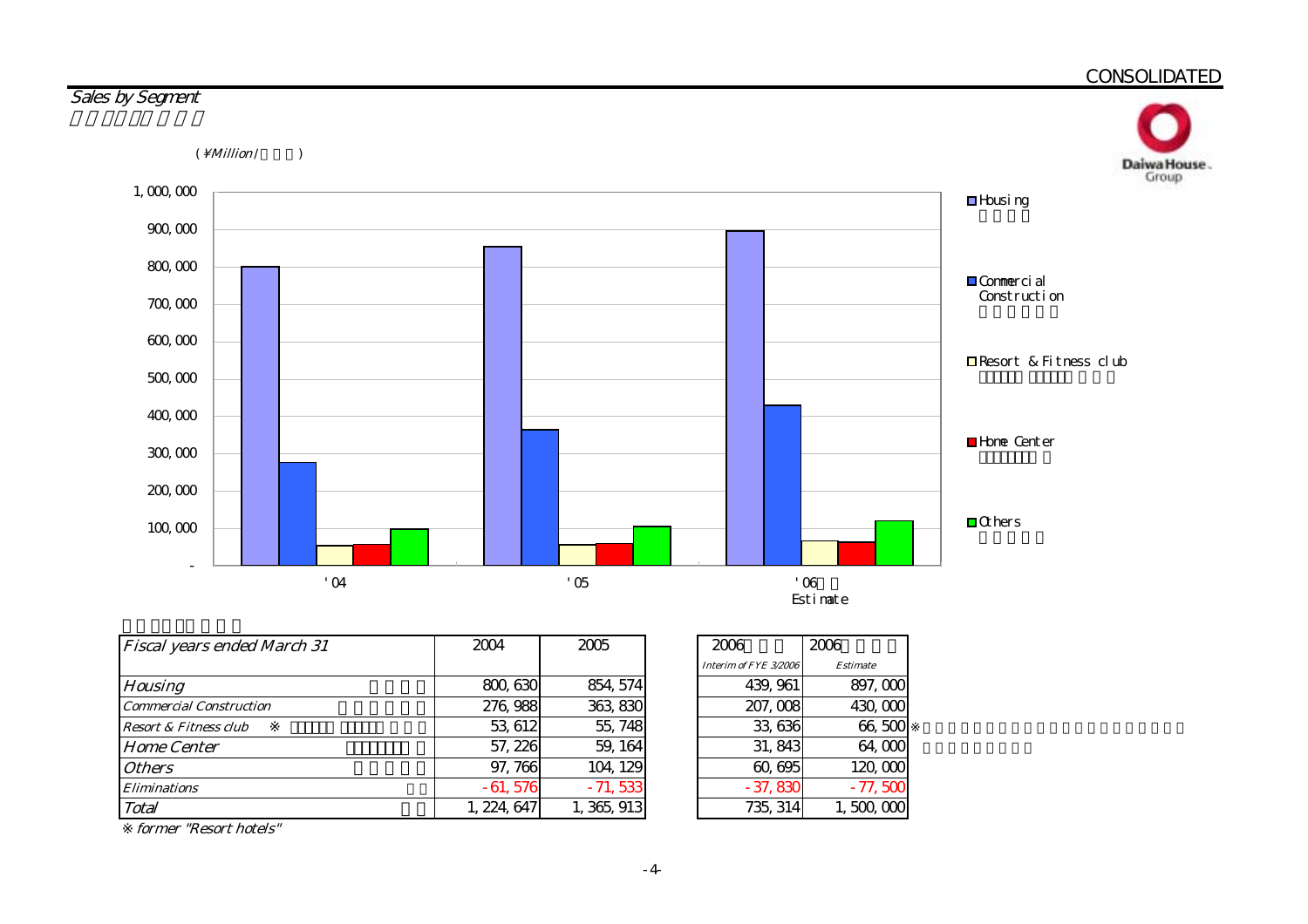

| <b>Fiscal years ended March 31</b> | 2004        | 2005        |
|------------------------------------|-------------|-------------|
|                                    |             |             |
| <b>Housing</b>                     | 800, 630    | 854, 574    |
| <b>Commercial Construction</b>     | 276, 988    | 363,830     |
| <b>Resort &amp; Fitness club</b>   | 53, 612     | 55, 748     |
| <b>Home Center</b>                 | 57, 226     | 59, 164     |
| <b>Others</b>                      | 97,766      | 104, 129    |
| <i><b>Eliminations</b></i>         | $-61,576$   | $-71,533$   |
| Total                              | 1, 224, 647 | 1, 365, 913 |

| 2006                  | 2006            |
|-----------------------|-----------------|
| Interim of FYE 3/2006 | <b>Estimate</b> |
| 439, 961              | 897,000         |
| 207,008               | 430,000         |
| 33,636                | 66,500          |
| 31,843                | 64,000          |
| 60,695                | 120,000         |
| $-37,830$             | $-77,500$       |
| 735, 314              | 1. 500. 000     |

former "Resort hotels"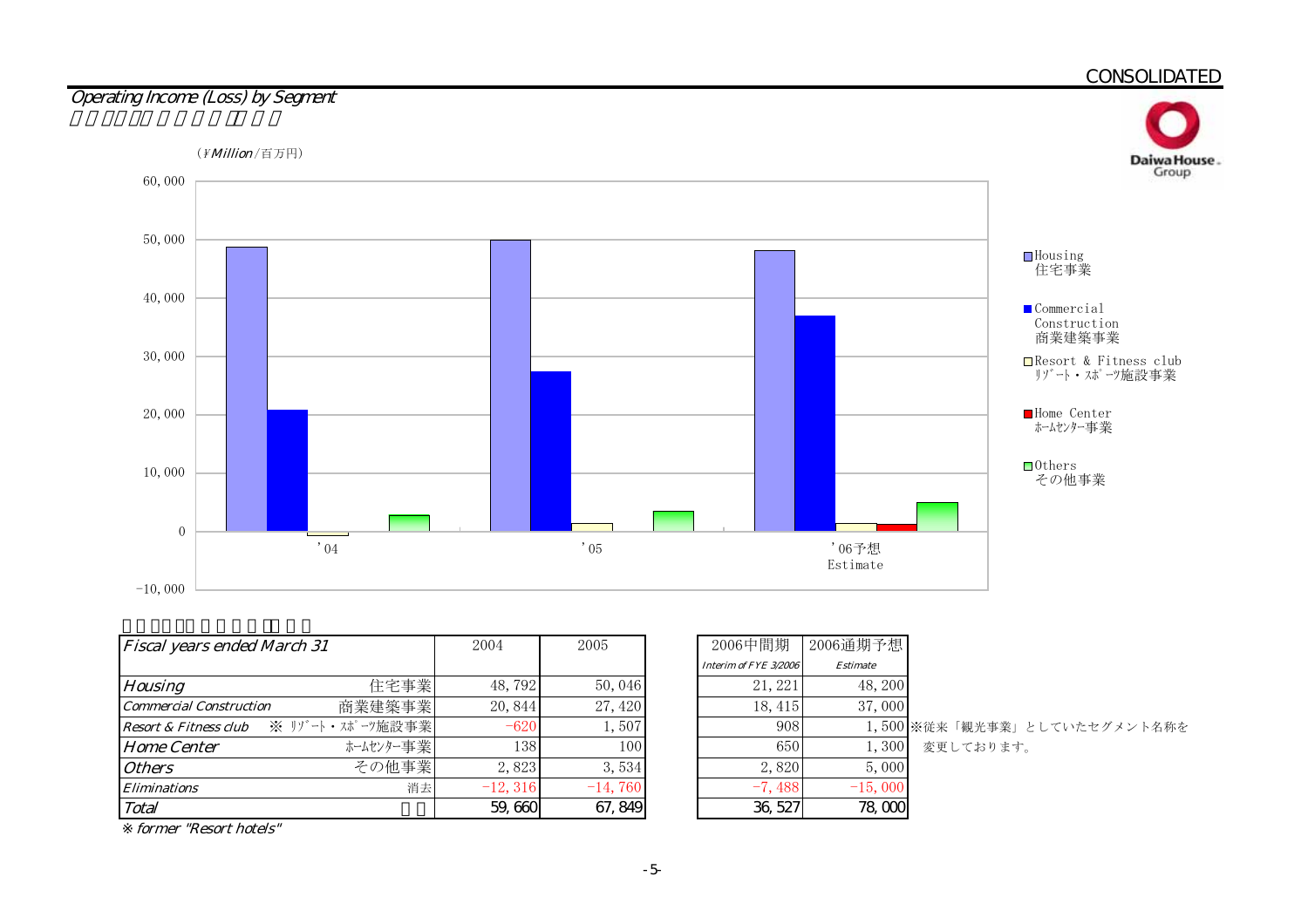

| <b>Fiscal years ended March 31</b>        | 2004       | 2005      | 2006中間期               | 2006通期予想        |                  |
|-------------------------------------------|------------|-----------|-----------------------|-----------------|------------------|
|                                           |            |           | Interim of FYE 3/2006 | <b>Estimate</b> |                  |
| 住宅事業<br><b>Housing</b>                    | 48, 792    | 50,046    | 21, 221               | 48, 200         |                  |
| 商業建築事業<br><b>Commercial Construction</b>  | 20, 844    | 27,420    | 18,415                | 37,000          |                  |
| ※ リゾート・スポーツ施設事業 <br>Resort & Fitness club | $-620$     | 1,507     | 908                   |                 | 1,500 ※従来「観光事業」。 |
| ホームセンター事業<br><b>Home Center</b>           | 138        | 100       | 650                   | 1.300           | 変更しております。        |
| その他事業<br><b>Others</b>                    | 2,823      | 3,534     | 2,820                 | 5,000           |                  |
| 消去<br><b>Eliminations</b>                 | $-12, 316$ | $-14,760$ | $-7,488$              | $-15,000$       |                  |
| Total                                     | 59,660     | 67, 849   | 36, 527               | 78,000          |                  |

|   | 59,660     | 67, 849   | 36, 527               | 78,000          |                              |
|---|------------|-----------|-----------------------|-----------------|------------------------------|
| 去 | $-12, 316$ | $-14,760$ | $-7,488$              | $-15,000$       |                              |
| 業 | 2,823      | 3,534     | 2,820                 | 5,000           |                              |
| 業 | 138        | 100       | 650                   | 1,300           | 変更しております。                    |
| 業 | $-620$     | 1,507     | 908                   |                 | 1,500 ※従来「観光事業」としていたセグメント名称を |
| 業 | 20,844     | 27, 420   | 18, 415               | 37,000          |                              |
| 業 | 48,792     | 50,046    | 21, 221               | 48, 200         |                              |
|   |            |           | Interim of FYE 3/2006 | <b>Estimate</b> |                              |
|   | 2004       | 2005      | 2006中間期               | 2006通期予想        |                              |

former "Resort hotels"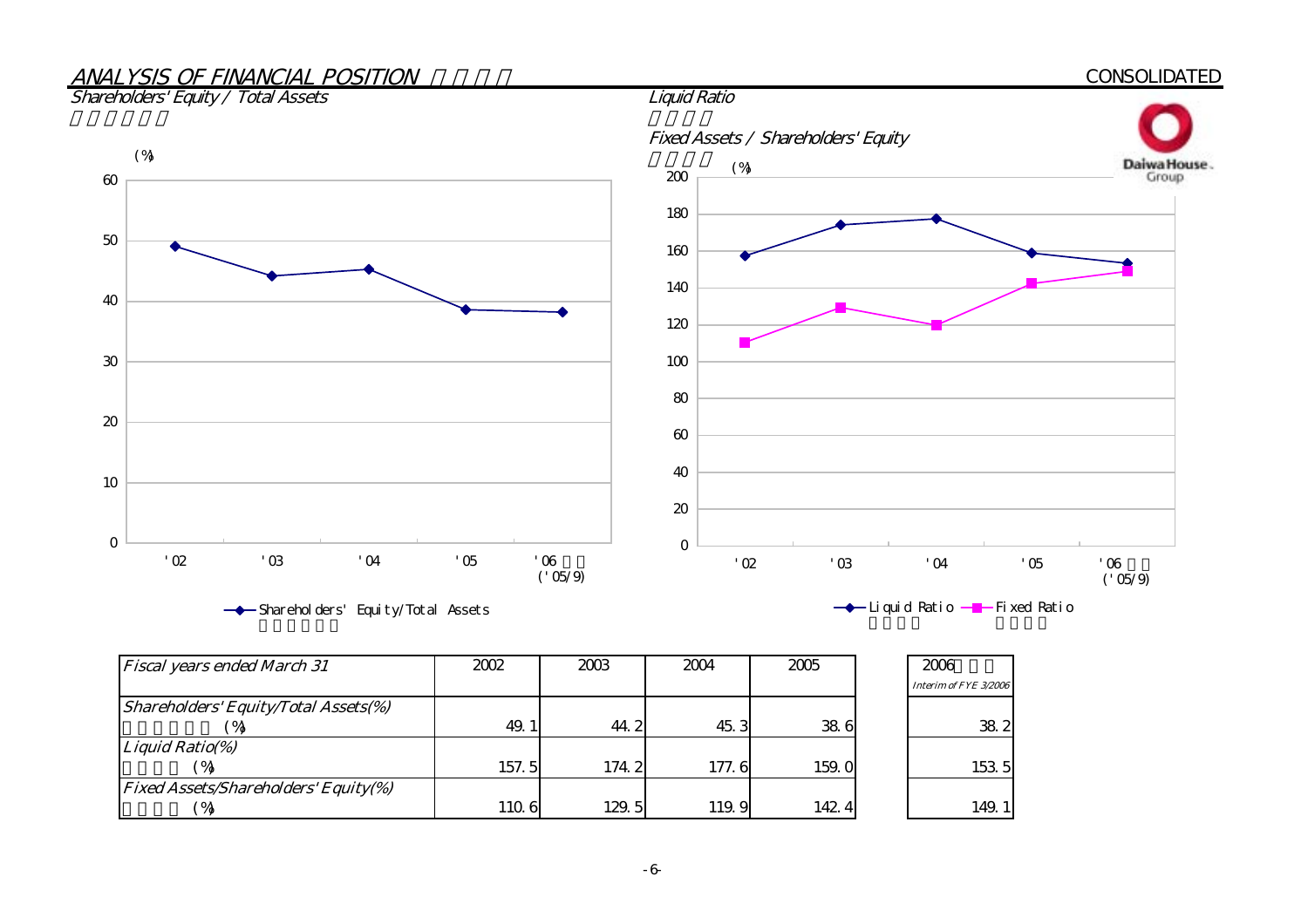# ANALYSIS OF FINANCIAL POSITION



Shareholders' Equity/Total Assets



| <b>Fiscal years ended March 31</b>          | 2002  | 2003  | 2004  | 2005  | 2006                  |
|---------------------------------------------|-------|-------|-------|-------|-----------------------|
|                                             |       |       |       |       | Interim of FYE 3/2006 |
| <b>Shareholders' Equity/Total Assets(%)</b> |       |       |       |       |                       |
|                                             | 49.1  | 44.2  | 45.3  | 38.6  | 38.2                  |
| Liquid Ratio(%)                             |       |       |       |       |                       |
| $^{\prime}$ %                               | 157.5 | 174.2 | 177.6 | 159.0 | 153 5                 |
| <b>Fixed Assets/Shareholders' Equity(%)</b> |       |       |       |       |                       |
| $^{\prime}$ %                               | 110.6 | 129.5 | 119.9 | 142.4 | 149.1                 |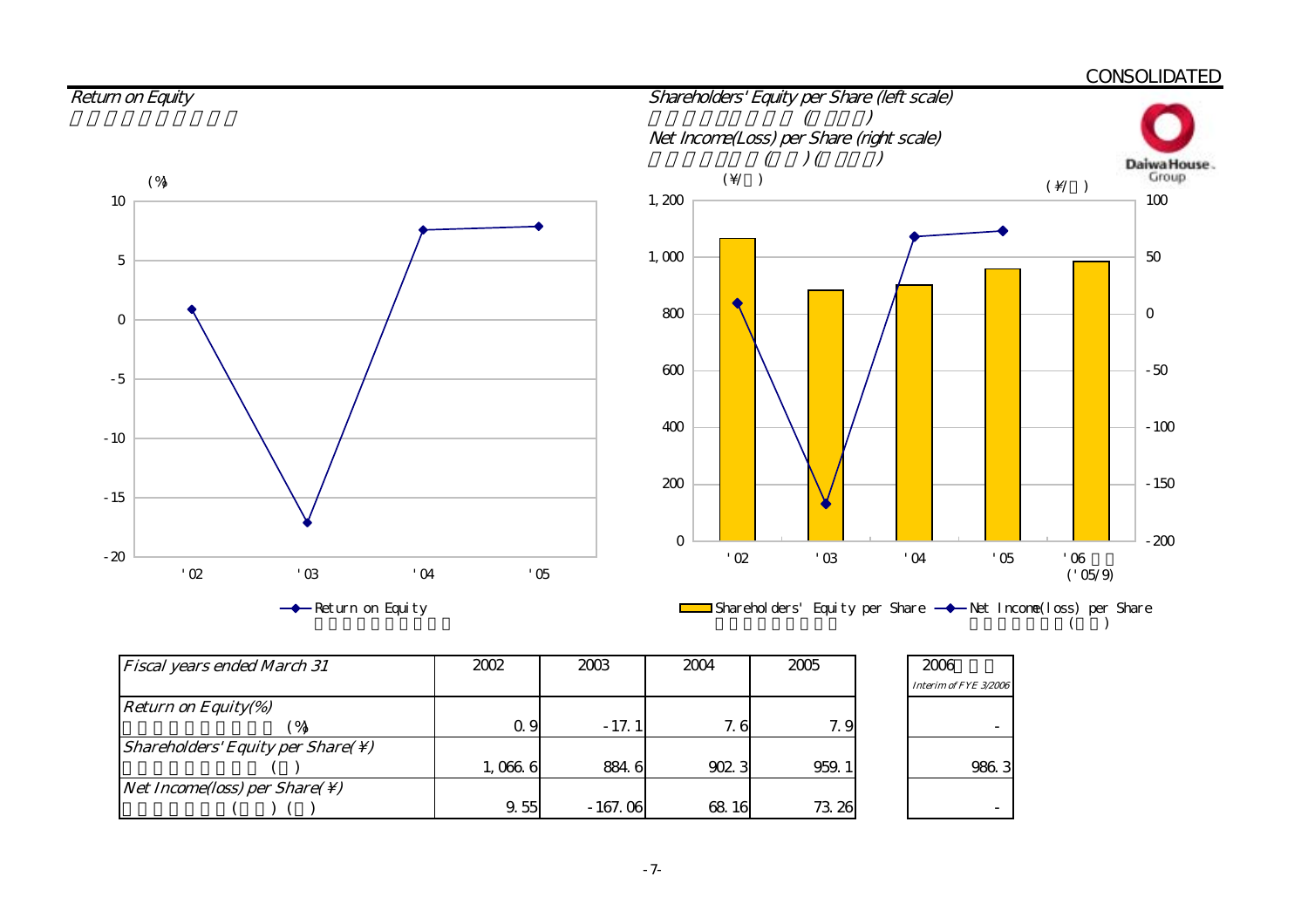

| <b>Fiscal years ended March 31</b>                               | 2002    | 2003      | 2004  | 2005  | 2006                  |
|------------------------------------------------------------------|---------|-----------|-------|-------|-----------------------|
|                                                                  |         |           |       |       | Interim of FYE 3/2006 |
| <b>Return on Equity(%)</b>                                       |         |           |       |       |                       |
|                                                                  | Q 9     | $-17.1$   | 7.6   | 7.9   |                       |
| <i>Shareholders' Equity per Share(<math>\setminus</math>)</i>    |         |           |       |       |                       |
|                                                                  | 1,066.6 | 8846      | 902.3 | 959.1 | 986.3                 |
| <i>Net Income(loss)</i> per <i>Share(<math>\setminus</math>)</i> |         |           |       |       |                       |
|                                                                  | 9.55    | $-167.06$ | 68 16 | 73.26 |                       |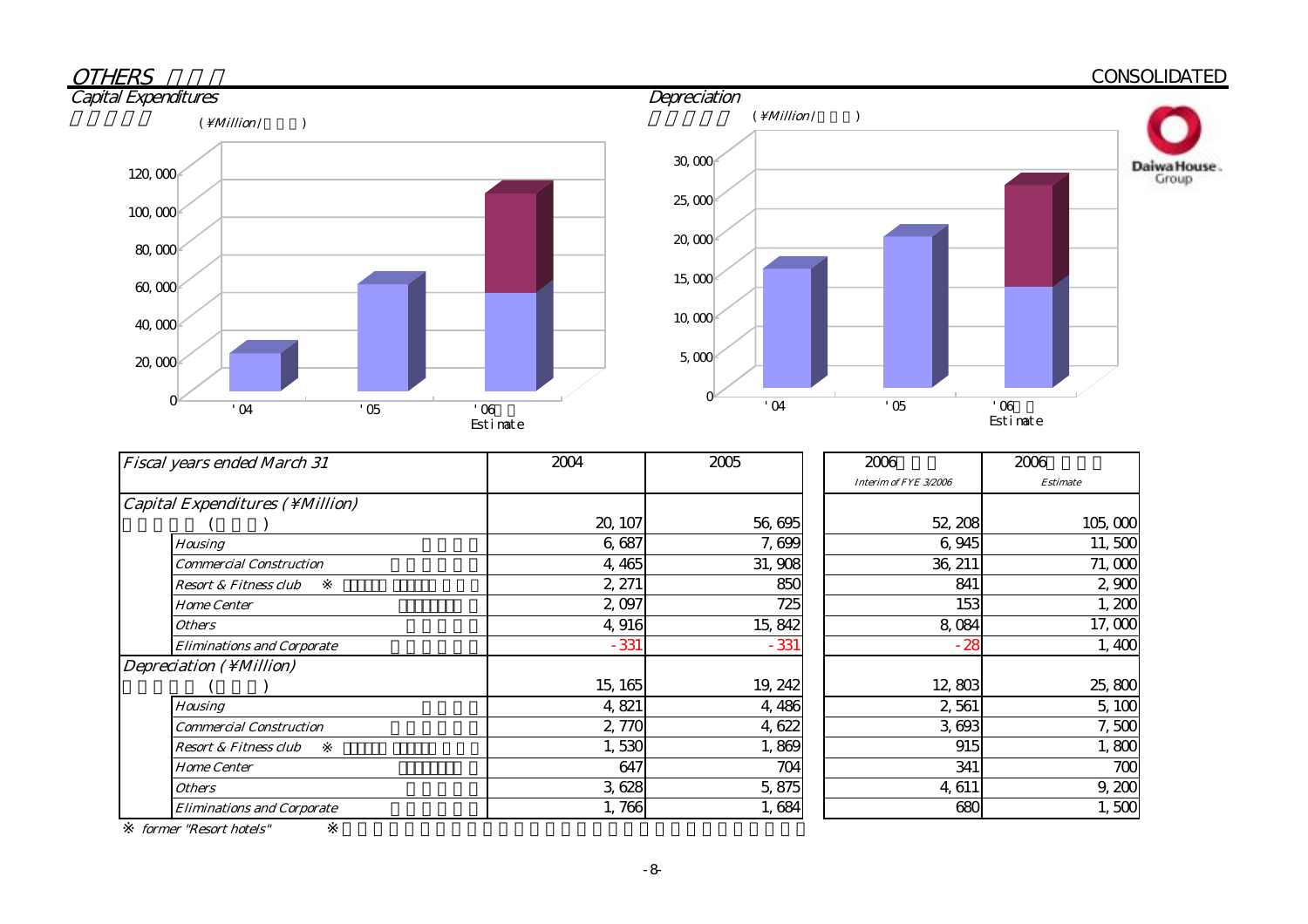# CONSOLIDATED





| <b>Fiscal years ended March 31</b>       | 2004    | 2005    | 2006                  | 2006            |
|------------------------------------------|---------|---------|-----------------------|-----------------|
|                                          |         |         | Interim of FYE 3/2006 | <b>Estimate</b> |
| <i>Capital Expenditures ( \ Million)</i> |         |         |                       |                 |
|                                          | 20, 107 | 56,695  | 52, 208               | 105,000         |
| <b>Housing</b>                           | 6,687   | 7,699   | 6,945                 | 11,500          |
| Commercial Construction                  | 4,465   | 31,908  | 36, 211               | 71,000          |
| <b>Resort &amp; Fitness club</b>         | 2, 271  | 850     | 841                   | 2,900           |
| <b>Home Center</b>                       | 2,097   | 725     | 153                   | 1,200           |
| <b>Others</b>                            | 4,916   | 15, 842 | 8,084                 | 17,000          |
| <b>Eliminations and Corporate</b>        | $-331$  | $-331$  | $-28$                 | 1,400           |
| Depreciation $(\ \M $ illion)            |         |         |                       |                 |
|                                          | 15, 165 | 19, 242 | 12,803                | 25,800          |
| <b>Housing</b>                           | 4,821   | 4,486   | 2,561                 | 5,100           |
| <b>Commercial Construction</b>           | 2,770   | 4,622   | 3,693                 | 7,500           |
| <b>Resort &amp; Fitness club</b>         | 1,530   | 1,869   | 915                   | 1,800           |
| <b>Home Center</b>                       | 647     | 704     | 341                   | 700             |
| <b>Others</b>                            | 3,628   | 5,875   | 4,611                 | 9,200           |
| <b>Eliminations and Corporate</b>        | 1,766   | 1,684   | 680                   | 1,500           |

former "Resort hotels"

**OTHERS**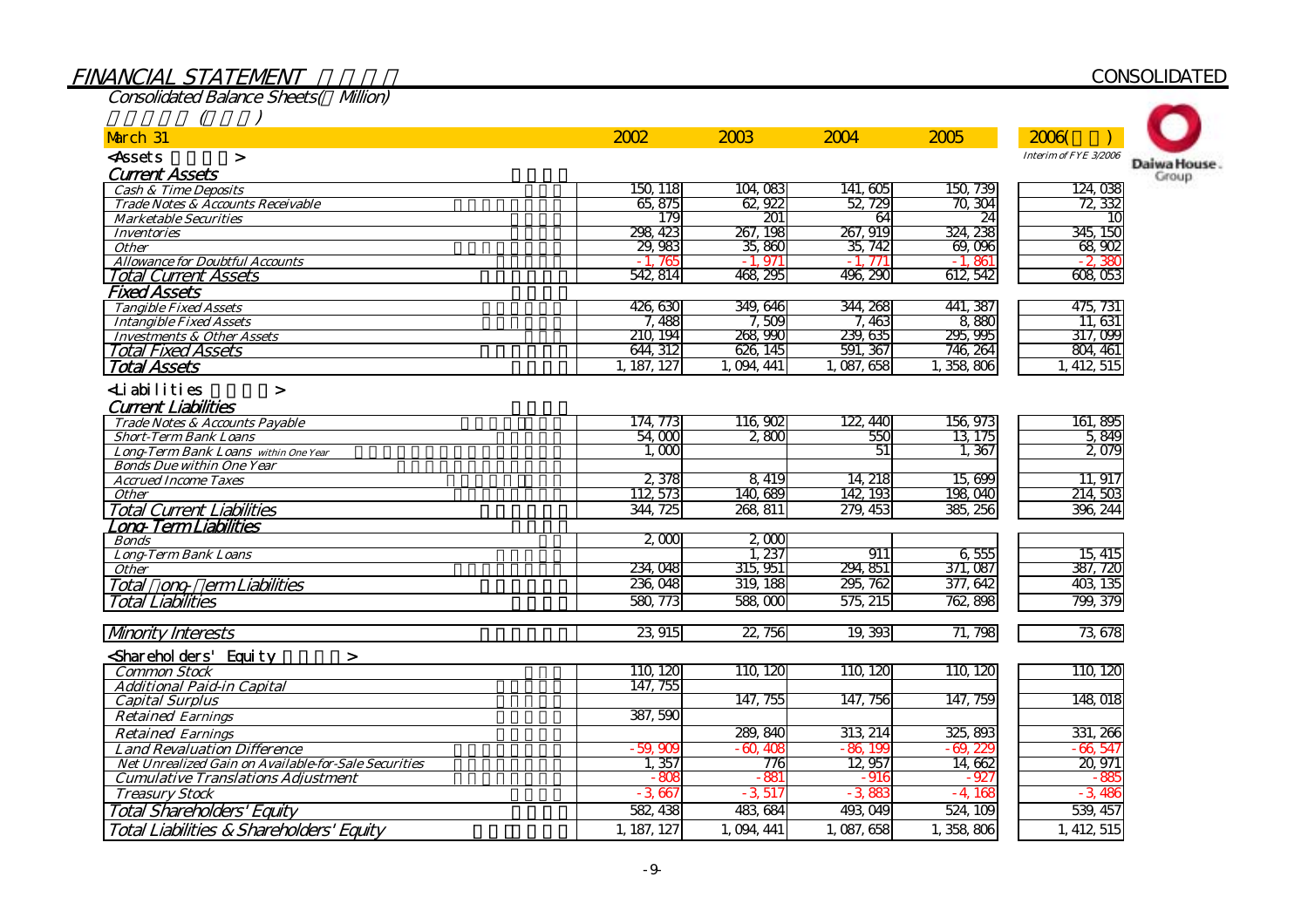| <b>Consolidated Balance Sheets( Milion)</b>                   |             |               |             |                   |                       |                      |
|---------------------------------------------------------------|-------------|---------------|-------------|-------------------|-----------------------|----------------------|
| March 31                                                      | 2002        | 2003          | 2004        | 2005              | 2006                  |                      |
| <assets<br><math>\geq</math></assets<br>                      |             |               |             |                   | Interim of FYE 3/2006 |                      |
| <b>Current Assets</b>                                         |             |               |             |                   |                       | Daiwa House<br>Group |
| <b>Cash &amp; Time Deposits</b>                               | 150, 118    | 104,083       | 141,605     | 150, 739          | 124,038               |                      |
| Trade Notes & Accounts Receivable                             | 65, 875     | 62,922        | 52, 729     | 70, 304           | 72, 332               |                      |
| <b>Marketable Securities</b>                                  | 179         | 201           | 64          | 24                | 1C                    |                      |
| <b>Inventories</b>                                            | 298, 423    | 267, 198      | 267, 919    | 324, 238          | 345, 150              |                      |
| <b>Other</b>                                                  | 29,983      | 35,860        | 35, 742     | 69,096            | 68,902                |                      |
| <b>Allowance for Doubtful Accounts</b>                        | 76f<br>$-1$ | $-1.971$      | $-1.771$    | $-1.861$          | $-2,380$              |                      |
| <b>Total Current Assets</b>                                   | 542, 814    | 468, 295      | 496, 290    | 612, 542          | 608,053               |                      |
| <b>Fixed Assets</b>                                           |             |               |             |                   |                       |                      |
| <b>Tangible Fixed Assets</b>                                  | 426,630     | 349, 646      | 344, 268    | 441, 387          | 475, 731              |                      |
| <b>Intangible Fixed Assets</b>                                | 7,488       | 7,509         | 7,463       | 8,880             | 11, 631               |                      |
| <b>Investments &amp; Other Assets</b>                         | 210 194     | 268 990       | 239, 635    | 295, 995          | 317,099               |                      |
| <b>Total Fixed Assets</b>                                     | 644, 312    | 626, 145      | 591, 367    | 746, 264          | 804, 461              |                      |
| <b>Total Assets</b>                                           | 1, 187, 127 | 1, 094, 441   | 1, 087, 658 | 358,806           | 412, 515              |                      |
| Liabilities<br>$\geq$                                         |             |               |             |                   |                       |                      |
| <b>Current Liabilities</b>                                    |             |               |             |                   |                       |                      |
| Trade Notes & Accounts Payable                                | 174, 773    | 116,902       | 122, 440    | 156, 973          | 161, 895              |                      |
| <b>Short-Term Bank Loans</b>                                  | 54,000      | 2,800         | 550         | 13, 175           | 5,849                 |                      |
| Long-Term Bank Loans within One Year                          | 1.000       |               | 51          | 1.367             | 2,079                 |                      |
| <b>Bonds Due within One Year</b>                              |             |               |             |                   |                       |                      |
| <b>Accrued Income Taxes</b>                                   | 2,378       | 8,419         | 14, 218     | 15,699<br>198,040 | 11, 917               |                      |
| <b>Other</b>                                                  | 112 573     | 140,689       | 142, 193    |                   | 214, 503              |                      |
| <b>Total Current Liabilities</b>                              | 344, 725    | 268, 811      | 279, 453    | 385, 256          | 396, 244              |                      |
| Long-Term Liabilities                                         |             |               |             |                   |                       |                      |
| <b>Bonds</b><br><b>Long-Term Bank Loans</b>                   | 2000        | 2000<br>1.237 | 911         | 6,555             | 15, 415               |                      |
| <b>Other</b>                                                  | 234,048     | 315, 951      | 294, 851    | 371, 087          | 387, 720              |                      |
| Total ong erm Liabilities                                     | 236,048     | 319, 188      | 295, 762    | 377,642           | 403, 135              |                      |
|                                                               |             | 588,000       |             |                   |                       |                      |
| <b>Total Liabilities</b>                                      | 580, 773    |               | 575, 215    | 762, 898          | 799, 379              |                      |
| <b>Mnority Interests</b>                                      | 23,915      | 22, 756       | 19, 393     | 71, 798           | 73, 678               |                      |
| <shareholders' equity<br=""><math>\geq</math></shareholders'> |             |               |             |                   |                       |                      |
| <b>Common Stock</b>                                           | 110, 120    | 110, 120      | 110, 120    | 110, 120          | 110, 120              |                      |
| <b>Additional Paid-in Capital</b>                             | 147, 755    |               |             |                   |                       |                      |
| <b>Capital Surplus</b>                                        |             | 147, 755      | 147, 756    | 147, 759          | 148 018               |                      |
| <b>Retained Earnings</b>                                      | 387,590     |               |             |                   |                       |                      |
| <b>Retained Earnings</b>                                      |             | 289, 840      | 313, 214    | 325, 893          | 331, 266              |                      |
| <b>Land Revaluation Difference</b>                            | $-59,900$   | $-60,408$     | $-86,199$   | $-69.22$          | $-66,547$             |                      |
| <b>Net Unrealized Gain on Available-for-Sale Securities</b>   | 1,357       | 776           | 12,957      | 14,662            | 20, 971               |                      |
| <b>Cumulative Translations Adjustment</b>                     | $-805$      | $-881$        | $-916$      | $-92$             | $-885$                |                      |
| <b>Treasury Stock</b>                                         | $-3667$     | $-3.517$      | $-388$      | $-4.168$          | $-3.486$              |                      |
| <b>Total Shareholders' Equity</b>                             | 582, 438    | 483, 684      | 493, 049    | 524, 109          | 539, 457              |                      |
|                                                               |             |               |             |                   |                       |                      |
| Total Liabilities & Shareholders' Equity                      | 1, 187, 127 | 1, 094, 441   | 1,087,658   | 1,358,806         | 1, 412, 515           |                      |

### FINANCIAL STATEMEN T

Total Liabilities & Shareholders' Equity

# **CONSOLIDATED**

-9-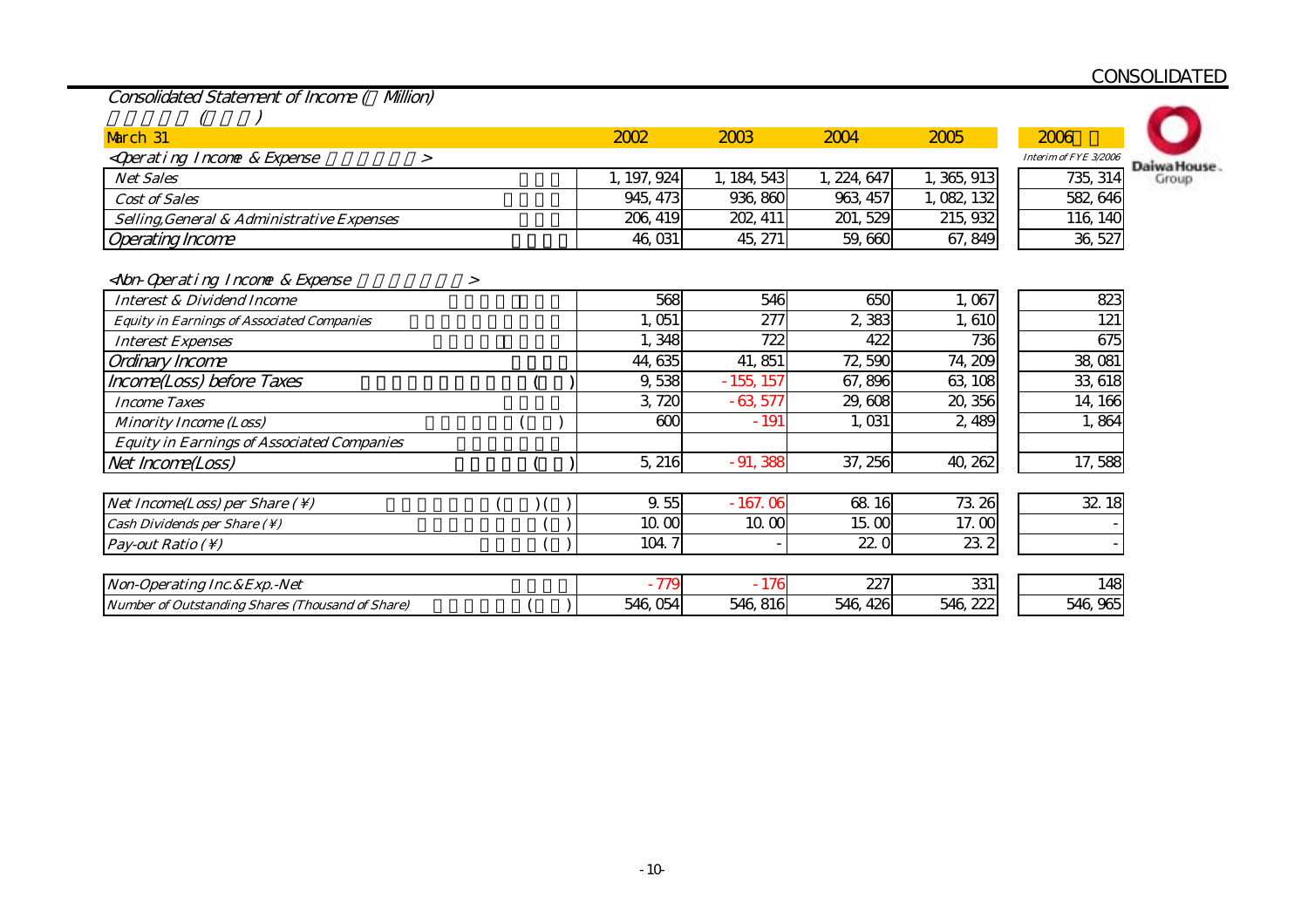| Consolidated Statement of Income (Million) |  |  |  |
|--------------------------------------------|--|--|--|
|                                            |  |  |  |

|  | ノ |
|--|---|
|  |   |
|  |   |

| March 31                                                       | 2002        | 2003       | 2004     | 2005       | 2006                  |             |
|----------------------------------------------------------------|-------------|------------|----------|------------|-----------------------|-------------|
| <i><qperating &="" expense<="" i="" income=""></qperating></i> |             |            |          |            | Interim of FYE 3/2006 | Daiwa House |
| <b>Net Sales</b>                                               | 1, 197, 924 | , 184, 543 | 224, 647 | , 365, 913 | 735, 314              | Group       |
| Cost of Sales                                                  | 945, 473    | 936, 860   | 963, 457 | , 082, 132 | 582, 646              |             |
| Selling, General & Administrative Expenses                     | 206, 419    | 202, 411   | 201, 529 | 215, 932   | 116, 140              |             |
| <b>Operating Income</b>                                        | 46, 031     | 45, 271    | 59,660   | 67, 849    | 36, 527               |             |

| <non-qperating &="" expense<="" income="" th=""><th></th></non-qperating> |  |
|---------------------------------------------------------------------------|--|
|                                                                           |  |

| <b>Interest &amp; Dividend Income</b>                   | 568      | 546         | 650         | 1,067    | 823      |
|---------------------------------------------------------|----------|-------------|-------------|----------|----------|
| <b>Equity in Earnings of Associated Companies</b>       | 1,051    | 277         | 2,383       | 1,610    | 121      |
| <b>Interest Expenses</b>                                | 1,348    | 722         | 422         | 736      | 675      |
| Ordinary Income                                         | 44, 635  | 41,851      | 72,590      | 74, 209  | 38,081   |
| Income(Loss) before Taxes                               | 9,538    | $-155, 157$ | 67,896      | 63, 108  | 33, 618  |
| <b>Income Taxes</b>                                     | 3,720    | $-63,577$   | 29,608      | 20, 356  | 14, 166  |
| <b>Minority Income (Loss)</b>                           | 600      | $-191$      | 1,031       | 2,489    | 1,864    |
| <b>Equity in Earnings of Associated Companies</b>       |          |             |             |          |          |
| Net Income(Loss)                                        | 5,216    | $-91,388$   | 37, 256     | 40, 262  | 17,588   |
|                                                         |          |             |             |          |          |
| <i>Net Income(Loss) per Share (\)</i>                   | 9.55     | $-167.06$   | 68 16       | 73.26    | 32 18    |
| Cash Dividends per Share $(\setminus)$                  | 10 CO    | 10.00       | $15 \omega$ | 17.00    |          |
| Pay-out Ratio $( \setminus )$                           | 104.7    |             | 22(         | 23.2     |          |
|                                                         |          |             |             |          |          |
| Non-Operating Inc. & Exp. - Net                         | $-779$   | $-176$      | 227         | 331      | 148      |
| <b>Number of Outstanding Shares (Thousand of Share)</b> | 546, 054 | 546, 816    | 546, 426    | 546, 222 | 546, 965 |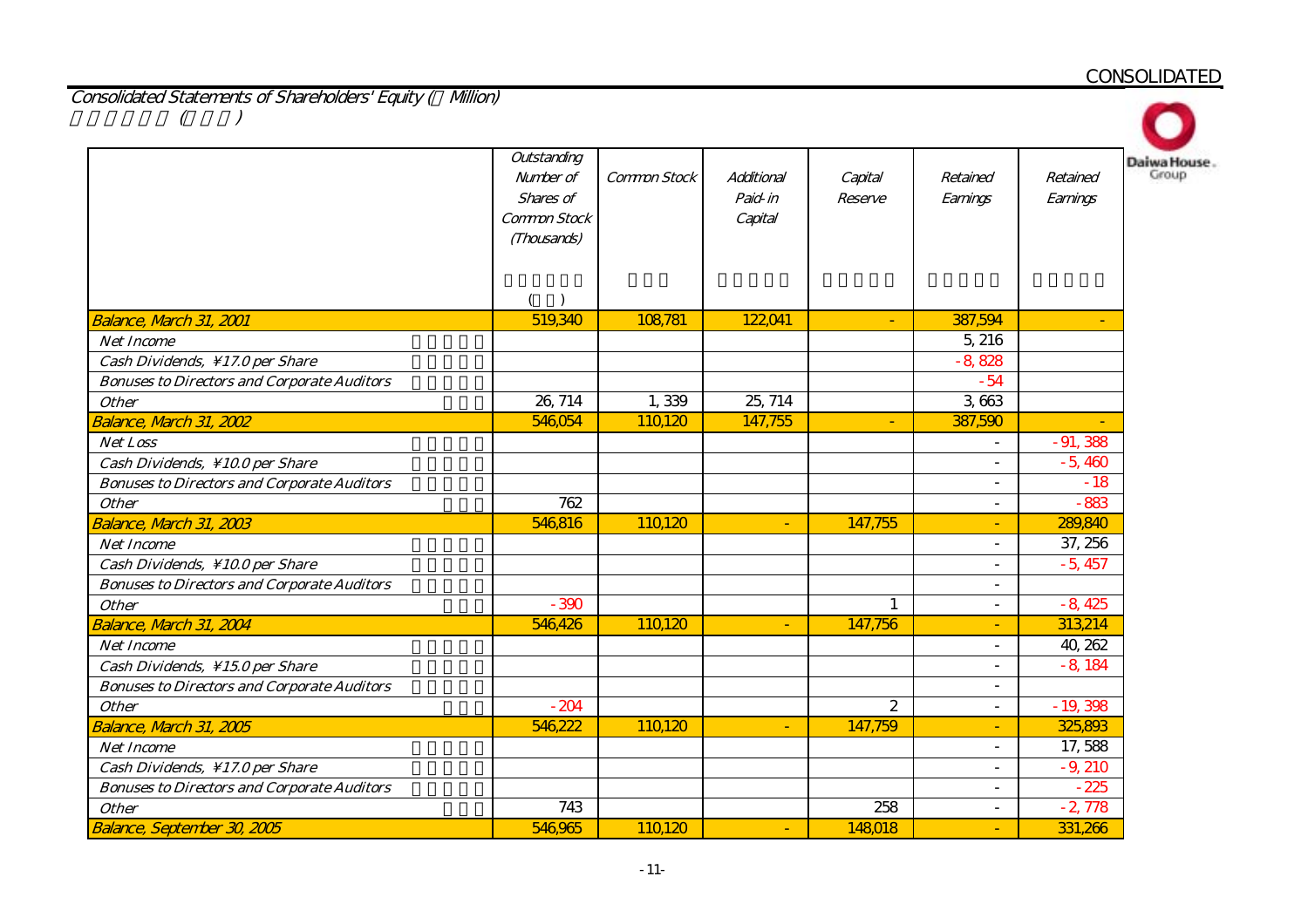Consolidated Statements of Shareholders' Equity ( Million)  $(1)$ 

|                                                    | Outstanding<br>Number of<br>Shares of<br>Common Stock<br>(Thousands) | Common Stock | Additional<br>Paid-in<br>Capital | Capital<br>Reserve | Retained<br>Earnings     | Retained<br>Earnings |
|----------------------------------------------------|----------------------------------------------------------------------|--------------|----------------------------------|--------------------|--------------------------|----------------------|
|                                                    |                                                                      |              |                                  |                    |                          |                      |
| <b>Balance, March 31, 2001</b>                     | 519,340                                                              | 108,781      | 122,041                          | $\blacksquare$     | 387,594                  | ٠                    |
| <b>Net Income</b>                                  |                                                                      |              |                                  |                    | 5, 216                   |                      |
| Cash Dividends, \17.0 per Share                    |                                                                      |              |                                  |                    | $-8,828$                 |                      |
| <b>Bonuses to Directors and Corporate Auditors</b> |                                                                      |              |                                  |                    | $-54$                    |                      |
| <b>Other</b>                                       | 26, 714                                                              | 1,339        | 25, 714                          |                    | 3,663                    |                      |
| Balance, March 31, 2002                            | 546,054                                                              | 110,120      | 147,755                          | $\blacksquare$     | 387,590                  |                      |
| Net Loss                                           |                                                                      |              |                                  |                    | $\overline{\phantom{0}}$ | $-91,388$            |
| Cash Dividends, \10.0 per Share                    |                                                                      |              |                                  |                    | ÷.                       | $-5,460$             |
| <b>Bonuses to Directors and Corporate Auditors</b> |                                                                      |              |                                  |                    | $\overline{a}$           | $-18$                |
| <b>Other</b>                                       | 762                                                                  |              |                                  |                    | $\blacksquare$           | $-883$               |
| Balance, March 31, 2003                            | 546,816                                                              | 110120       | ٠                                | 147,755            | ٠                        | 289,840              |
| <b>Net Income</b>                                  |                                                                      |              |                                  |                    | $\overline{a}$           | 37, 256              |
| Cash Dividends, \10.0 per Share                    |                                                                      |              |                                  |                    | $\sim$                   | $-5,457$             |
| <b>Bonuses to Directors and Corporate Auditors</b> |                                                                      |              |                                  |                    | $\blacksquare$           |                      |
| <b>Other</b>                                       | $-390$                                                               |              |                                  |                    | $\overline{\phantom{a}}$ | $-8,425$             |
| Balance, Narch 31, 2004                            | 546,426                                                              | 110120       | $\blacksquare$                   | 147,756            | ٠                        | 313,214              |
| <b>Net Income</b>                                  |                                                                      |              |                                  |                    | ÷.                       | 40, 262              |
| Cash Dividends, \15.0 per Share                    |                                                                      |              |                                  |                    | $\blacksquare$           | $-8,184$             |
| <b>Bonuses to Directors and Corporate Auditors</b> |                                                                      |              |                                  |                    | ÷.                       |                      |
| <b>Other</b>                                       | $-204$                                                               |              |                                  | 2                  | $\blacksquare$           | $-19,398$            |
| Balance, March 31, 2005                            | 546,222                                                              | 110120       | ٠                                | 147,759            | ٠                        | 325,893              |
| <b>Net Income</b>                                  |                                                                      |              |                                  |                    | $\blacksquare$           | 17,588               |
| Cash Dividends, \17.0 per Share                    |                                                                      |              |                                  |                    | $\overline{\phantom{a}}$ | $-9,210$             |
| <b>Bonuses to Directors and Corporate Auditors</b> |                                                                      |              |                                  |                    | $\overline{\phantom{0}}$ | $-225$               |
| <b>Other</b>                                       | 743                                                                  |              |                                  | 258                | $\overline{a}$           | $-2,778$             |
| <b>Balance, September 30, 2005</b>                 | 546,965                                                              | 110120       | $\equiv$                         | 148018             | $\blacksquare$           | 331,266              |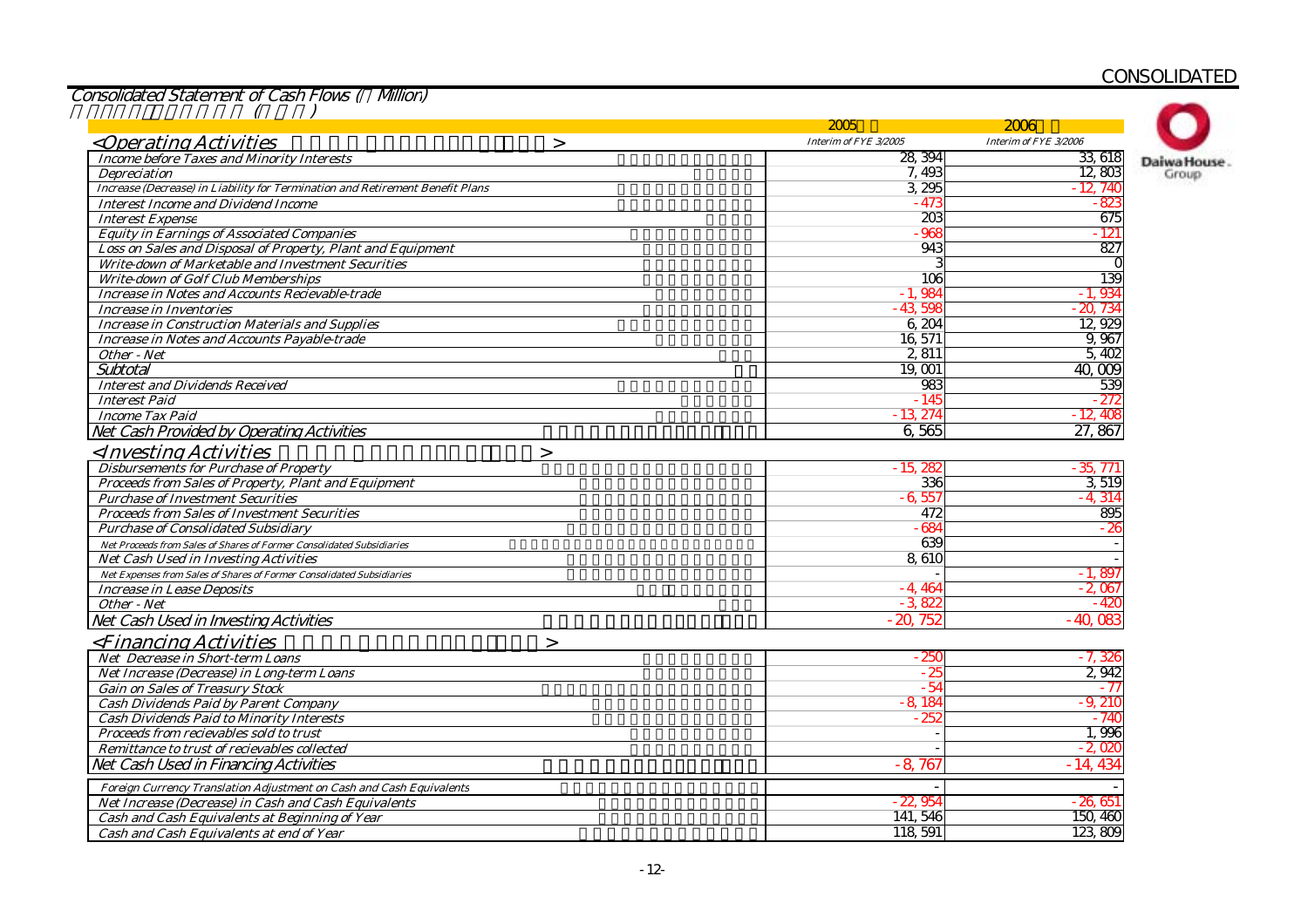Consolidated Statement of Cash Flows ( Million)

|                                                                               | 2005                  | 2006                  |                      |
|-------------------------------------------------------------------------------|-----------------------|-----------------------|----------------------|
| < <i>Operating Activities</i><br>$\geq$                                       | Interim of FYE 3/2005 | Interim of FYE 3/2006 |                      |
| <b>Income before Taxes and Minority Interests</b>                             | 28, 394               | 33 618                |                      |
| <b>Depreciation</b>                                                           | 7,493                 | 12,803                | Daiwa House<br>Group |
| Increase (Decrease) in Liability for Termination and Retirement Benefit Plans | 3 295                 | $-12.74$              |                      |
| <b>Interest Income and Dividend Income</b>                                    | $-473$                | $-82$                 |                      |
| <b>Interest Expense</b>                                                       | 203                   | 675                   |                      |
| <b>Equity in Earnings of Associated Companies</b>                             | $-965$                | - 121                 |                      |
| Loss on Sales and Disposal of Property, Plant and Equipment                   | $94^\circ$            | 827                   |                      |
| Write-down of Marketable and Investment Securities                            |                       |                       |                      |
| <b>Write-down of Golf Club Memberships</b>                                    | 106                   | 139                   |                      |
| <b>Increase in Notes and Accounts Recievable-trade</b>                        | $-1,984$              | $-1,934$              |                      |
| Increase in Inventories                                                       | $-43,598$             | $-20,734$             |                      |
| <b>Increase in Construction Materials and Supplies</b>                        | 6,204                 | 12,929                |                      |
| <b>Increase in Notes and Accounts Payable-trade</b>                           | 16,571                | 9,967                 |                      |
| Other - Net                                                                   | 2 8 11                | 5,402                 |                      |
| Subtotal                                                                      | 19,001                | 40,009                |                      |
| <b>Interest and Dividends Received</b>                                        | 983                   | 539                   |                      |
|                                                                               |                       |                       |                      |
| <b>Interest Paid</b>                                                          | $-145$                | - 272<br>$-12.40$     |                      |
| <b>Income Tax Paid</b>                                                        | $-13,274$             |                       |                      |
| Net Cash Provided by Operating Activities                                     | 6,565                 | 27,867                |                      |
| <investing activities<br=""><math>\geq</math></investing>                     |                       |                       |                      |
| <b>Disbursements for Purchase of Property</b>                                 | $-15.28$              | - 35. 771             |                      |
| Proceeds from Sales of Property, Plant and Equipment                          | 336                   | 3,519                 |                      |
| <b>Purchase of Investment Securities</b>                                      | $-6,557$              | $-4.314$              |                      |
| <b>Proceeds from Sales of Investment Securities</b>                           | 472                   | 895                   |                      |
| <b>Purchase of Consolidated Subsidiary</b>                                    | $-684$                | - 26                  |                      |
| Net Proceeds from Sales of Shares of Former Consolidated Subsidiaries         | 639                   |                       |                      |
| Net Cash Used in Investing Activities                                         | 8,610                 |                       |                      |
| Net Expenses from Sales of Shares of Former Consolidated Subsidiaries         |                       | $-1,897$              |                      |
| <b>Increase in Lease Deposits</b>                                             | $-4.464$              | $-2,067$              |                      |
| Other - Net                                                                   | $-3822$               | - 42                  |                      |
| Net Cash Used in Investing Activities                                         | $-20,752$             | $-40.08$              |                      |
| <i><b><financing activities<="" b=""></financing></b></i><br>$\geq$           |                       |                       |                      |
| <b>Net Decrease in Short-term Loans</b>                                       | - 250                 | - 7, 326              |                      |
| Net Increase (Decrease) in Long-term Loans                                    | $-25$                 | 2942                  |                      |
| <b>Gain on Sales of Treasury Stock</b>                                        | $-54$                 | - 77                  |                      |
| <b>Cash Dividends Paid by Parent Company</b>                                  | $-8,184$              | $-9.210$              |                      |
| <b>Cash Dividends Paid to Minority Interests</b>                              | 252                   | - 740                 |                      |
| Proceeds from recievables sold to trust                                       |                       | 1,996                 |                      |
| Remittance to trust of recievables collected                                  |                       | - 2.020               |                      |
|                                                                               | $-8,767$              | $-14,434$             |                      |
| Net Cash Used in Financing Activities                                         |                       |                       |                      |
| Foreign Currency Translation Adjustment on Cash and Cash Equivalents          |                       |                       |                      |
| Net Increase (Decrease) in Cash and Cash Equivalents                          | $-22,954$             | $-26,651$             |                      |
| Cash and Cash Equivalents at Beginning of Year                                | 141, 546              | 150, 460              |                      |
| Cash and Cash Equivalents at end of Year                                      | 118, 591              | 123,809               |                      |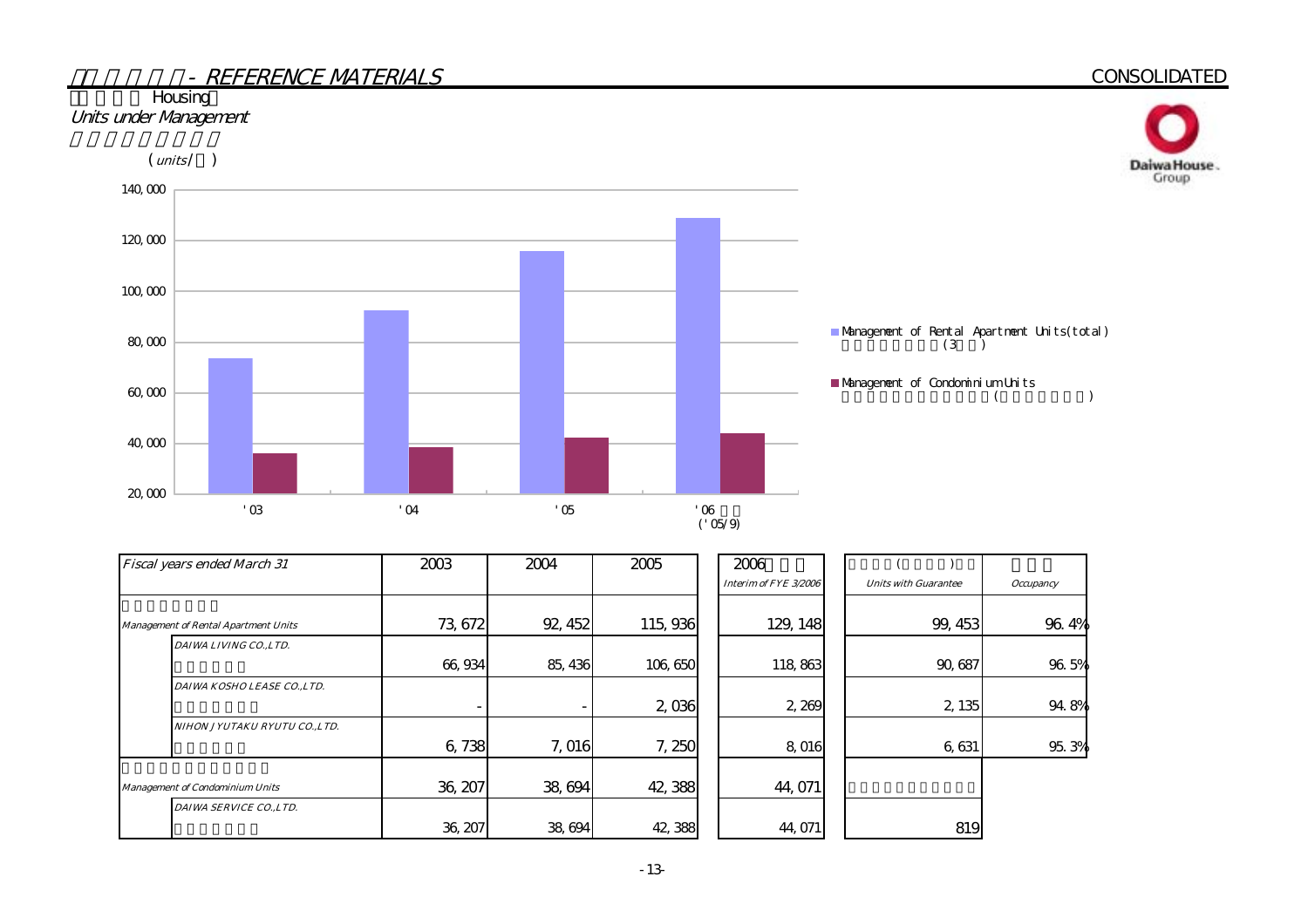# - REFERENCE MATERIALS**CONSOLIDATED Housing** Units under Management  $(mits / )$ Daiwa House.<br>Group 140,000 120,000 100,000



| Fiscal years ended March 31 |                                             | 2003    | 2004    | 2005    | 2006                  |                             |                  |
|-----------------------------|---------------------------------------------|---------|---------|---------|-----------------------|-----------------------------|------------------|
|                             |                                             |         |         |         | Interim of FYE 3/2006 | <b>Units with Guarantee</b> | <b>Occupancy</b> |
|                             |                                             |         |         |         |                       |                             |                  |
|                             | <b>Management of Rental Apartment Units</b> | 73, 672 | 92, 452 | 115,936 | 129, 148              | 99, 453                     | 96.4%            |
|                             | DAIWA LIVING CO., LTD.                      |         |         |         |                       |                             |                  |
|                             |                                             | 66,934  | 85, 436 | 106,650 | 118,863               | 90,687                      | 96.5%            |
|                             | DAIWA KOSHO LEASE CO.,LTD.                  |         |         |         |                       |                             |                  |
|                             |                                             |         |         | 2,036   | 2,269                 | 2, 135                      | 94.8%            |
|                             | NIHON JYUTAKU RYUTU CO.,LTD.                |         |         |         |                       |                             |                  |
|                             |                                             | 6,738   | 7,016   | 7,250   | 8,016                 | 6,631                       | 95.3%            |
|                             |                                             |         |         |         |                       |                             |                  |
|                             | <b>Management of Condominium Units</b>      | 36, 207 | 38,694  | 42,388  | 44,071                |                             |                  |
|                             | DAIWA SERVICE CO., LTD.                     |         |         |         |                       |                             |                  |
|                             |                                             | 36, 207 | 38,694  | 42,388  | 44,071                | 819                         |                  |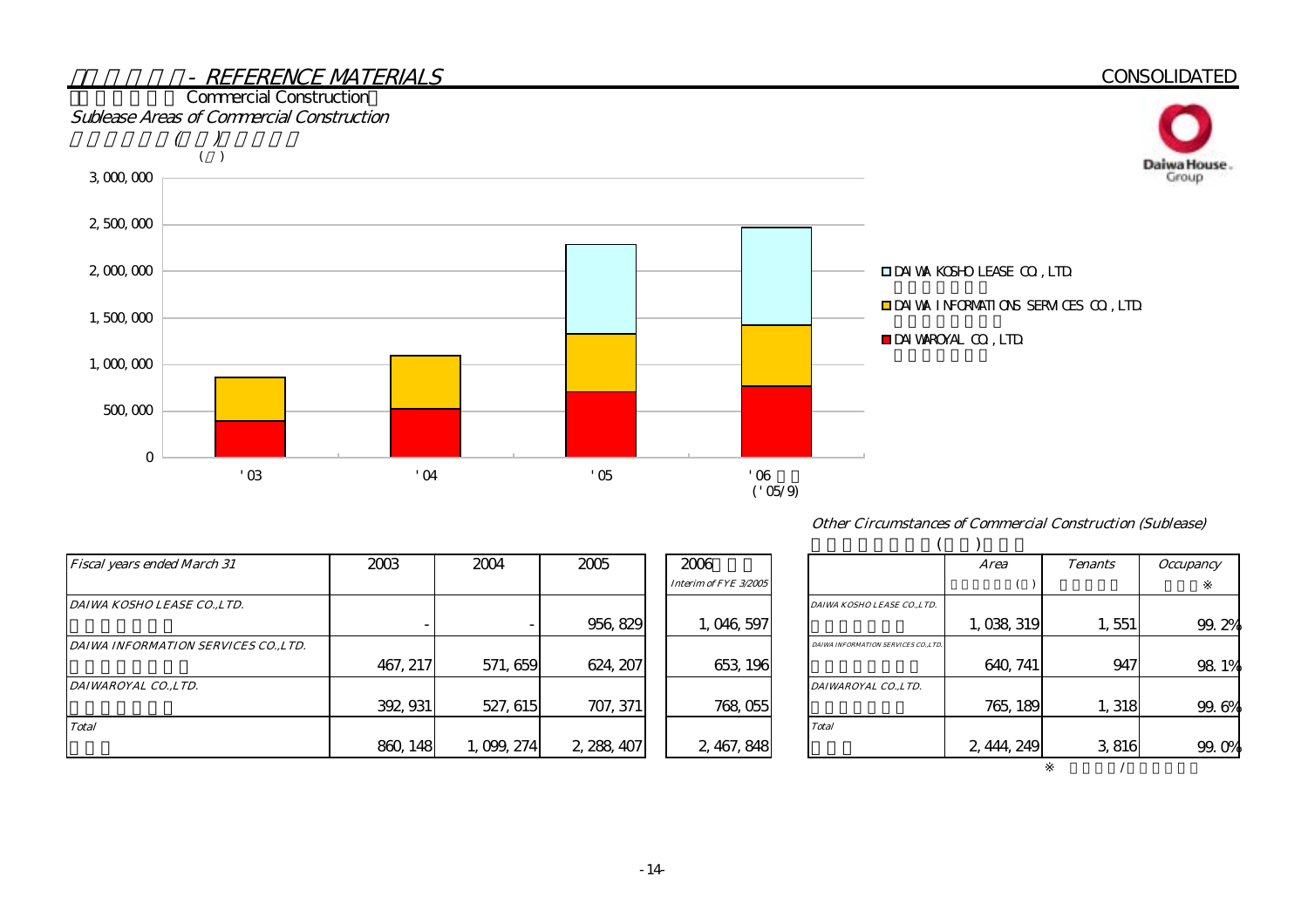

#### Other Circumstances of Commercial Construction (Sublease)

| <b>Fiscal years ended March 31</b>   | 2003     | 2004      | 2005        | 2006                  |                                      | Area        | <b>Tenants</b>       | <i><b>Occupancy</b></i> |
|--------------------------------------|----------|-----------|-------------|-----------------------|--------------------------------------|-------------|----------------------|-------------------------|
|                                      |          |           |             | Interim of FYE 3/2005 |                                      |             |                      |                         |
| DAIWA KOSHO LEASE COLTD.             |          |           |             |                       | DAIWA KOSHO LEASE CO.,LTD.           |             |                      |                         |
|                                      |          |           | 956, 829    | 1,046,597             |                                      | 1,038,319   | $1,551$ <sup>1</sup> | 99.                     |
| DAIWA INFORMATION SERVICES CO., LTD. |          |           |             |                       | DAIWA INFORMATION SERVICES CO., LTD. |             |                      |                         |
|                                      | 467, 217 | 571, 659  | 624, 207    | 653, 196              |                                      | 640, 741    | 947                  | 98                      |
| DAIWAROYAL CO., LTD.                 |          |           |             |                       | DAIWAROYAL COLTD.                    |             |                      |                         |
|                                      | 392, 931 | 527, 615  | 707, 371    | 768, 055              |                                      | 765, 189    | 1,318                | 99.                     |
| <b>Total</b>                         |          |           |             |                       | <b>Total</b>                         |             |                      |                         |
|                                      | 860, 148 | 1,099,274 | 2, 288, 407 | 2, 467, 848           |                                      | 2, 444, 249 | 3816                 | 99.                     |

|                                      | Area        | <b>Tenants</b> | <i><b>Occupancy</b></i> |
|--------------------------------------|-------------|----------------|-------------------------|
|                                      |             |                |                         |
| DAIWA KOSHO LEASE CO.,LTD.           |             |                |                         |
|                                      | 1,038,319   | 1,551          | 99.2%                   |
| DAIWA INFORMATION SERVICES CO., LTD. |             |                |                         |
|                                      | 640, 741    | 947            | 98.1%                   |
| DAIWAROYAL CO.,LTD.                  |             |                |                         |
|                                      | 765, 189    | 1,318          | 6%<br>99.               |
| <b>Total</b>                         |             |                |                         |
|                                      | 2, 444, 249 | 3,816          | 99.                     |
|                                      |             |                |                         |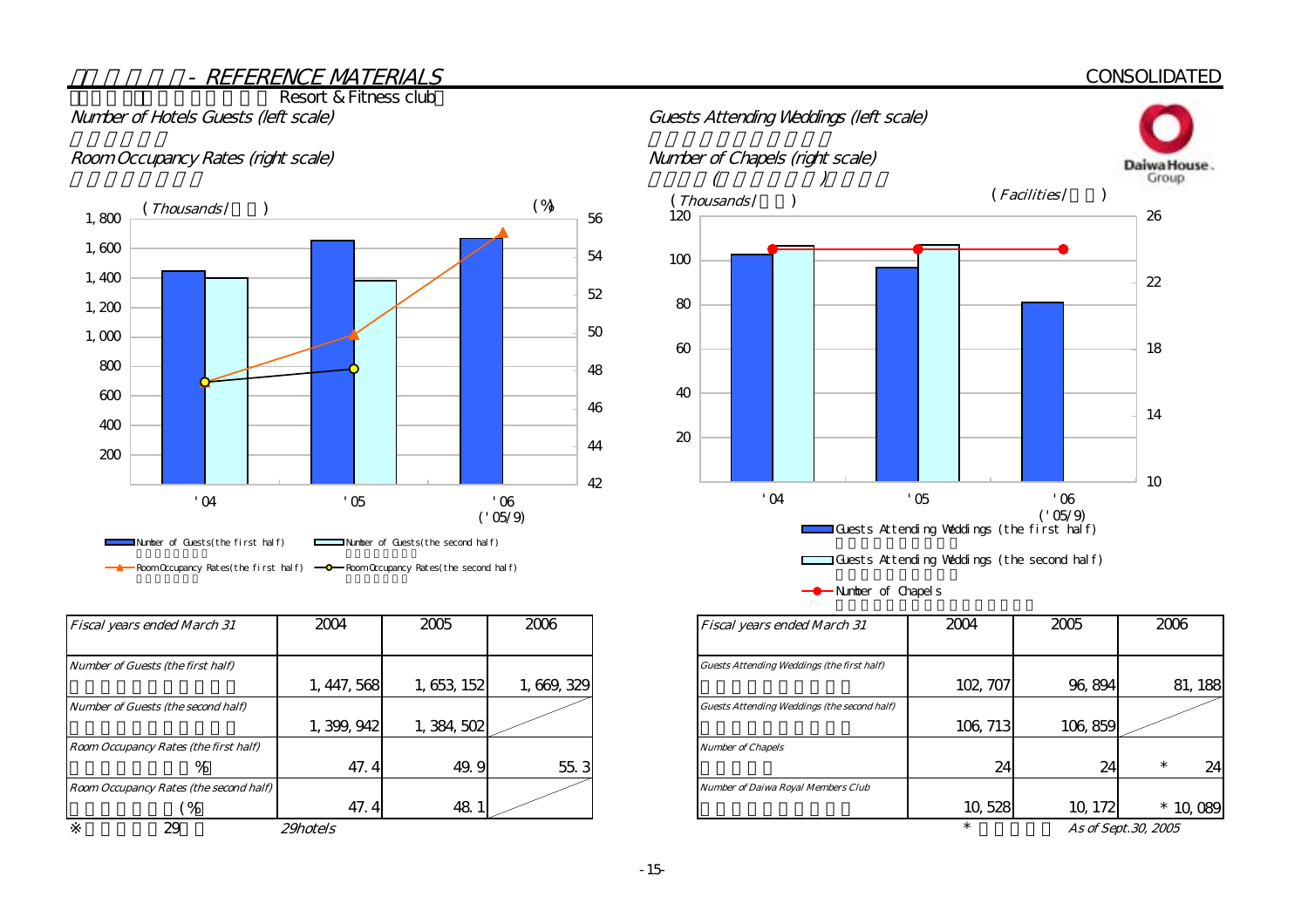#### **CONSOLIDATED**

Resort & Fitness club

#### Room Occupancy Rates (right scale) Number of Chapels (right scale)



| <b>Fiscal years ended March 31</b>     | 2004            | 2005        | 2006      | <b>Fiscal years ended March 31</b>                 | 2004     | 2005    | 2006                |
|----------------------------------------|-----------------|-------------|-----------|----------------------------------------------------|----------|---------|---------------------|
|                                        |                 |             |           |                                                    |          |         |                     |
| Number of Guests (the first half)      |                 |             |           | <b>Guests Attending Weddings (the first half)</b>  |          |         |                     |
|                                        | 1, 447, 568     | 1,653,152   | 1,669,329 |                                                    | 102, 707 | 96,894  | 81, 188             |
| Number of Guests (the second half)     |                 |             |           | <b>Guests Attending Weddings (the second half)</b> |          |         |                     |
|                                        | 1, 399, 942     | 1, 384, 502 |           |                                                    | 106, 713 | 106,859 |                     |
| Room Occupancy Rates (the first half)  |                 |             |           | <b>Number of Chapels</b>                           |          |         |                     |
| %                                      | 47.4            | 49.9        | 55.3      |                                                    | 24       | 24      | 24                  |
| Room Occupancy Rates (the second half) |                 |             |           | <b>Number of Daiwa Royal Members Club</b>          |          |         |                     |
| $\frac{6}{6}$                          | 47.4            | 48.         |           |                                                    | 10,528   | 10, 172 | $*$ 10,089          |
| 29                                     | <i>29hotels</i> |             |           |                                                    |          |         | As of Sept.30, 2005 |



Guests Attending Weddings (the second half)

-**C**-Number of Chapels

| <b>Fiscal years ended March 31</b>          | 2004     | 2005    | 2006         |
|---------------------------------------------|----------|---------|--------------|
|                                             |          |         |              |
| Guests Attending Weddings (the first half)  |          |         |              |
|                                             | 102, 707 | 96,894  | 81, 188      |
| Guests Attending Weddings (the second half) |          |         |              |
|                                             | 106, 713 | 106,859 |              |
| <b>Number of Chapels</b>                    |          |         |              |
|                                             | 24       | 24      | $\ast$<br>24 |
| <b>Number of Daiwa Royal Members Club</b>   |          |         |              |
|                                             | 10,528   | 10, 172 | *            |
|                                             | ÷        | $\sim$  | . 00000      |

As of Sept.30, 2005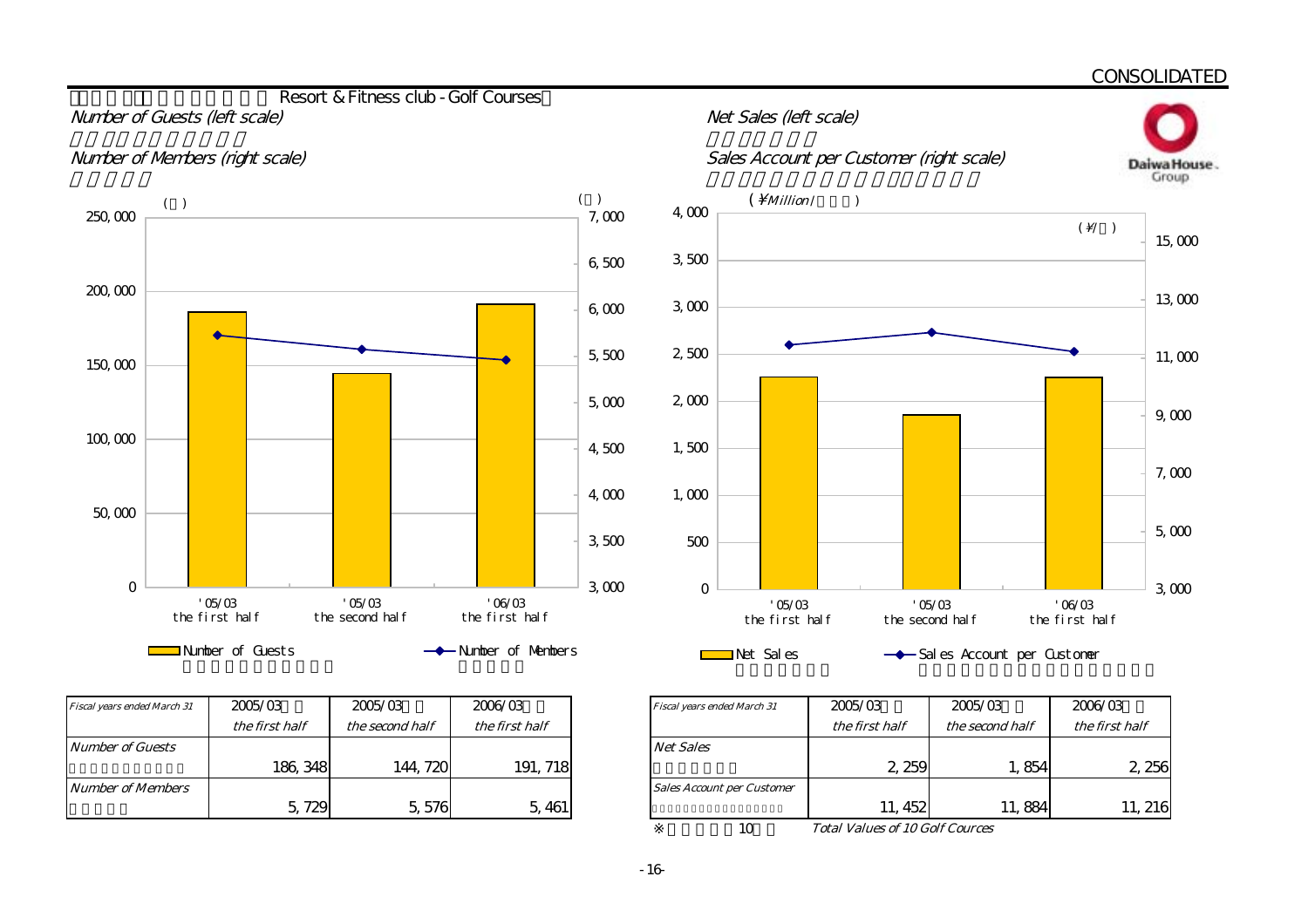Daiwa House. Group

#### **Resort & Fitness club - Golf Courses** Number of Guests (left scale) and the state of Guests (left scale)





| Fiscal years ended March 31 | 2005/03        | 2005/03         | 2006/03        | Fiscal years ended March 31       |
|-----------------------------|----------------|-----------------|----------------|-----------------------------------|
|                             | the first half | the second half | the first half |                                   |
| <b>Number of Guests</b>     |                |                 |                | <b>Net Sales</b>                  |
|                             | 186, 348       | 144, 720        | 191, 718       |                                   |
| Number of Members           |                |                 |                | <b>Sales Account per Customer</b> |
|                             | 5,729          | 5,576           | 5,461          |                                   |





| 2005/03        | 2005/03         | 2006/03        | <b>Fiscal years ended March 31</b> | 2005/03                                | 2005/03         | 2006/03        |
|----------------|-----------------|----------------|------------------------------------|----------------------------------------|-----------------|----------------|
| the first half | the second half | the first half |                                    | the first half                         | the second half | the first half |
|                |                 |                | <b>Net Sales</b>                   |                                        |                 |                |
| 186, 348       | 144, 720        | 191, 718       |                                    | 2 259                                  | 1,854           | 2, 256         |
|                |                 |                | <b>Sales Account per Customer</b>  |                                        |                 |                |
| 5,729          | 5,576           | 5, 461         |                                    | 11, 452                                | 11,884          | 11, 216        |
|                |                 |                |                                    | <b>Total Values of 10 Golf Cources</b> |                 |                |

Total Values of 10 Golf Cources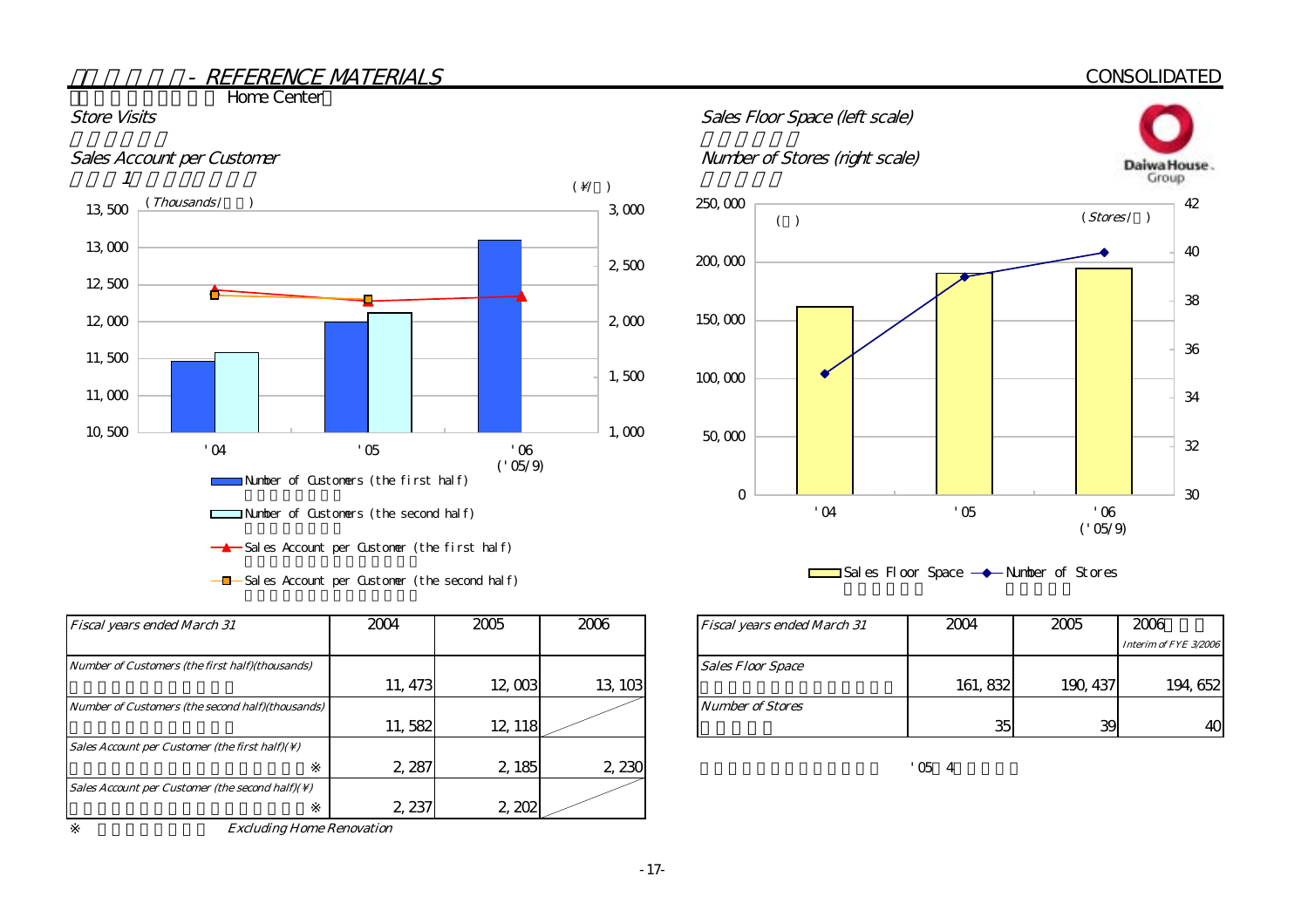#### **CONSOLIDATED**

**The Home Center** 



 $-\blacksquare$  Sales Account per Customer (the second half)

| <b>Fiscal years ended March 31</b>                          | 2004    | 2005    | 2006    | Fiscal years ended March 31 |
|-------------------------------------------------------------|---------|---------|---------|-----------------------------|
| Number of Customers (the first half)(thousands)             |         |         |         | <b>Sales Floor Space</b>    |
|                                                             | 11, 473 | 12,003  | 13, 103 |                             |
| Number of Customers (the second half)(thousands)            |         |         |         | <b>Number of Stores</b>     |
|                                                             | 11,582  | 12, 118 |         |                             |
| Sales Account per Customer (the first half)( $\setminus$ )  |         |         |         |                             |
|                                                             | 2,287   | 2, 185  | 2,230   |                             |
| Sales Account per Customer (the second half)( $\setminus$ ) |         |         |         |                             |
|                                                             | 2, 237  | 2,202   |         |                             |

Excluding Home Renovation





| 2004    | 2005    | 2006    | <b>Fiscal years ended March 31</b> | 2004     | 2005     | 2006                  |
|---------|---------|---------|------------------------------------|----------|----------|-----------------------|
|         |         |         |                                    |          |          | Interim of FYE 3/2006 |
|         |         |         | <b>Sales Floor Space</b>           |          |          |                       |
| 11, 473 | 12,003  | 13, 103 |                                    | 161, 832 | 190, 437 | 194, 652              |
|         |         |         | <b>Number of Stores</b>            |          |          |                       |
| 11,582  | 12, 118 |         |                                    | 35       | 39       | 40                    |

 $'054$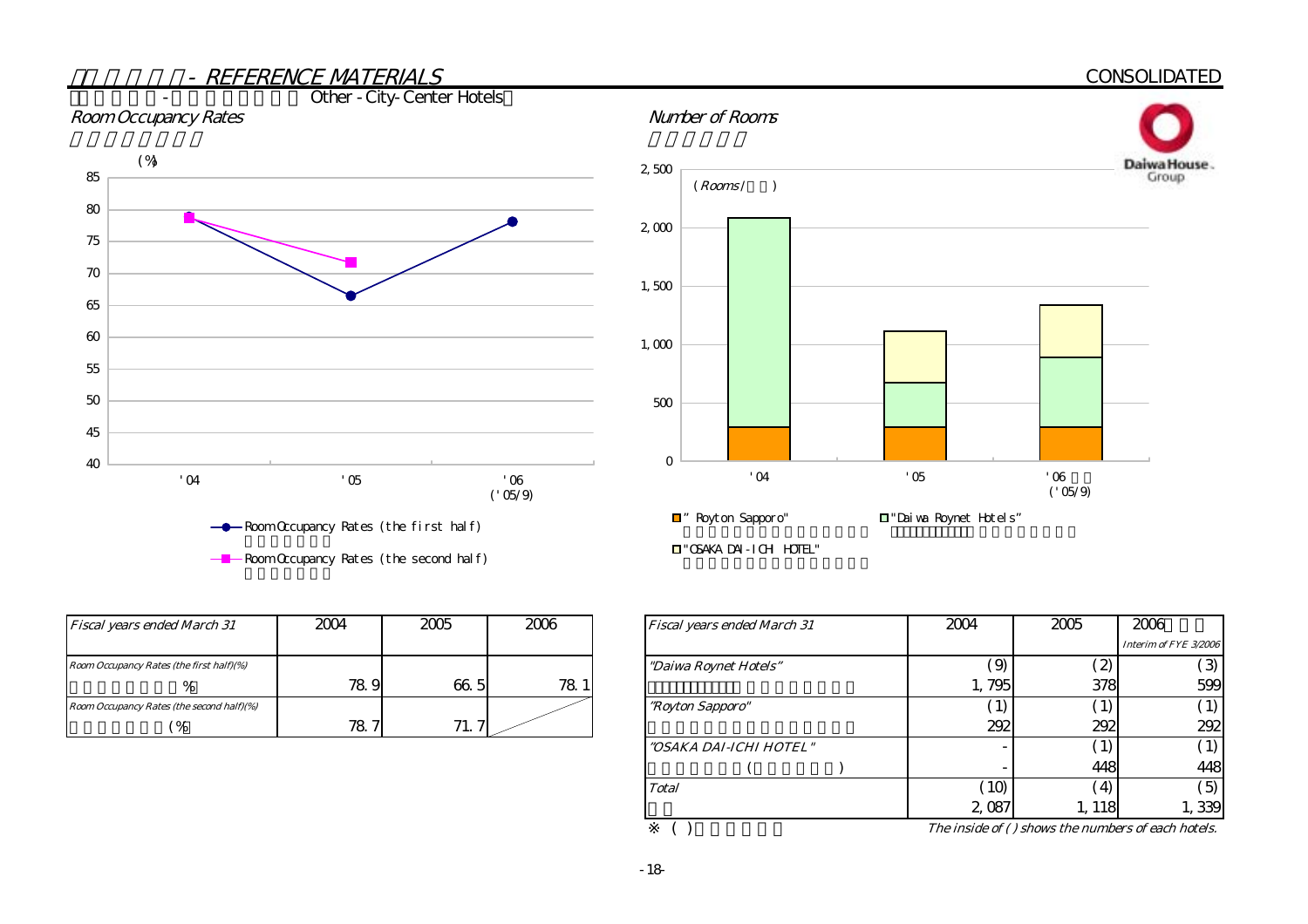

| <b>Fiscal years ended March 31</b>        | 2004 | 2005 | 2006 | <b>Fiscal years ended March 31</b> |
|-------------------------------------------|------|------|------|------------------------------------|
| Room Occupancy Rates (the first half)(%)  |      |      |      | "Daiwa Roynet Hotels"              |
| %                                         | 78.9 | 66.5 | 78.  |                                    |
| Room Occupancy Rates (the second half)(%) |      |      |      | <i>"Royton Sapporo"</i>            |
| $\%$                                      | 78.7 | 71.  |      |                                    |

|               | 2006            | Fiscal years ended March 31 | 2004                       | 2005               | 2006                  |
|---------------|-----------------|-----------------------------|----------------------------|--------------------|-----------------------|
|               |                 |                             |                            |                    | Interim of FYE 3/2006 |
|               |                 | "Daiwa Roynet Hotels"       | $\mathcal{G}(\mathcal{G})$ | $\mathcal{Z}$      | $\mathcal{B}$         |
| 5             | 78 <sup>°</sup> |                             | 1,795                      | 378                | 599                   |
|               |                 | "Royton Sapporo"            |                            |                    |                       |
| $\mathcal{L}$ |                 |                             | 292                        | 292                | 292                   |
|               |                 | "OSAKA DAI-ICHI HOTEL"      |                            |                    |                       |
|               |                 |                             |                            | 448                | 448                   |
|               |                 | <b>Total</b>                | 10 <sup>2</sup>            | $\left( 4 \right)$ | 5)                    |
|               |                 |                             | 2,087                      | 1, 118             | 1,339                 |
|               |                 | $\sim$                      |                            |                    |                       |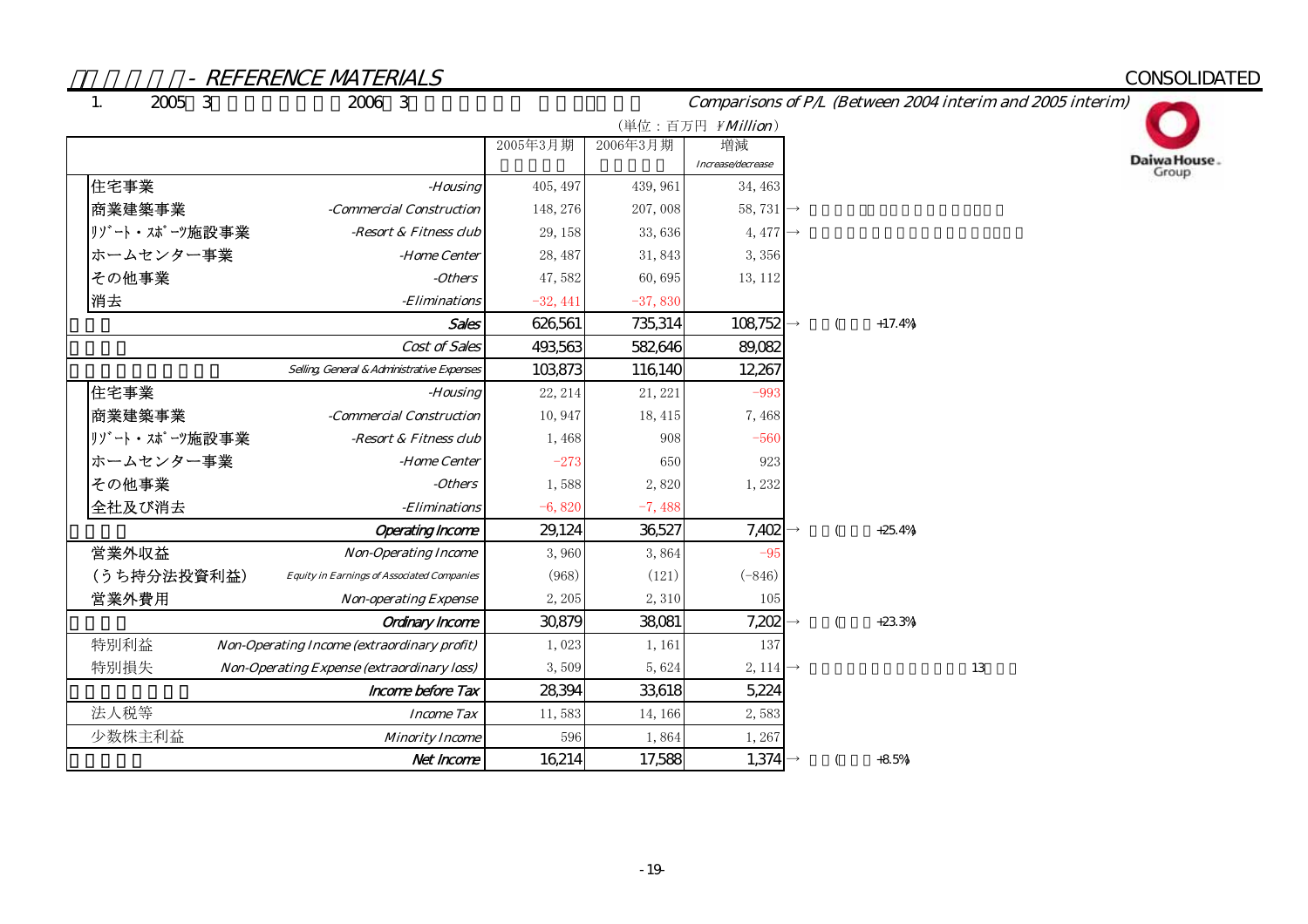# **CONSOLIDATED**

 $\overline{1}$ .

Comparisons of P/L (Between 2004 interim and 2005 interim)



|               |                                                   |            |           | (単位:百万円 ¥Million)     |               |          |    |
|---------------|---------------------------------------------------|------------|-----------|-----------------------|---------------|----------|----|
|               |                                                   | 2005年3月期   | 2006年3月期  | 増減                    |               |          |    |
|               |                                                   |            |           | Increase/decrease     |               |          |    |
| 住宅事業          | -Housing                                          | 405, 497   | 439, 961  | 34, 463               |               |          |    |
| 商業建築事業        | -Commercial Construction                          | 148, 276   | 207,008   | 58,731 $\rightarrow$  |               |          |    |
| リゾート・スポーツ施設事業 | -Resort & Fitness club                            | 29, 158    | 33,636    | 4, 477 $\rightarrow$  |               |          |    |
| ホームセンター事業     | -Home Center                                      | 28, 487    | 31,843    | 3,356                 |               |          |    |
| その他事業         | -Others                                           | 47,582     | 60,695    | 13, 112               |               |          |    |
| 消去            | -Eliminations                                     | $-32, 441$ | $-37,830$ |                       |               |          |    |
|               | <b>Sales</b>                                      | 626,561    | 735,314   | $108,752 \rightarrow$ |               | $+17.4%$ |    |
|               | Cost of Sales                                     | 493,563    | 582,646   | 89,082                |               |          |    |
|               | Selling General & Administrative Expenses         | 103,873    | 116,140   | 12,267                |               |          |    |
| 住宅事業          | -Housing                                          | 22, 214    | 21, 221   | $-993$                |               |          |    |
| 商業建築事業        | -Commercial Construction                          | 10,947     | 18, 415   | 7,468                 |               |          |    |
| リゾート・スポーツ施設事業 | -Resort & Fitness club                            | 1,468      | 908       | $-560$                |               |          |    |
| ホームセンター事業     | -Home Center                                      | $-273$     | 650       | 923                   |               |          |    |
| その他事業         | -Others                                           | 1,588      | 2,820     | 1,232                 |               |          |    |
| 全社及び消去        | - <i>Eliminations</i>                             | $-6,820$   | $-7,488$  |                       |               |          |    |
|               | <b>Operating Income</b>                           | 29,124     | 36,527    | $7,402 \rightarrow$   |               | $+25.4%$ |    |
| 営業外収益         | <b>Non-Operating Income</b>                       | 3,960      | 3,864     | $-95$                 |               |          |    |
| (うち持分法投資利益)   | <b>Equity in Earnings of Associated Companies</b> | (968)      | (121)     | $(-846)$              |               |          |    |
| 営業外費用         | <b>Non-operating Expense</b>                      | 2,205      | 2,310     | 105                   |               |          |    |
|               | Ordinary Income                                   | 30,879     | 38,081    | 7,202                 | $\rightarrow$ | $+23.3%$ |    |
| 特別利益          | Non-Operating Income (extraordinary profit)       | 1,023      | 1, 161    | 137                   |               |          |    |
| 特別損失          | <b>Non-Operating Expense (extraordinary loss)</b> | 3,509      | 5,624     | 2, 114 $\rightarrow$  |               |          | 13 |
|               | Income before Tax                                 | 28,394     | 33,618    | 5,224                 |               |          |    |
| 法人税等          | <b>Income Tax</b>                                 | 11,583     | 14, 166   | 2,583                 |               |          |    |
| 少数株主利益        | <b>Minority Income</b>                            | 596        | 1,864     | 1,267                 |               |          |    |
|               | Net Income                                        | 16,214     | 17,588    | $1,374 \rightarrow$   |               | $+8.5%$  |    |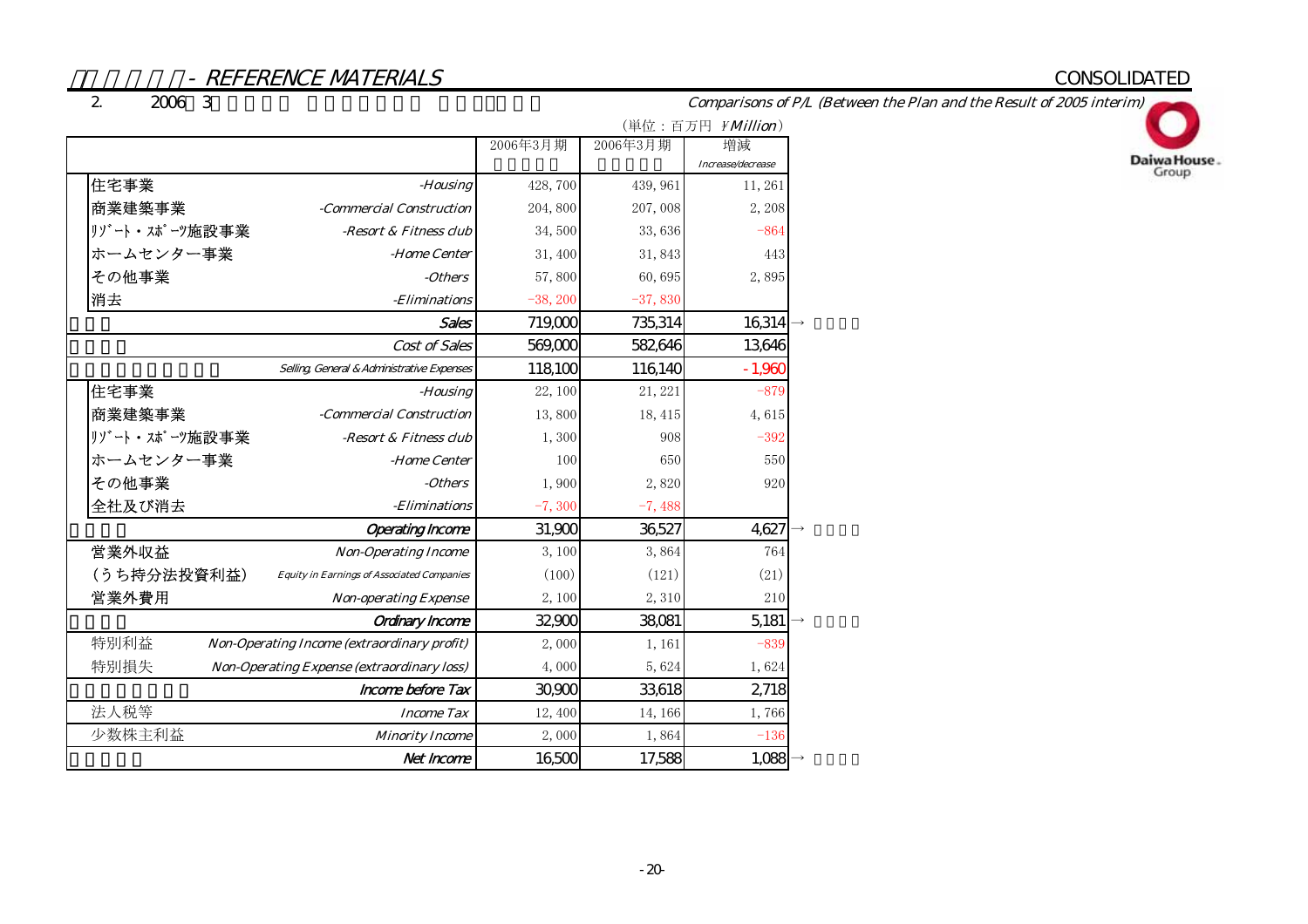# CONSOLIDATED

2. $2006$  3

Comparisons of P/L (Between the Plan and the Result of 2005 interim)



|               |                                                   |            |           | (単位:百万円 <i>¥Million</i> ) |
|---------------|---------------------------------------------------|------------|-----------|---------------------------|
|               |                                                   | 2006年3月期   | 2006年3月期  | 増減                        |
|               |                                                   |            |           | Increase/decrease         |
| 住宅事業          | -Housing                                          | 428,700    | 439, 961  | 11,261                    |
| 商業建築事業        | -Commercial Construction                          | 204,800    | 207,008   | 2,208                     |
| リゾート・スポーツ施設事業 | -Resort & Fitness club                            | 34,500     | 33,636    | $-864$                    |
| ホームセンター事業     | -Home Center                                      | 31,400     | 31,843    | 443                       |
| その他事業         | -Others                                           | 57,800     | 60,695    | 2,895                     |
| 消去            | -Eliminations                                     | $-38, 200$ | $-37,830$ |                           |
|               | Sales                                             | 719,000    | 735,314   | 16,314                    |
|               | Cost of Sales                                     | 569,000    | 582,646   | 13,646                    |
|               | Selling General & Administrative Expenses         | 118,100    | 116,140   | $-1,960$                  |
| 住宅事業          | -Housing                                          | 22, 100    | 21, 221   | $-879$                    |
| 商業建築事業        | -Commercial Construction                          | 13,800     | 18, 415   | 4,615                     |
| リゾート・スポーツ施設事業 | -Resort & Fitness club                            | 1,300      | 908       | $-392$                    |
| ホームセンター事業     | -Home Center                                      | 100        | 650       | 550                       |
| その他事業         | -Others                                           | 1,900      | 2,820     | 920                       |
| 全社及び消去        | -Eliminations                                     | $-7,300$   | $-7,488$  |                           |
|               | <b>Operating Income</b>                           | 31,900     | 36,527    | 4,627                     |
| 営業外収益         | <b>Non-Operating Income</b>                       | 3,100      | 3,864     | 764                       |
| (うち持分法投資利益)   | <b>Equity in Earnings of Associated Companies</b> | (100)      | (121)     | (21)                      |
| 営業外費用         | <b>Non-operating Expense</b>                      | 2,100      | 2,310     | 210                       |
|               | <b>Ordinary Income</b>                            | 32,900     | 38,081    | 5,181                     |
| 特別利益          | Non-Operating Income (extraordinary profit)       | 2,000      | 1,161     | $-839$                    |
| 特別損失          | Non-Operating Expense (extraordinary loss)        | 4,000      | 5,624     | 1,624                     |
|               | Income before Tax                                 | 30,900     | 33,618    | 2718                      |
| 法人税等          | <b>Income Tax</b>                                 | 12,400     | 14, 166   | 1,766                     |
| 少数株主利益        | <b>Minority Income</b>                            | 2,000      | 1,864     | $-136$                    |
|               | Net Income                                        | 16,500     | 17,588    | 1,088                     |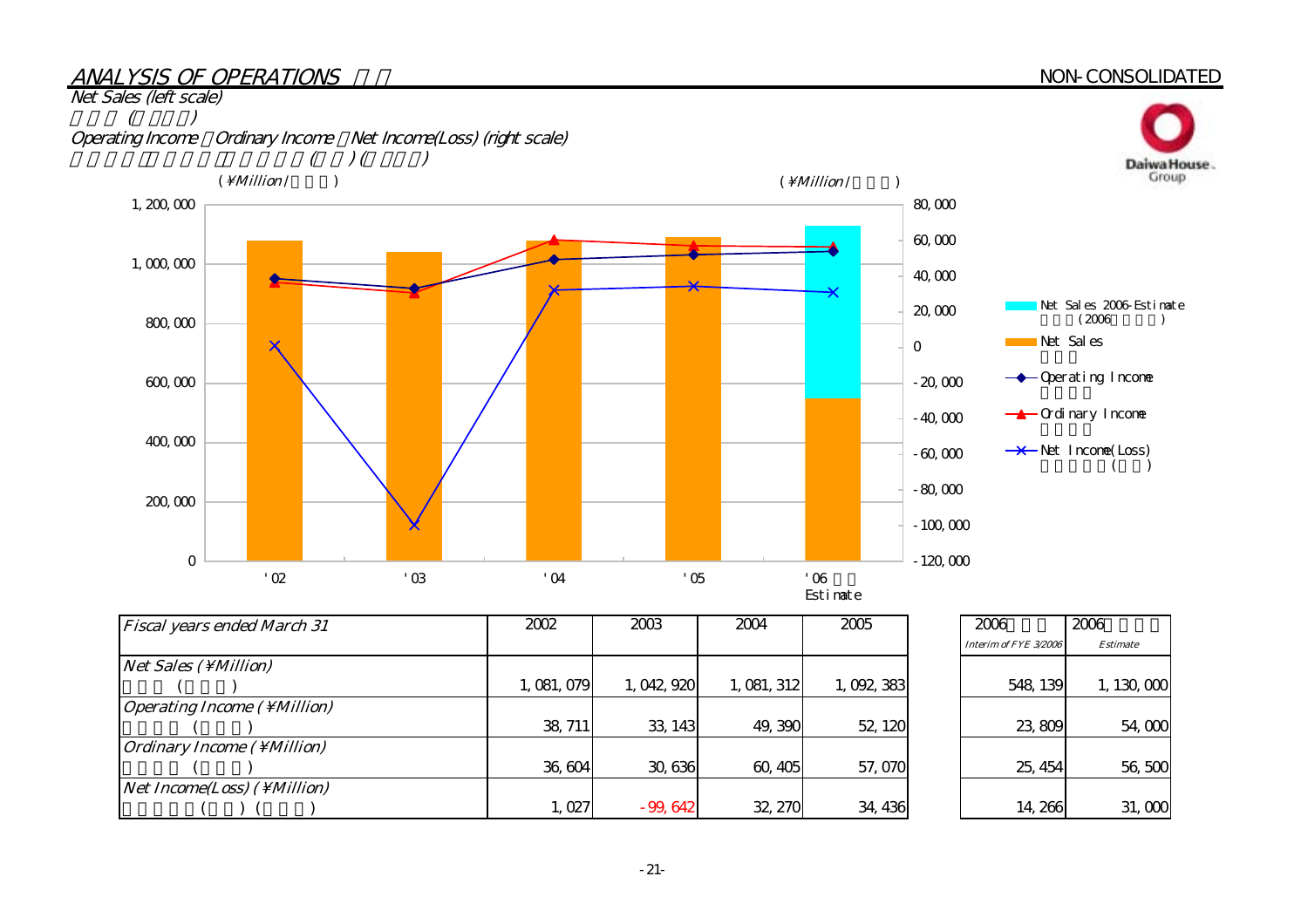# ANALYSIS OF OPERATIONS

#### NON-CONSOLIDATED



| <b>Fiscal years ended March 31</b>          | 2002        | 2003        | 2004        | 2005      |
|---------------------------------------------|-------------|-------------|-------------|-----------|
|                                             |             |             |             |           |
| Net Sales (\Million)                        |             |             |             |           |
|                                             | 1, 081, 079 | 1, 042, 920 | 1, 081, 312 | 1,092,383 |
| <i><b>Operating Income ( \ Million)</b></i> |             |             |             |           |
|                                             | 38, 711     | 33, 143     | 49,390      | 52, 120   |
| <i><b>Ordinary Income ( \ Million)</b></i>  |             |             |             |           |
|                                             | 36,604      | 30,636      | 60, 405     | 57,070    |
| <i>Net Income(Loss)</i> ( \ <i>Million)</i> |             |             |             |           |
|                                             | 1,027       | $-99,642$   | 32, 270     | 34, 436   |

| 2006                  | 2006            |
|-----------------------|-----------------|
| Interim of FYE 3/2006 | <b>Estimate</b> |
| 548, 139              | 1, 130, 000     |
| 23,809                | 54,000          |
| 25, 454               | 56,500          |
| 14.266                | 31,000          |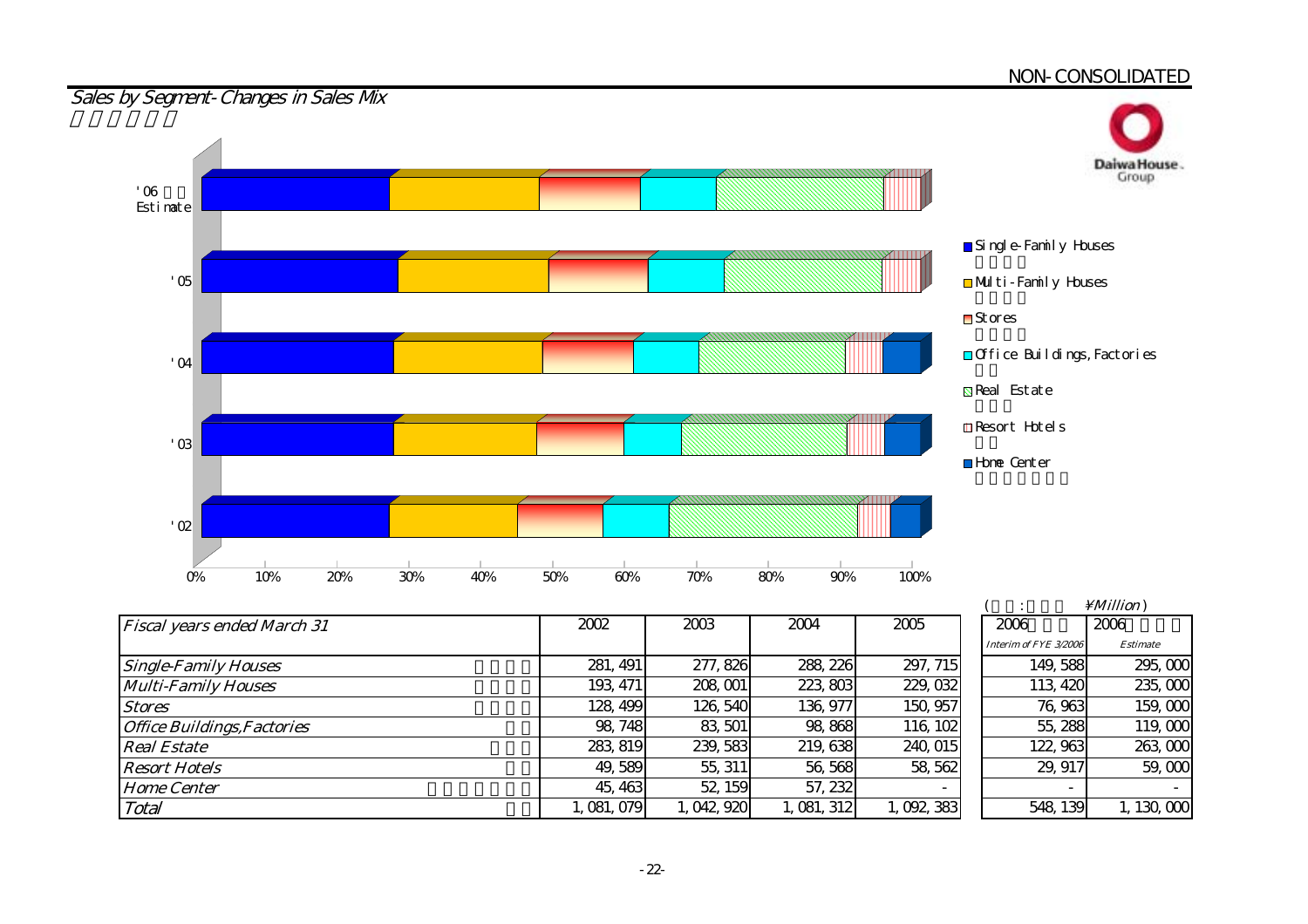

|                                    |           |           |           |           |                       | 11111110117 |
|------------------------------------|-----------|-----------|-----------|-----------|-----------------------|-------------|
| <b>Fiscal years ended March 31</b> | 2002      | 2003      | 2004      | 2005      | 2006                  | 2006        |
|                                    |           |           |           |           | Interim of FYE 3/2006 | Estimate    |
| <b>Single-Family Houses</b>        | 281, 491  | 277, 826  | 288, 226  | 297, 715  | 149,588               | 295,000     |
| <b>Multi-Family Houses</b>         | 193, 471  | 208, 001  | 223, 803  | 229, 032  | 113, 420              | 235,000     |
| <b>Stores</b>                      | 128, 499  | 126, 540  | 136, 977  | 150, 957  | 76,963                | 159,000     |
| <b>Office Buildings, Factories</b> | 98, 748   | 83, 501   | 98,868    | 116, 102  | 55, 288               | 119,000     |
| <b>Real Estate</b>                 | 283, 819  | 239, 583  | 219, 638  | 240, 015  | 122, 963              | 263,000     |
| <b>Resort Hotels</b>               | 49,589    | 55, 311   | 56, 568   | 58, 562   | 29, 917               | 59,000      |
| <b>Home Center</b>                 | 45, 463   | 52, 159   | 57, 232   |           |                       |             |
| Total                              | 1,081,079 | 1,042,920 | 1,081,312 | 1,092,383 | 548, 139              | 1,130,000   |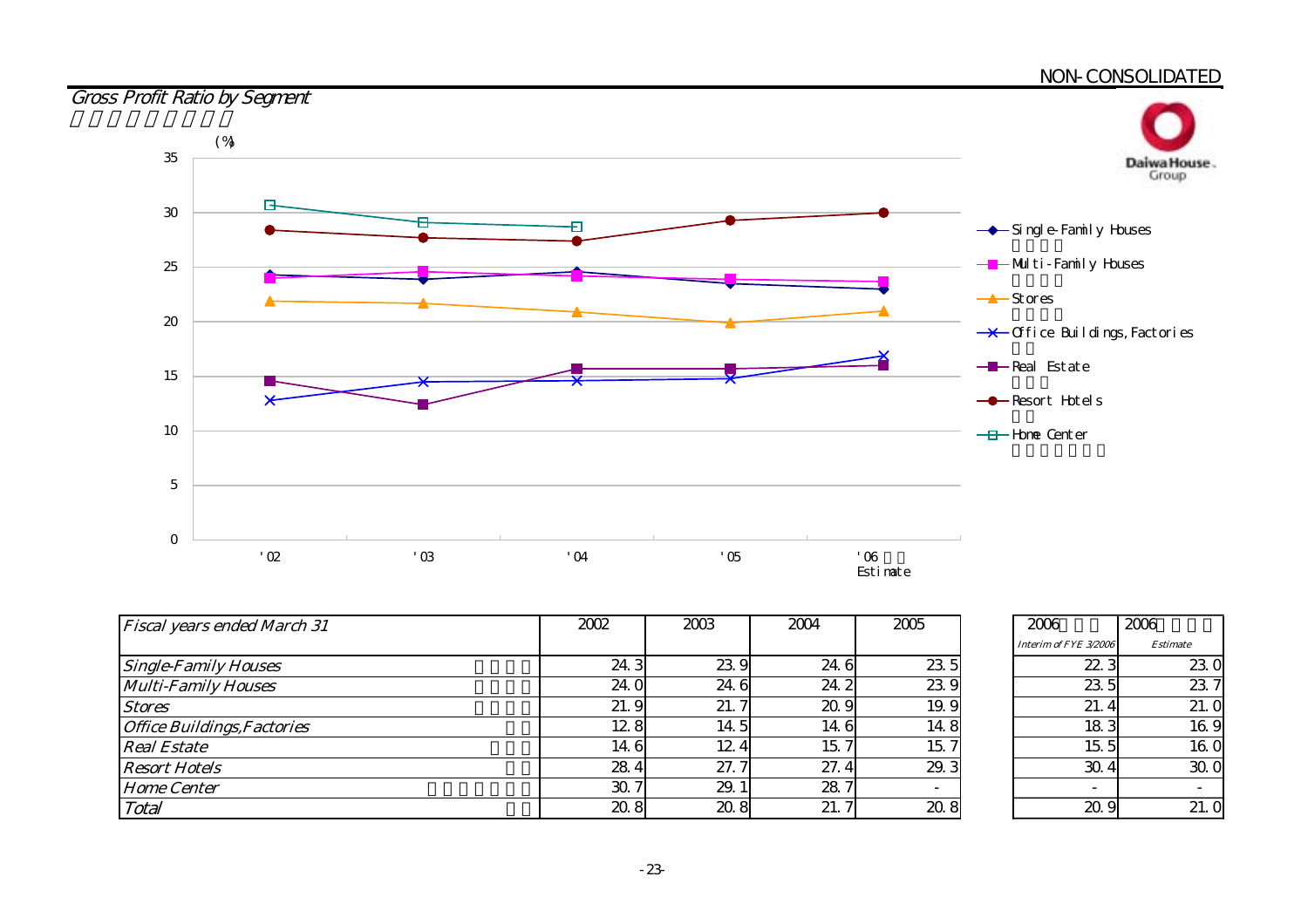

| <b>Fiscal years ended March 31</b> | 2002            | 2003 | 2004          | 2005                     |
|------------------------------------|-----------------|------|---------------|--------------------------|
|                                    |                 |      |               |                          |
| <b>Single-Family Houses</b>        | 24.3            | 23.9 | 24.6          | 23.5                     |
| <b>Multi-Family Houses</b>         | 24.0            | 24.6 | 24.2          | 23.9                     |
| <b>Stores</b>                      | 21.9            | 21.7 | 20.9          | 19.9                     |
| <b>Office Buildings, Factories</b> | 12.8            | 14.5 | 14.6          | 14.8                     |
| <b>Real Estate</b>                 | 14.6            | 12.4 | 15.<br>$\tau$ | 15.7                     |
| <b>Resort Hotels</b>               | 28.4            | 27.7 | 27.4          | 29.3                     |
| <b>Home Center</b>                 | 30 <sub>l</sub> | 29.1 | 28.           | $\overline{\phantom{0}}$ |
| Total                              | 208             | 20.8 | 21.           | 20.8                     |

| 2006                  | 2006            |
|-----------------------|-----------------|
| Interim of FYE 3/2006 | <b>Estimate</b> |
| 22.3                  | 23.0            |
| 23.5                  | 23.7            |
| 21.4                  | 21.0            |
| 183                   | 16.9            |
| 15.5                  | 16.0            |
| 30.4                  | 30. O           |
|                       |                 |
|                       | 21.             |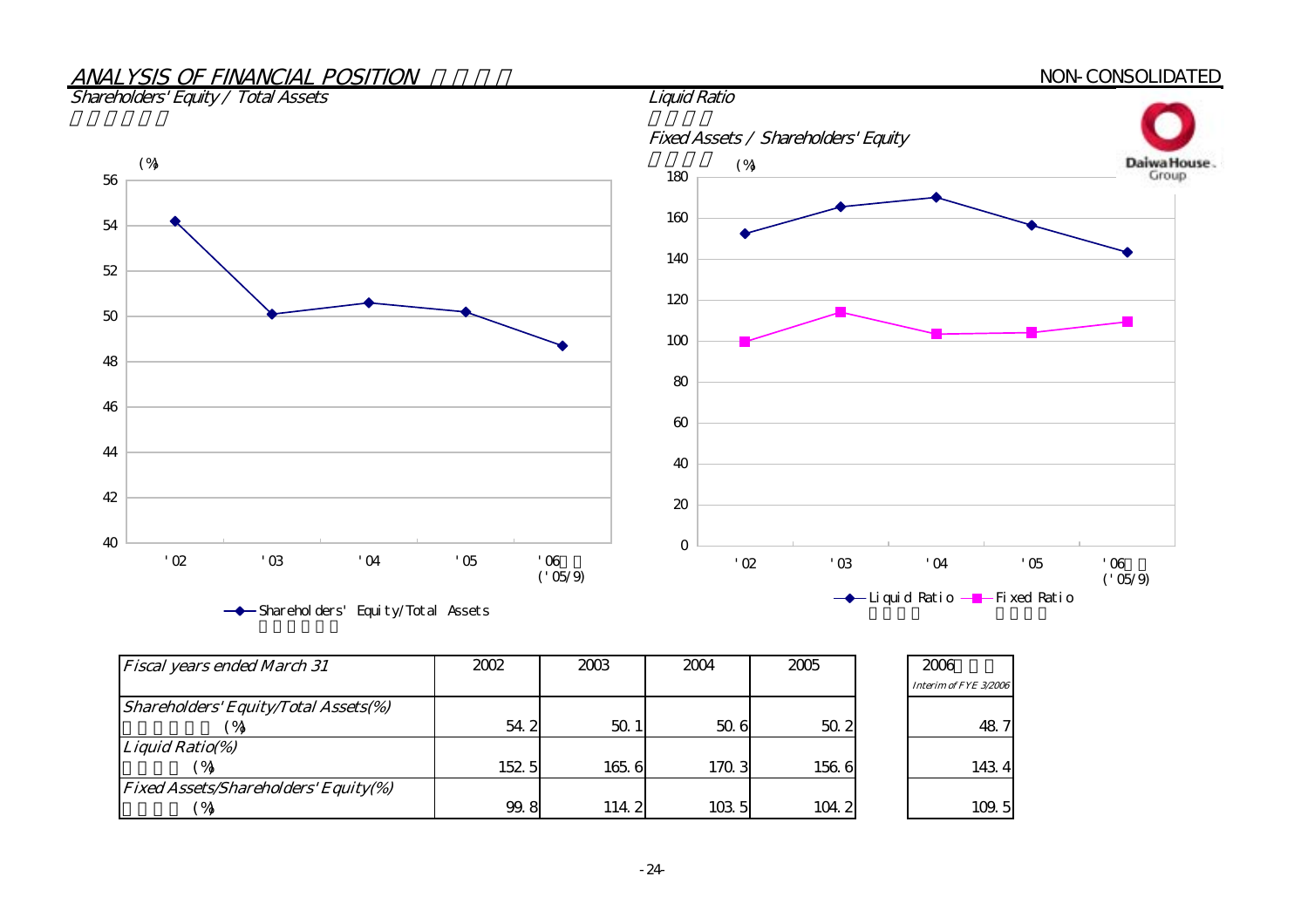#### ANALYSIS OF FINANCIAL POSITION NON-CONSOLIDATED Shareholders' Equity / Total Assets Fixed Assets / Shareholders' Equity Daiwa House.  $(\%)$  (%) and (%) and (%) and (%) and (%) and (%) and (%) and (%) and (%) and (%) and (%) and (%) and (%) and (%) and (%) and (%) and (%) and (%) and (%) and (%) and (%) and (%) and (%) and (%) and (%) and (%) and (%) and 18056 160 54 140 52 120 50 10048 8046 60 44

| <b>Fiscal years ended March 31</b>          | 2002  | 2003            | 2004  | 2005  | 2006<br>Interim of FYE 3/2006 |
|---------------------------------------------|-------|-----------------|-------|-------|-------------------------------|
| <b>Shareholders' Equity/Total Assets(%)</b> |       |                 |       |       |                               |
|                                             | 54.2  | 50 <sub>1</sub> | 50.6  | 50.2  | 48.7                          |
| Liquid Ratio(%)                             |       |                 |       |       |                               |
| $^{\prime}$ %                               | 152 5 | 165.6           | 170.3 | 156 6 | 1434                          |
| <b>Fixed Assets/Shareholders' Equity(%)</b> |       |                 |       |       |                               |
|                                             | 99.8  | 114.2           | 103 5 | 104.2 | 109.5                         |

 $(^{6}$   $(05/9)$ 

 $'02$   $'03$   $'04$   $'05$   $'06$ 

Shareholders' Equity/Total Assets

40

42

0

20

40

 $(^{6}$   $(05/9)$ 

 $'02$   $'03$   $'04$   $'05$   $'06$ 

→ Liquid Ratio - Fixed Ratio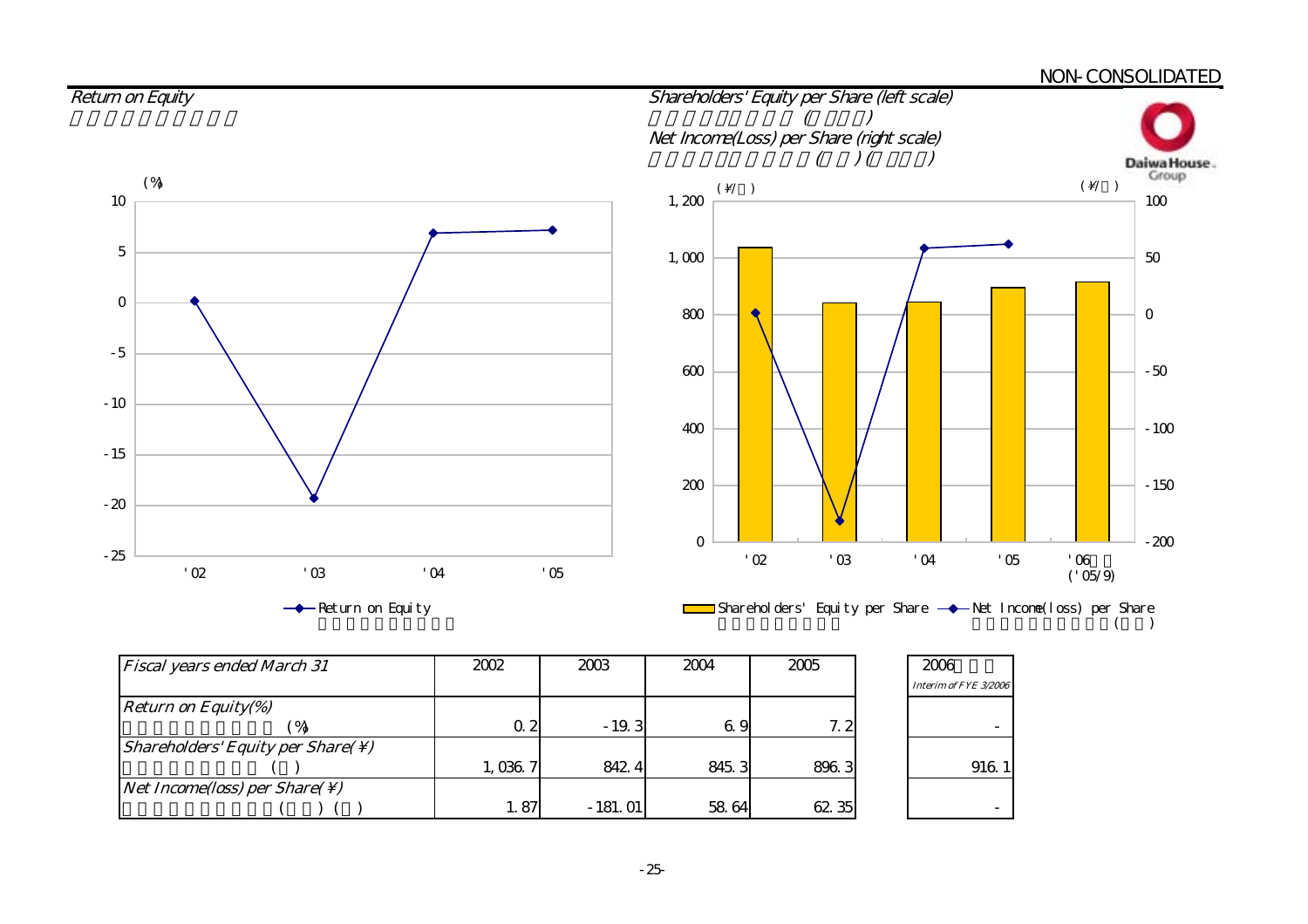

 $($ 

| <b>Fiscal years ended March 31</b>                               | 2002    | 2003      | 2004  | 2005  | 2006                  |
|------------------------------------------------------------------|---------|-----------|-------|-------|-----------------------|
|                                                                  |         |           |       |       | Interim of FYE 3/2006 |
| <b>Return on Equity(%)</b>                                       |         |           |       |       |                       |
|                                                                  | 0.2     | $-19.3$   | 69    | 7.2   |                       |
| <i>Shareholders' Equity per Share(<math>\setminus</math>)</i>    |         |           |       |       |                       |
|                                                                  | 1,036.7 | 842.4     | 845.3 | 896.3 | 916.1                 |
| <i>Net Income(loss)</i> per <i>Share(<math>\setminus</math>)</i> |         |           |       |       |                       |
|                                                                  | 1.87    | $-181.01$ | 58 64 | 62 35 |                       |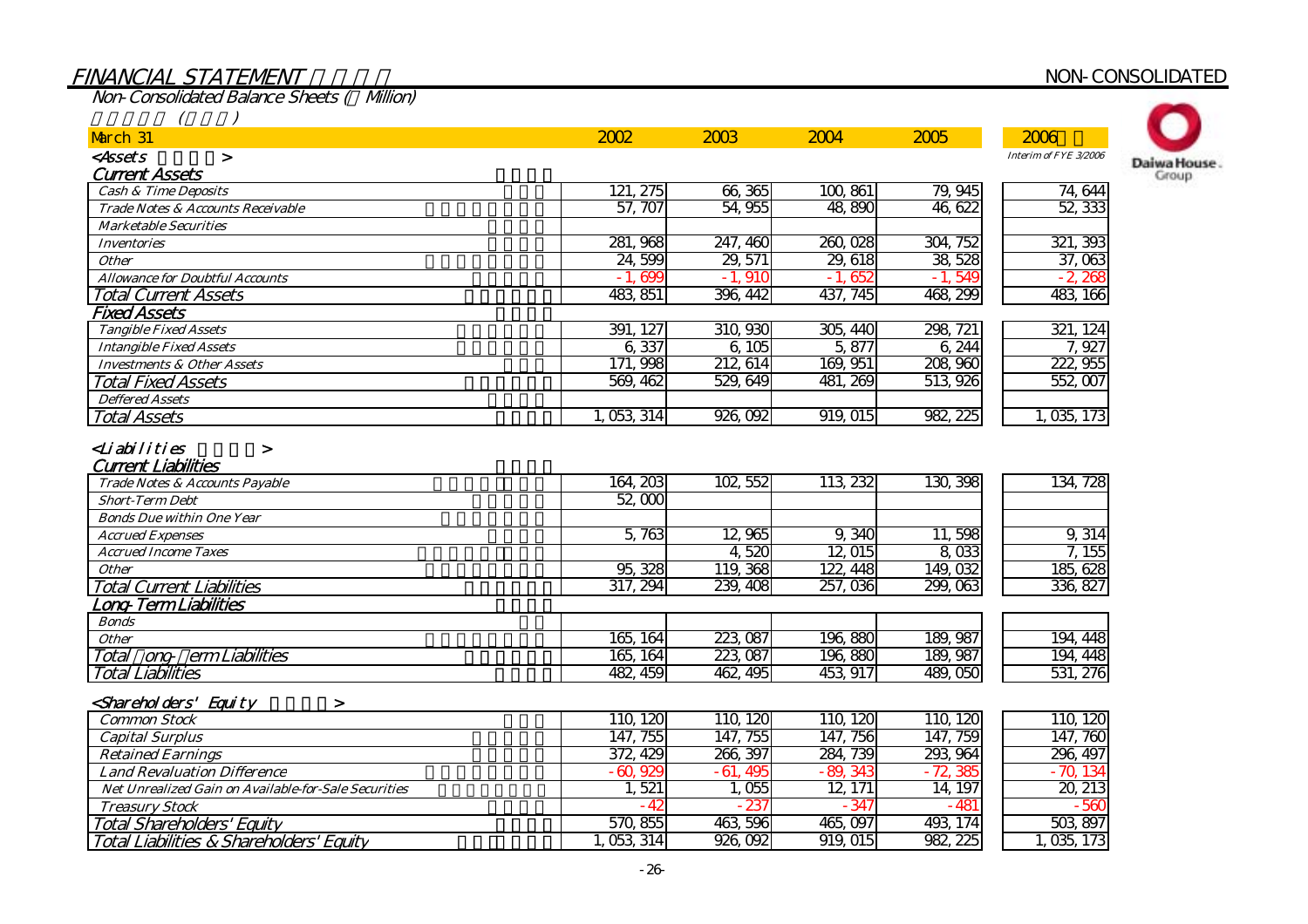# FINANCIAL STATEMENT NON-CONSOLIDATED

Non-Consolidated Balance Sheets (Million)

| March 31                                             | 2002                     | 2003       | 2004        | 2005        | 2006                  |
|------------------------------------------------------|--------------------------|------------|-------------|-------------|-----------------------|
| <assets<br><math>\geq</math></assets<br>             |                          |            |             |             | Interim of FYE 3/2006 |
| <b>Current Assets</b>                                |                          |            |             |             |                       |
| <b>Cash &amp; Time Deposits</b>                      | 121, 275                 | 66,365     | 100,861     | 79, 945     | 74,644                |
| Trade Notes & Accounts Receivable                    | 57, 707                  | 54 955     | 48,890      | 46.622      | 52, 333               |
| <b>Marketable Securities</b>                         |                          |            |             |             |                       |
| <b>Inventories</b>                                   | 281, 968                 | 247, 460   | 260,028     | 304, 752    | 321, 393              |
| <b>Other</b>                                         | 24,599                   | 29, 571    | 29, 618     | 38, 528     | 37,063                |
| <b>Allowance for Doubtful Accounts</b>               | 600                      | <b>910</b> | 652<br>$-1$ | $-1,549$    | $-2,268$              |
| <b>Total Current Assets</b>                          | 483, 851                 | 396, 442   | 437, 745    | 468, 299    | 483, 166              |
| <b>Fixed Assets</b>                                  |                          |            |             |             |                       |
| <b>Tangible Fixed Assets</b>                         | 391, 127                 | 310, 930   | 305, 440    | 298, 721    | 321, 124              |
| <b>Intangible Fixed Assets</b>                       | 6,337                    | 6105       | 5,877       | 6,244       | 7,927                 |
| <b>Investments &amp; Other Assets</b>                | $\overline{998}$<br>171. | 212, 614   | 169, 951    | 208,960     | 222, 955              |
| Total Fixed Assets                                   | 569, 462                 | 529, 649   | 481, 269    | 513, 926    | 552,007               |
| <b>Deffered Assets</b>                               |                          |            |             |             |                       |
| Total Assets                                         | 1, 053, 314              | 926,092    | 919, 015    | 982, 225    | 1,035,173             |
| Trade Notes & Accounts Payable                       | 164, 203                 | 102, 552   | 113, 232    | 130,398     | 134, 728              |
| <b>Current Liabilities</b>                           |                          |            |             |             |                       |
| <b>Short-Term Debt</b>                               | 52,000                   |            |             |             |                       |
| <b>Bonds Due within One Year</b>                     |                          |            |             |             |                       |
| <b>Accrued Expenses</b>                              | 5,763                    | 12,965     | 9,340       | 11,598      | 9,314                 |
| <b>Accrued Income Taxes</b>                          |                          | 4,520      | 12, 015     | 8,033       | 7,155                 |
| <b>Other</b>                                         | 95, 328                  | 119, 368   | 122, 448    | 149,032     | 185, 628              |
| <b>Total Current Liabilities</b>                     | 317, 294                 | 239, 408   | 257,036     | 299,063     | 336, 827              |
| .ong-TermLiabilities                                 |                          |            |             |             |                       |
| <b>Bonds</b>                                         |                          |            |             |             |                       |
| <b>Other</b>                                         | 165, 164                 | 223, 087   | 196,880     | 189, 987    | 194, 448              |
| Total ong ermLiabilities                             | 165, 164                 | 223,087    | 196,880     | 189, 987    | 194, 448              |
| <b>Total Liabilities</b>                             | 482, 459                 | 462, 495   | 453, 917    | 489,050     | 531, 276              |
| <shareholders' equity<br="">&gt;</shareholders'>     |                          |            |             |             |                       |
| <b>Common Stock</b>                                  | 110, 120                 | 110, 120   | 110, 120    | 110, 120    | 110, 120              |
| <b>Capital Surplus</b>                               | 147, 755                 | 147, 755   | 147, 756    | 147, 759    | 147, 760              |
| <b>Retained Earnings</b>                             | 372, 429                 | 266, 397   | 284, 739    | 293, 964    | 296, 497              |
| <b>Land Revaluation Difference</b>                   | $-60,929$                | $-61,495$  | $-89.343$   | $-72,385$   | $-70,134$             |
| Net Unrealized Gain on Available-for-Sale Securities | 1,521                    | 1,055      | 12, 171     | 14, 197     | 20, 213               |
| <b>Treasury Stock</b>                                | - 41                     | $-23$      | $-347$      | $-48^\circ$ | 561                   |
| Total Shareholders' Equity                           | 570,855                  | 463,596    | 465,097     | 493, 174    | 503, 897              |
| Total Liabilities & Shareholders' Equity             | 1, 053, 314              | 926,092    | 919,015     | 982, 225    | 1,035,173             |

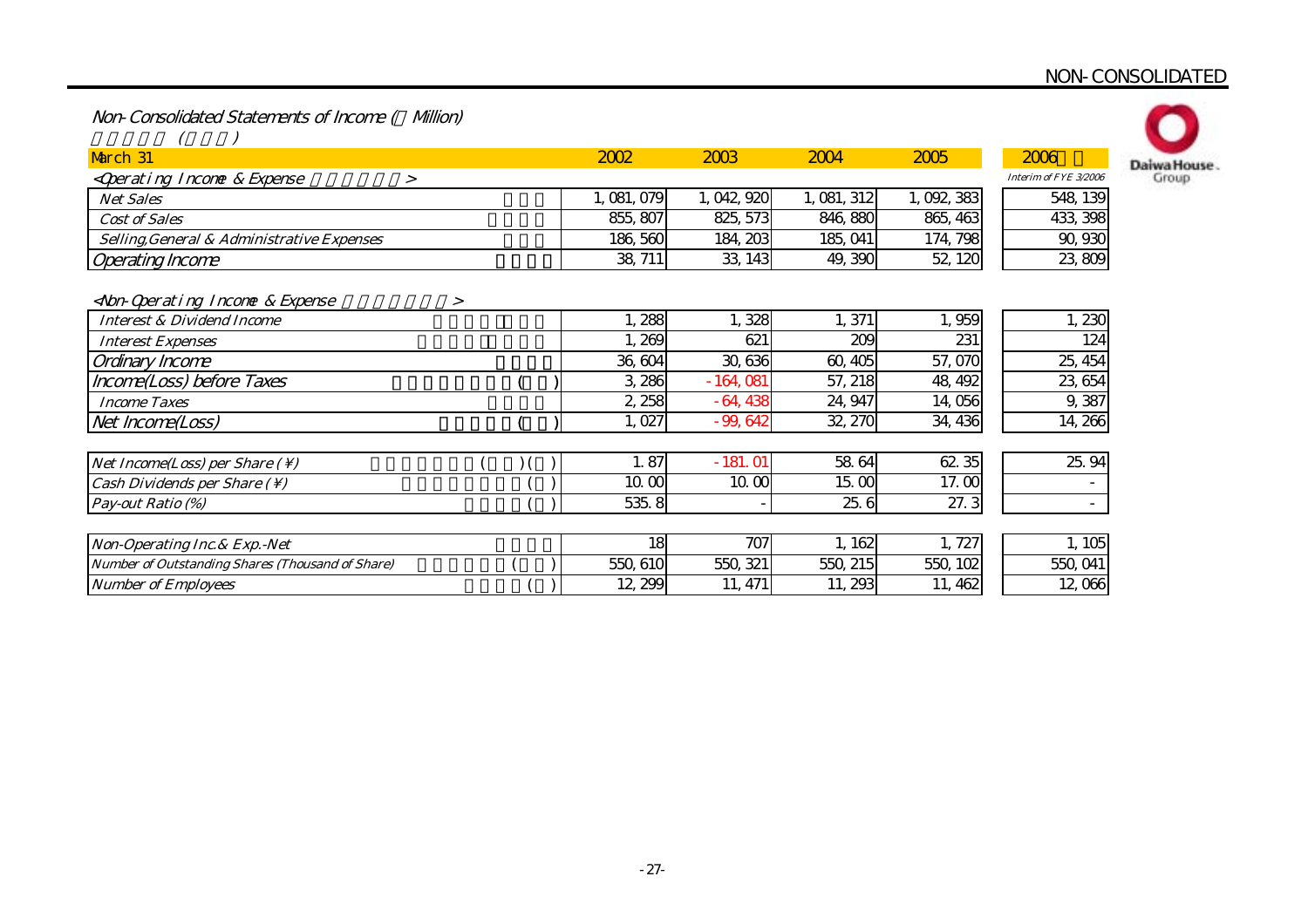Non-Consolidated Statements of Income ( Million)

| March 31                                                              | 2002        | 2003        | 2004        | 2005      | 2006                  | Daiwa House |
|-----------------------------------------------------------------------|-------------|-------------|-------------|-----------|-----------------------|-------------|
| <qperating &="" expense<br="" income=""><math>\geq</math></qperating> |             |             |             |           | Interim of FYE 3/2006 | Group       |
| <b>Net Sales</b>                                                      | 1, 081, 079 | 1, 042, 920 | 1, 081, 312 | 1,092,383 | 548, 139              |             |
| <b>Cost of Sales</b>                                                  | 855, 807    | 825, 573    | 846, 880    | 865, 463  | 433, 398              |             |
| Selling, General & Administrative Expenses                            | 186,560     | 184, 203    | 185, 041    | 174, 798  | 90,930                |             |
| <b>Operating Income</b>                                               | 38, 711     | 33, 143     | 49, 390     | 52, 120   | 23,809                |             |
| <non-qoerating &="" expense<br="" income="">&gt;</non-qoerating>      |             |             |             |           |                       |             |
| <b>Interest &amp; Dividend Income</b>                                 | 1,288       | 1,328       | 1,371       | 1,959     | 1,230                 |             |
| <b>Interest Expenses</b>                                              | 269         | 621         | 209         | 231       | 124                   |             |
| Ordinary Income                                                       | 36, 604     | 30,636      | 60,405      | 57,070    | 25, 454               |             |
| Income(Loss) before Taxes                                             | 3,286       | $-164,081$  | 57, 218     | 48, 492   | 23, 654               |             |
| <b>Income Taxes</b>                                                   | 2,258       | $-64,438$   | 24, 947     | 14,056    | 9,387                 |             |
| Net Income(Loss)                                                      | , 027       | $-99,642$   | 32, 270     | 34, 436   | 14, 266               |             |
| Net Income(Loss) per Share $( \setminus )$                            | 1.87        | $-181.01$   | 58 64       | 62 35     | 25.94                 |             |
| Cash Dividends per Share $( \setminus )$                              | 10.00       | 10.00       | 15.00       | 17.00     | ۰                     |             |
| Pay-out Ratio (%)                                                     | 535.8       |             | 25.6        | 27.3      |                       |             |
| Non-Operating Inc. & Exp. - Net                                       | 18          | 707         | 1,162       | 1,727     | 1,105                 |             |
| Number of Outstanding Shares (Thousand of Share)                      | 550, 610    | 550, 321    | 550, 215    | 550, 102  | 550, 041              |             |
| <b>Number of Employees</b>                                            | 12, 299     | 11, 471     | 11, 293     | 11, 462   | 12,066                |             |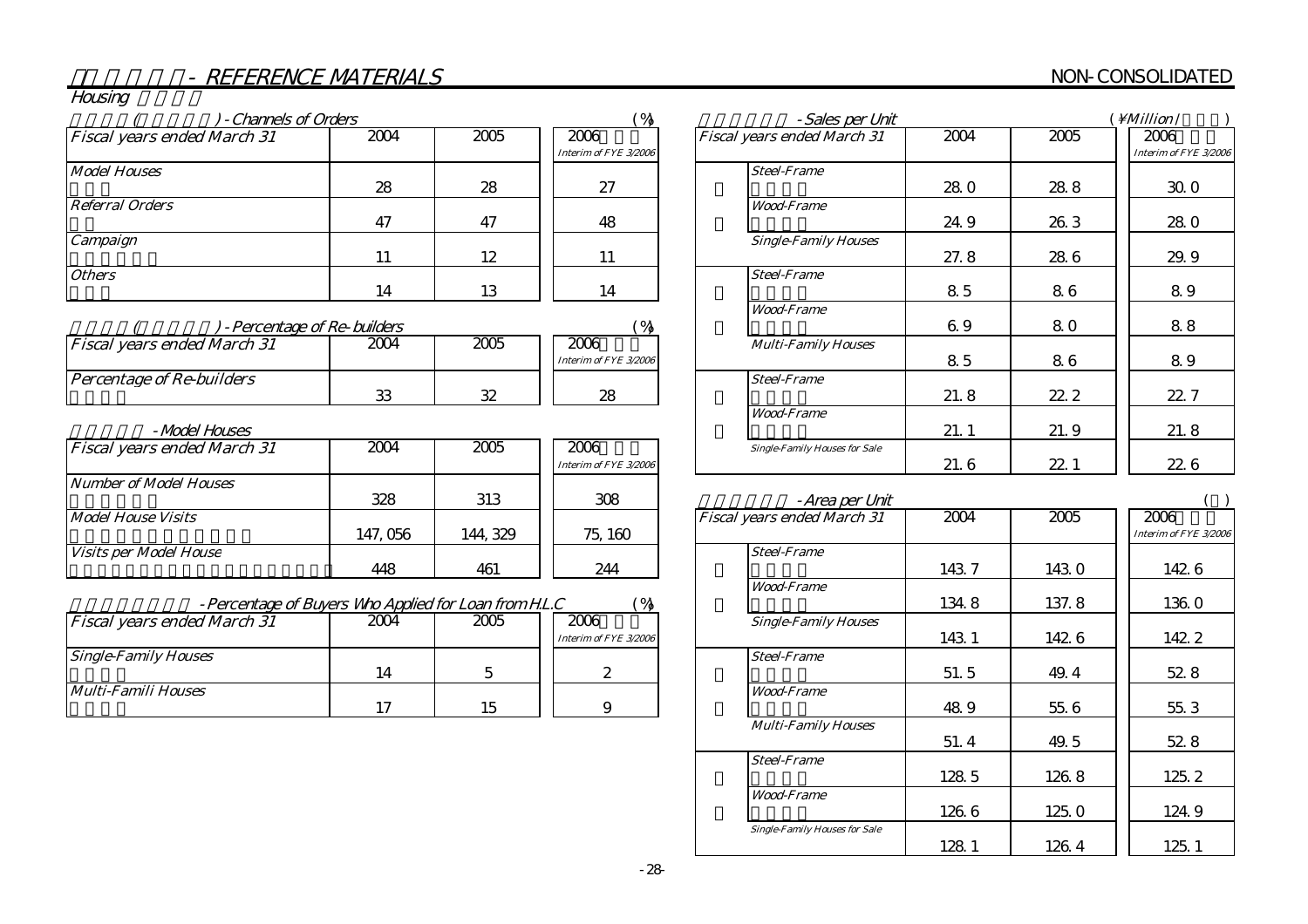# NON-CONSOLIDATED

| Housing |  |
|---------|--|
|         |  |
|         |  |
|         |  |

| - Channels of Orders               |                             |      | ( %                   | - Sales per Unit                     |            |        | <i>Million</i> /     |
|------------------------------------|-----------------------------|------|-----------------------|--------------------------------------|------------|--------|----------------------|
| <b>Fiscal years ended March 31</b> | 2004                        | 2005 | 2006                  | <b>Fiscal years ended March 31</b>   | 2004       | 2005   | 2006                 |
|                                    |                             |      | Interim of FYE 3/2006 |                                      |            |        | Interim of FYE 3/200 |
| <b>Model Houses</b>                |                             |      |                       | <b>Steel-Frame</b>                   |            |        |                      |
|                                    | 28                          | 28   | 27                    |                                      | <b>280</b> | 288    | 30.0                 |
| <b>Referral Orders</b>             |                             |      |                       | <b>Wood-Frame</b>                    |            |        |                      |
|                                    | 47                          | 47   | 48                    |                                      | 24.9       | 26.3   | 28.0                 |
| Campaign                           |                             |      |                       | <b>Single-Family Houses</b>          |            |        |                      |
|                                    | 11                          | 12   | 11                    |                                      | 27.8       | 28 6   | 29.9                 |
| <b>Others</b>                      |                             |      |                       | <b>Steel-Frame</b>                   |            |        |                      |
|                                    | 14                          | 13   | 14                    |                                      | 85         | 86     | 89                   |
|                                    |                             |      |                       | <b>Wood-Frame</b>                    |            |        |                      |
|                                    | - Percentage of Re-builders |      | ( %)                  |                                      | 69         | 80     | 88                   |
| <b>Fiscal years ended March 31</b> | 2004                        | 2005 | 2006                  | <b>Multi-Family Houses</b>           |            |        |                      |
|                                    |                             |      | Interim of FYE 3/2006 |                                      | 85         | 86     | 89                   |
| <b>Percentage of Re-builders</b>   |                             |      |                       | <b>Steel-Frame</b>                   |            |        |                      |
|                                    | 33                          | 32   | 28                    |                                      | 21.8       | 22.2   | 22.7                 |
|                                    |                             |      |                       | <b>Wood-Frame</b>                    |            |        |                      |
| -Model Houses                      |                             |      |                       |                                      | 21.1       | 21.9   | 21.8                 |
| <b>Fiscal years ended March 31</b> | 2004                        | 2005 | 2006                  | <b>Single-Family Houses for Sale</b> |            |        |                      |
|                                    |                             |      | Interim of FYE 3/2006 |                                      | 21.6       | 22.1   | 22.6                 |
| <b>Number of Model Houses</b>      |                             |      |                       |                                      |            |        |                      |
|                                    | 328                         | 313  | 308                   | - Area per Unit                      |            |        |                      |
| . <b>.</b>                         |                             |      |                       |                                      | $\sim$     | $\sim$ | $\sim$               |

|                               |          |         | Interim of FYE 3/2006 |                                    |
|-------------------------------|----------|---------|-----------------------|------------------------------------|
| Number of Model Houses        |          |         |                       |                                    |
|                               | 328      | 313     | 308                   | -Area per Un                       |
| Model House Visits            |          |         |                       | <b>Fiscal years ended March 31</b> |
|                               | 147, 056 | 144.329 | 75, 160               |                                    |
| <i>Visits per Model House</i> |          |         |                       | <b>Steel-Frame</b>                 |
|                               | 448      | 461     | 244                   |                                    |
|                               |          |         |                       | $- - -$<br>$\sim$                  |

| - Percentage of Buyers Who Applied for Loan from H.L.C |      |      |                       |                             |
|--------------------------------------------------------|------|------|-----------------------|-----------------------------|
| <b>Fiscal years ended March 31</b>                     | 2004 | 2005 | 2006                  | <b>Single-Family Houses</b> |
|                                                        |      |      | Interim of FYE 3/2006 |                             |
| <b>Single-Family Houses</b>                            |      |      |                       | <b>Steel-Frame</b>          |
|                                                        | 14   |      |                       |                             |
| Multi-Famili Houses                                    |      |      |                       | <i><b>Wood-Frame</b></i>    |
|                                                        |      |      |                       |                             |

| -Sales per Unit                      |      |      | $\overline{M}$ illion $\overline{M}$ |
|--------------------------------------|------|------|--------------------------------------|
| Fiscal years ended March 31          | 2004 | 2005 | 2006<br>Interim of FYE 3/2006        |
| <b>Steel-Frame</b>                   | 28.0 | 28.8 | 30.0                                 |
| <b>Wood-Frame</b>                    |      |      |                                      |
|                                      | 24.9 | 26.3 | 28 <sub>0</sub>                      |
| <b>Single-Family Houses</b>          | 27.8 | 28 6 | 29.9                                 |
| <b>Steel-Frame</b>                   | 85   | 86   | 89                                   |
| <b>Wood-Frame</b>                    | 69   | 80   | 88                                   |
| <b>Multi-Family Houses</b>           | 85   | 86   | 89                                   |
| <b>Steel-Frame</b>                   | 21.8 | 22.2 | 22.7                                 |
| <b>Wood-Frame</b>                    | 21.1 | 21.9 | 21.8                                 |
| <b>Single-Family Houses for Sale</b> | 21.6 | 22.1 | 22.6                                 |

| -Area per Unit                       |       |       |                               |
|--------------------------------------|-------|-------|-------------------------------|
| Fiscal years ended March 31          | 2004  | 2005  | 2006<br>Interim of FYE 3/2006 |
| <b>Steel-Frame</b>                   | 143.7 | 143.0 | 1426                          |
| <b>Wood-Frame</b>                    | 134.8 | 137.8 | 136.0                         |
| <b>Single-Family Houses</b>          | 143.1 | 1426  | 142.2                         |
| <b>Steel-Frame</b>                   | 51.5  | 49.4  | 528                           |
| <b>Wood-Frame</b>                    | 48.9  | 55.6  | 55.3                          |
| <b>Multi-Family Houses</b>           | 51.4  | 49.5  | 528                           |
| <b>Steel-Frame</b>                   | 128 5 | 126.8 | 125.2                         |
| <b>Wood-Frame</b>                    | 126.6 | 125.0 | 124.9                         |
| <b>Single-Family Houses for Sale</b> | 128.1 | 126.4 | 125.1                         |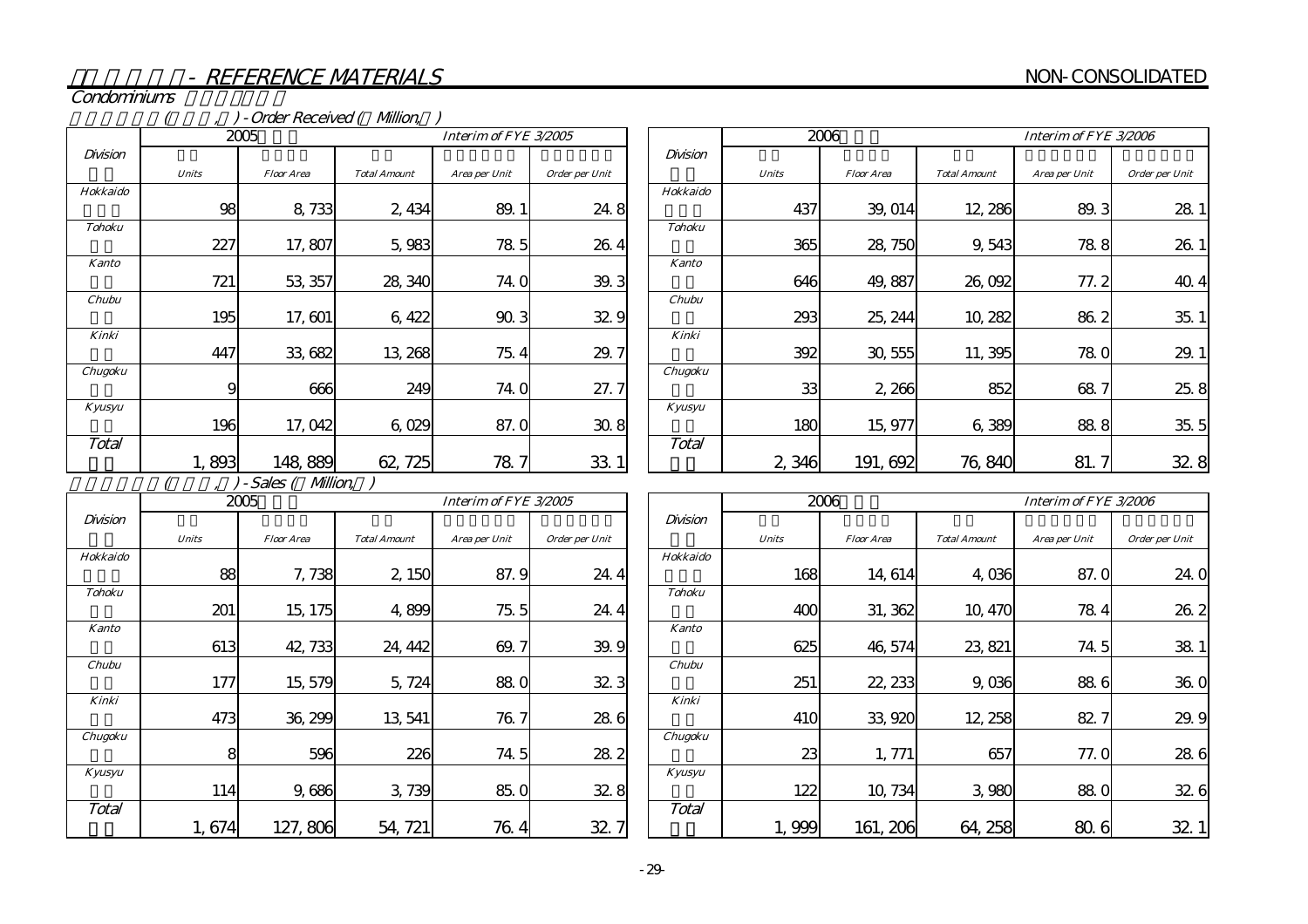Condominiums

#### (compared (see ) - Order Received (\$Million, compared (\$Million, compared (\$ $\overline{M}$

|               |              | 2005              | Interim of FYE 3/2005<br><b>Total Amount</b><br>Order per Unit<br>Area per Unit |      |      |  |  |  |
|---------------|--------------|-------------------|---------------------------------------------------------------------------------|------|------|--|--|--|
| Division      |              |                   |                                                                                 |      |      |  |  |  |
|               | <b>Units</b> | <b>Floor Area</b> |                                                                                 |      |      |  |  |  |
| Hokkaido      |              |                   |                                                                                 |      |      |  |  |  |
|               | 98           | 8,733             | 2,434                                                                           | 89.1 | 24.8 |  |  |  |
| <b>Tohoku</b> |              |                   |                                                                                 |      |      |  |  |  |
|               | 227          | 17,807            | 5,983                                                                           | 78.5 | 26.4 |  |  |  |
| <b>Kanto</b>  |              |                   |                                                                                 |      |      |  |  |  |
|               | 721          | 53, 357           | 28, 340                                                                         | 74.0 | 39.3 |  |  |  |
| Chubu         |              |                   |                                                                                 |      |      |  |  |  |
|               | 195          | 17,601            | 6,422                                                                           | 90.3 | 32.9 |  |  |  |
| Kinki         |              |                   |                                                                                 |      |      |  |  |  |
|               | 447          | 33,682            | 13, 268                                                                         | 75.4 | 29.7 |  |  |  |
| Chugoku       |              |                   |                                                                                 |      |      |  |  |  |
|               | 9            | 666               | 249                                                                             | 74.0 | 27.7 |  |  |  |
| Kyusyu        |              |                   |                                                                                 |      |      |  |  |  |
|               | 196          | 17,042            | 6,029                                                                           | 87.0 | 30.8 |  |  |  |
| Total         |              |                   |                                                                                 |      |      |  |  |  |
|               | 1,893        | 148,889           | 62, 725                                                                         | 78.  | 33.1 |  |  |  |

|               |              | 2006              | Interim of FYE 3/2006<br><b>Total Amount</b><br>Area per Unit |      |                |  |  |
|---------------|--------------|-------------------|---------------------------------------------------------------|------|----------------|--|--|
| Division      |              |                   |                                                               |      |                |  |  |
|               | <b>Units</b> | <b>Floor Area</b> |                                                               |      | Order per Unit |  |  |
| Hokkaido      |              |                   |                                                               |      |                |  |  |
|               | 437          | 39, 014           | 12, 286                                                       | 89.3 | 28.            |  |  |
| <b>Tohoku</b> |              |                   |                                                               |      |                |  |  |
|               | 365          | 28, 750           | 9,543                                                         | 78.8 | 26.            |  |  |
| Kanto         |              |                   |                                                               |      |                |  |  |
|               | 646          | 49,887            | 26,092                                                        | 77.2 | 40.4           |  |  |
| Chubu         |              |                   |                                                               |      |                |  |  |
|               | 293          | 25, 244           | 10, 282                                                       | 86.2 | 35.1           |  |  |
| Kinki         |              |                   |                                                               |      |                |  |  |
|               | 392          | 30, 555           | 11,395                                                        | 78.0 | 29.            |  |  |
| Chugoku       |              |                   |                                                               |      |                |  |  |
|               | 33           | 2,266             | 852                                                           | 68.7 | 25.8           |  |  |
| Kyusyu        |              |                   |                                                               |      |                |  |  |
|               | 180          | 15,977            | 6,389                                                         | 88.8 | 35.5           |  |  |
| Total         |              |                   |                                                               |      |                |  |  |
|               | 2,346        | 191, 692          | 76,840                                                        | 81.  | 32.8           |  |  |

 $(7, 7)$ -Sales ( $Mllion$ )

|               |              | 2005              |                     | Interim of FYE 3/2005 |                |  |  |  |
|---------------|--------------|-------------------|---------------------|-----------------------|----------------|--|--|--|
| Division      |              |                   |                     |                       |                |  |  |  |
|               | <b>Units</b> | <b>Floor Area</b> | <b>Total Amount</b> | Area per Unit         | Order per Unit |  |  |  |
| Hokkaido      |              |                   |                     |                       |                |  |  |  |
|               | 88           | 7,738             | 2,150               | 87.9                  | 24.4           |  |  |  |
| <b>Tohoku</b> |              |                   |                     |                       |                |  |  |  |
|               | 201          | 15, 175           | 4,899               | 75.5                  | 24.4           |  |  |  |
| <b>Kanto</b>  |              |                   |                     |                       |                |  |  |  |
|               | 613          | 42, 733           | 24, 442             | 69.7                  | 39.9           |  |  |  |
| Chubu         |              |                   |                     |                       |                |  |  |  |
|               | 177          | 15, 579           | 5,724               | 88.0                  | 32.3           |  |  |  |
| Kinki         |              |                   |                     |                       |                |  |  |  |
|               | 473          | 36, 299           | 13, 541             | 76.7                  | 28.6           |  |  |  |
| Chugoku       |              |                   |                     |                       |                |  |  |  |
|               | 8            | 596               | 226                 | 74.5                  | 28.2           |  |  |  |
| Kyusyu        |              |                   |                     |                       |                |  |  |  |
|               | 114          | 9,686             | 3,739               | 85.0                  | 32.8           |  |  |  |
| Total         |              |                   |                     |                       |                |  |  |  |
|               | 1,674        | 127,806           | 54, 721             | 76.4                  | 32.7           |  |  |  |

|               |              | 2006              |                     | Interim of FYE 3/2006 |                |  |  |  |
|---------------|--------------|-------------------|---------------------|-----------------------|----------------|--|--|--|
| Division      |              |                   |                     |                       |                |  |  |  |
|               | <b>Units</b> | <b>Floor Area</b> | <b>Total Amount</b> | Area per Unit         | Order per Unit |  |  |  |
| Hokkaido      |              |                   |                     |                       |                |  |  |  |
|               | 168          | 14,614            | 4,036               | 87.0                  | 24.0           |  |  |  |
| <b>Tohoku</b> |              |                   |                     |                       |                |  |  |  |
|               | 400          | 31, 362           | 10, 470             | 78.4                  | 26.2           |  |  |  |
| Kanto         |              |                   |                     |                       |                |  |  |  |
|               | 625          | 46, 574           | 23, 821             | 74.5                  | 38.1           |  |  |  |
| Chubu         |              |                   |                     |                       |                |  |  |  |
|               | 251          | 22, 233           | 9,036               | 88.6                  | 36.0           |  |  |  |
| Kinki         |              |                   |                     |                       |                |  |  |  |
|               | 410          | 33,920            | 12, 258             | 82.7                  | 29.9           |  |  |  |
| Chugoku       |              |                   |                     |                       |                |  |  |  |
|               | 23           | 1, 771            | 657                 | 77.0                  | 28.6           |  |  |  |
| Kyusyu        |              |                   |                     |                       |                |  |  |  |
|               | 122          | 10, 734           | 3,980               | 88.0                  | 32.6           |  |  |  |
| Total         |              |                   |                     |                       |                |  |  |  |
|               | 1,999        | 161, 206          | 64, 258             | 80.<br>6              | 32             |  |  |  |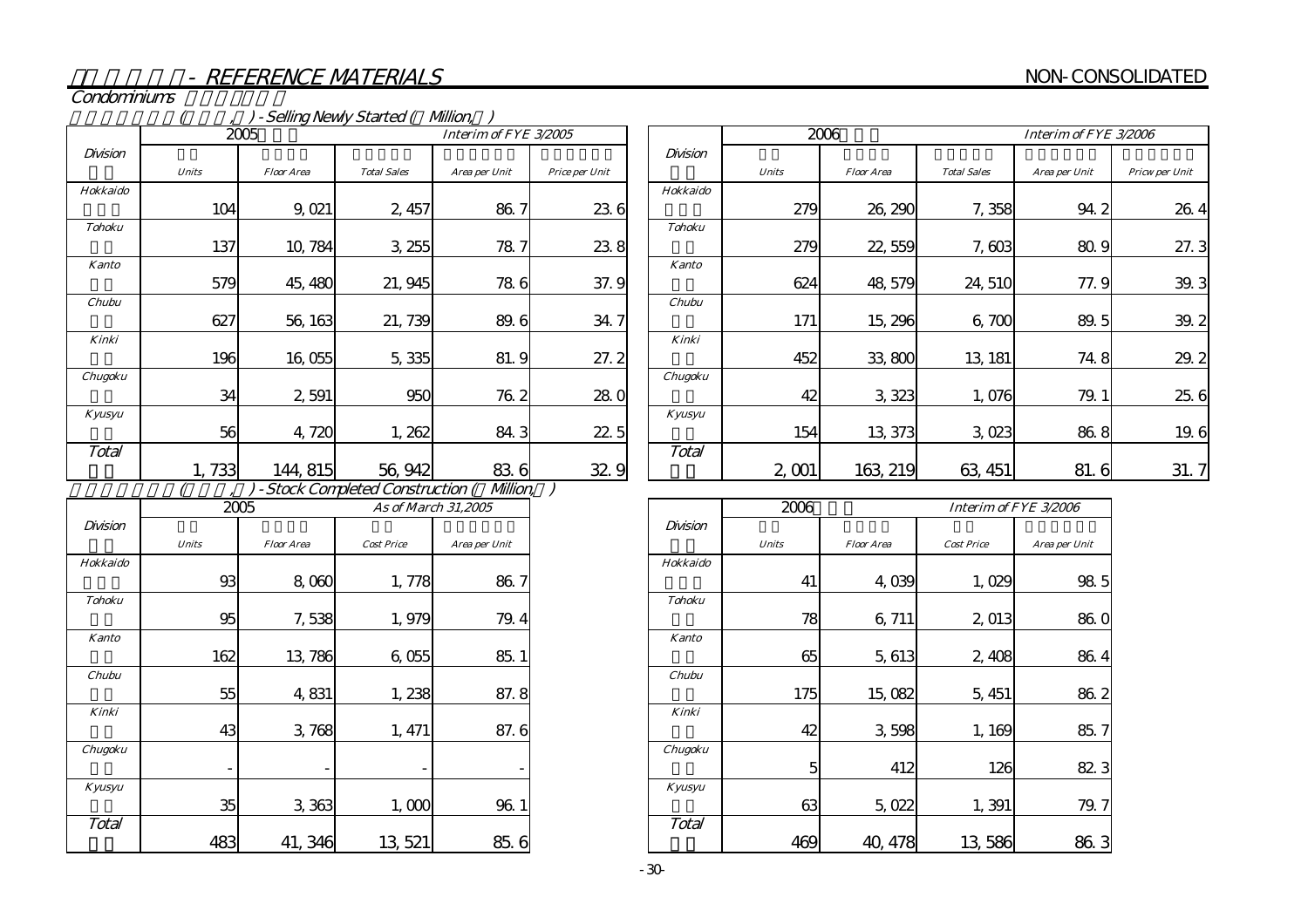Condominiums

#### , ) - Selling Newly Started ( Million, ) ) - Stock Completed Construction (Willion, ) 86.7 23.6 Units Floor Area Total Sales Area per Unit Price per Unit 104 9,021 2,457 137 10,784 3,255 78.7 37.9 627 56,163 21,739 89.6 34.7 579 45,480 21,945 78.6 27.2 34 2,591 950 76.2 28.0 196 16,055 5,335 81.9 22.51,733 144,815 56,942 83.6 32.9 56 4,720 1,262 84.3 KinkiChugoku Kyusyu KantoChubu**Total** Divisionn die die Soos-Afrikaanse koning van die Grootse koning van die Soos-Afrikaanse koning van die Division Hokkaido Tohoku23.8 Area per Unit DivisionUnits Floor Area Cost PriceHokkaido93 8,060 1,778 86.7 Tohoku95 7,538 1,979 Kanto79.4 $2005$ Interim of FYE  $3/2005$ 2005 $5$  As of March 31,2005 2006

|               |              | 2006              | Interim of FYE 3/2006 |               |                |  |  |
|---------------|--------------|-------------------|-----------------------|---------------|----------------|--|--|
| Division      |              |                   |                       |               |                |  |  |
|               | <b>Units</b> | <b>Floor Area</b> | <b>Total Sales</b>    | Area per Unit | Pricw per Unit |  |  |
| Hokkaido      |              |                   |                       |               |                |  |  |
|               | 279          | 26, 290           | 7,358                 | 94. 2         | 26.4           |  |  |
| <b>Tohoku</b> |              |                   |                       |               |                |  |  |
|               | 279          | 22,559            | 7,603                 | 80.9          | 27.3           |  |  |
| <b>Kanto</b>  |              |                   |                       |               |                |  |  |
|               | 624          | 48, 579           | 24,510                | 77.9          | 39.3           |  |  |
| Chubu         |              |                   |                       |               |                |  |  |
|               | 171          | 15, 296           | 6,700                 | 89.5          | 39.2           |  |  |
| Kinki         |              |                   |                       |               |                |  |  |
|               | 452          | 33,800            | 13, 181               | 74.8          | 29.2           |  |  |
| Chugoku       |              |                   |                       |               |                |  |  |
|               | 42           | 3,323             | 1,076                 | 79.1          | 25.6           |  |  |
| Kyusyu        |              |                   |                       |               |                |  |  |
|               | 154          | 13 373            | 3,023                 | 86.8          | 19.6           |  |  |
| Total         |              |                   |                       |               |                |  |  |
|               | 2,001        | 163 219           | 63, 451               | 81.6          | 31.7           |  |  |

|               | 2006         |                   | Interim of FYE 3/2006 |               |
|---------------|--------------|-------------------|-----------------------|---------------|
| Division      |              |                   |                       |               |
|               | <b>Units</b> | <b>Floor Area</b> | <b>Cost Price</b>     | Area per Unit |
| Hokkaido      |              |                   |                       |               |
|               | 41           | 4,039             | 1,029                 | 98.5          |
| <b>Tohoku</b> |              |                   |                       |               |
|               | 78           | 6,711             | 2,013                 | 86.0          |
| <b>Kanto</b>  |              |                   |                       |               |
|               | 65           | 5,613             | 2,408                 | 86.4          |
| Chubu         |              |                   |                       |               |
|               | 175          | 15,082            | 5, 451                | 86.2          |
| Kinki         |              |                   |                       |               |
|               | 42           | 3,598             | 1,169                 | 85.7          |
| Chugoku       |              |                   |                       |               |
|               | 5            | 412               | 126                   | 823           |
| Kyusyu        |              |                   |                       |               |
|               | 63           | 5,022             | 1,391                 | 79.7          |
| Total         |              |                   |                       |               |
|               | 469          | 40.478            | 13,586                | 86.3          |

|               |              | atb               |                   | <i>As of March 31,2005</i> |
|---------------|--------------|-------------------|-------------------|----------------------------|
| Division      |              |                   |                   |                            |
|               | <b>Units</b> | <b>Floor Area</b> | <b>Cost Price</b> | Area per Unit              |
| Hokkaido      |              |                   |                   |                            |
|               | 93           | 8,060             | 1,778             | 86.7                       |
| <b>Tohoku</b> |              |                   |                   |                            |
|               | 95           | 7,538             | 1,979             | 79.4                       |
| Kanto         |              |                   |                   |                            |
|               | 162          | 13,786            | 6,055             | 85.1                       |
| Chubu         |              |                   |                   |                            |
|               | 55           | 4,831             | 1,238             | 87.8                       |
| Kinki         |              |                   |                   |                            |
|               | 43           | 3,768             | 1, 471            | 87.6                       |
| Chugoku       |              |                   |                   |                            |
|               |              |                   |                   |                            |
| Kyusyu        |              |                   |                   |                            |
|               | 35           | 3,363             | 1,000             | 96.1                       |
| Total         |              |                   |                   |                            |
|               | 483          | 41, 346           | 13, 521           | 85.6                       |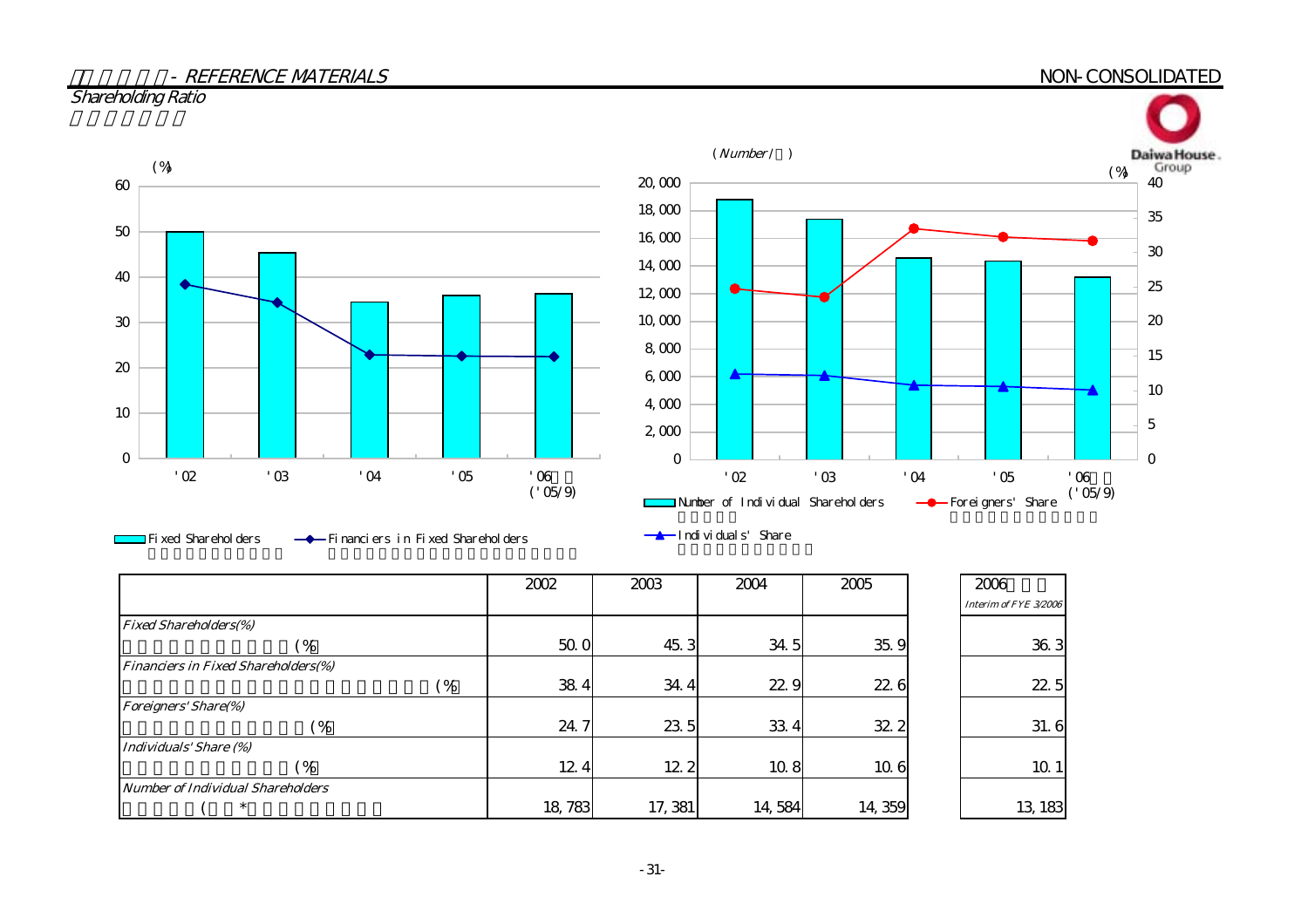#### $S$  NON-CONSOLIDATED NON-consolidated by  $\sim$

## Shareholding Ratio



Fixed Shareholders Financiers in Fixed Shareholders Individuals' Share

|                                            | 2002   | 2003    | 2004   | 2005   | 2006                  |
|--------------------------------------------|--------|---------|--------|--------|-----------------------|
|                                            |        |         |        |        | Interim of FYE 3/2006 |
| <b>Fixed Shareholders(%)</b>               |        |         |        |        |                       |
| (%                                         | 50. O  | 45.3    | 34.5   | 35.9   | 36.3                  |
| <b>Financiers in Fixed Shareholders(%)</b> |        |         |        |        |                       |
| (%                                         | 38.4   | 34.4    | 22.9   | 22.6   | 22.5                  |
| <b>Foreigners' Share(%)</b>                |        |         |        |        |                       |
| $\frac{9}{6}$                              | 24.7   | 23.5    | 33 4   | 32.2   | 31.6                  |
| Individuals' Share (%)                     |        |         |        |        |                       |
| (%                                         | 12.4   | 12.2    | 10.8   | 10.6   | 10 1                  |
| Number of Individual Shareholders          |        |         |        |        |                       |
| $\ast$                                     | 18,783 | 17, 381 | 14,584 | 14,359 | 13, 183               |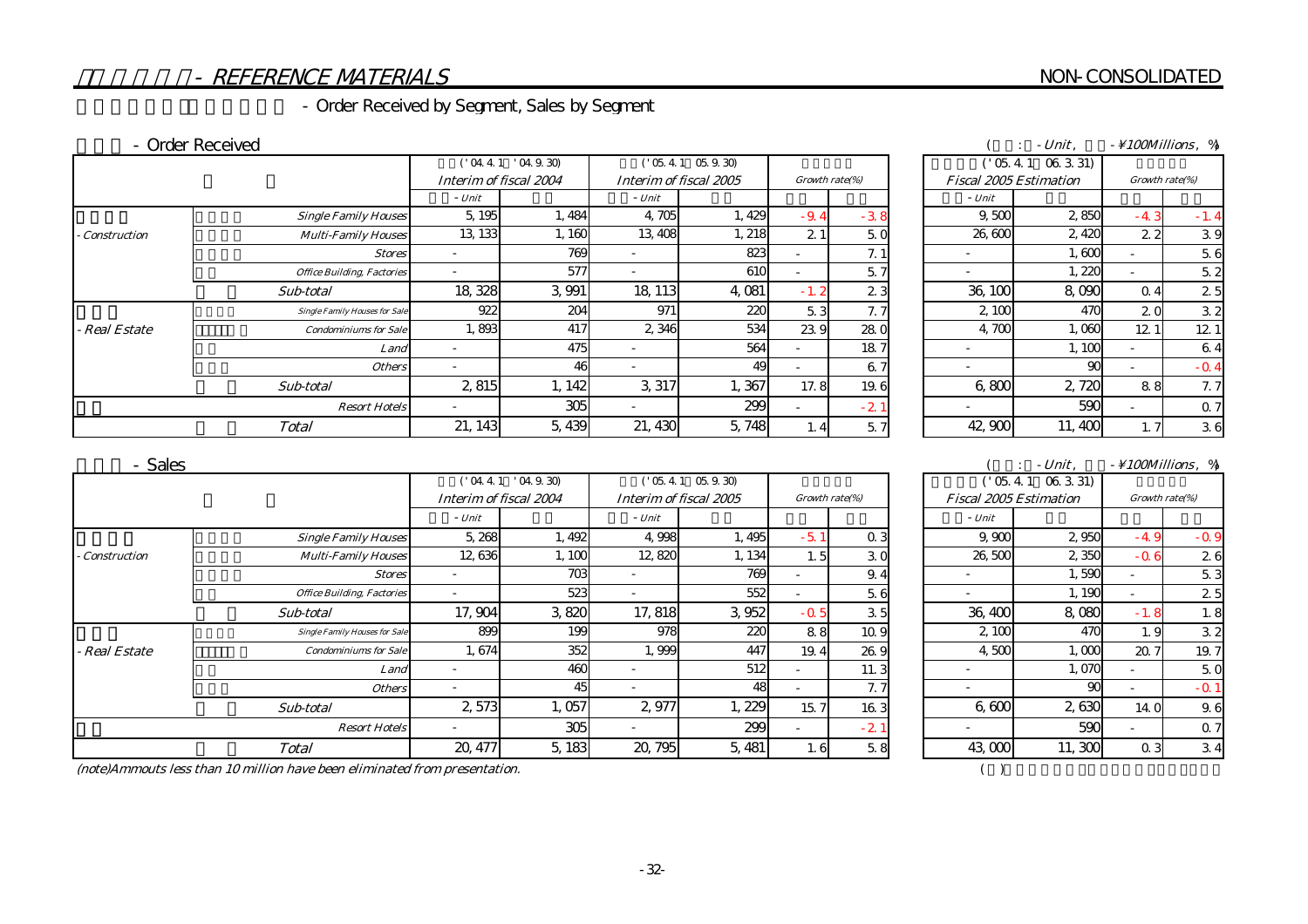#### NON-CONSOLIDATED

# - REFERENCE MATERIALS

# - Order Received by Segment, Sales by Segment

#### - Order Received

|                     |                                      |                          | ('04.4.1'04.9.30)      | ('05.4.1 05.9.30)        |                        |             | ('05.4.1 06.3.31) |  |                               |        |                |        |
|---------------------|--------------------------------------|--------------------------|------------------------|--------------------------|------------------------|-------------|-------------------|--|-------------------------------|--------|----------------|--------|
|                     |                                      |                          | Interim of fiscal 2004 |                          | Interim of fiscal 2005 |             | Growth rate(%)    |  | <b>Fiscal 2005 Estimation</b> |        | Growth rate(%) |        |
|                     |                                      | - Unit                   |                        | - Unit                   |                        |             |                   |  | - Unit                        |        |                |        |
|                     | <b>Single Family Houses</b>          | 5, 195                   | 1,484                  | 4,705                    | 1,429                  | $-9.4$      | $-38$             |  | 9.500                         | 2850   | $-4.3$         | $-1.4$ |
| <b>Construction</b> | <b>Multi-Family Houses</b>           | 13, 133                  | 1,160                  | 13,408                   | 1, 218                 | 21          | 50                |  | 26,600                        | 2,420  | 22             | 39     |
|                     | <b>Stores</b>                        |                          | 769                    |                          | 823                    |             | 7.1               |  |                               | 1,600  |                | 5.6    |
|                     | <b>Office Building, Factories</b>    |                          | 577                    | $\overline{\phantom{a}}$ | 610                    |             | 5.7               |  | $\overline{\phantom{a}}$      | l, 220 |                | 5.2    |
|                     | Sub-total                            | 18,328                   | 3 9 9 1                | 18, 113                  | 4,081                  | -2<br>$-1.$ | 23                |  | 36, 100                       | 8,090  | 0.4            | 25     |
|                     | <b>Single Family Houses for Sale</b> | 922                      | 204                    | 971                      | 22C                    | 5.3         | 7.7               |  | 2,100                         | 470    | 20             | 32     |
| <b>Real Estate</b>  | <b>Condominiums for Sale</b>         | 1,893                    | 417                    | 2 3 4 6                  | 534                    | 23.9        | 280               |  | 4.700                         | 1,060  | 12.1           | 12.1   |
|                     | Land                                 |                          | 475                    |                          | 564                    |             | 187               |  |                               | 1, 100 |                | 6.4    |
|                     | <b>Others</b>                        | $\overline{\phantom{0}}$ | 46                     |                          | 49                     |             | 6.7               |  | $\overline{\phantom{0}}$      | 90     |                | $-0.4$ |
|                     | Sub-total                            | 2,815                    | 1, 142                 | 3,317                    | .367                   | 17.8        | 19.6              |  | 6.800                         | 2,720  | 88             | 7.7    |
|                     | <b>Resort Hotels</b>                 |                          | 305                    |                          | 299                    |             | $-2.1$            |  | $\overline{\phantom{a}}$      | 590    |                | 0.7    |
|                     | <b>Total</b>                         | 21, 143                  | 5,439                  | 21, 430                  | 5,748                  | 1.4         | 5.7               |  | 42,900                        | 11,400 | 1. 7           | 36     |

| $-Unit.$                             |                                        |        |                                  |                 |                          |            |  |                               | $\sim$ 100Millions $\%$ |                          |                 |
|--------------------------------------|----------------------------------------|--------|----------------------------------|-----------------|--------------------------|------------|--|-------------------------------|-------------------------|--------------------------|-----------------|
|                                      | ('04.4.1'04.9.30)<br>('05.4.1 05.9.30) |        |                                  |                 |                          | $($ 05.4.1 |  |                               |                         |                          |                 |
|                                      | Interim of fiscal 2004                 |        | Interim of fiscal 2005<br>- Unit |                 | Growth rate(%)           |            |  | <b>Fiscal 2005 Estimation</b> |                         | Growth rate(%)           |                 |
|                                      | - Unit                                 |        |                                  |                 |                          |            |  | - Unit                        |                         |                          |                 |
| <b>Single Family Houses</b>          | 5, 195                                 | 1,484  | 4,705                            | 1,429           | $-9.4$                   | $-38$      |  | 9,500                         | 2850                    | $-4.3$                   | $-1.4$          |
| <b>Multi-Family Houses</b>           | 13, 133                                | 1,160  | 13,408                           | 1, 218          | 21                       | 50         |  | 26,600                        | 2,420                   | 22                       | 39              |
| <b>Stores</b>                        |                                        | 769    |                                  | 823             |                          | 7.1        |  | -                             | 1,600                   | $\overline{\phantom{a}}$ | 5.6             |
| <b>Office Building, Factories</b>    |                                        | 577    |                                  | 61 <sub>C</sub> | $\overline{\phantom{0}}$ | 5.7        |  |                               | 1,220                   | $\overline{\phantom{a}}$ | 5.2             |
| Sub-total                            | 18 328                                 | 3.991  | 18, 113                          | 4,081           | $-1.2$                   | 23         |  | 36, 100                       | 8,090                   | $\Omega$ 4               | 2.5             |
| <b>Single Family Houses for Sale</b> | 922                                    | 204    | 971                              | 22C             | 5.3                      | 7.7        |  | 2,100                         | 47C                     | 20                       | 32              |
| <b>Condominiums for Sale</b>         | 1,893                                  | 417    | 2 3 4 6                          | 534             | 23.9                     | 28.0       |  | 4,700                         | 1,060                   | 12 <sup>°</sup>          | 12 <sub>1</sub> |
| Land                                 | $\overline{\phantom{a}}$               | 475    |                                  | 564             |                          | 187        |  | -                             | 1,100                   | $\overline{\phantom{a}}$ | 6.4             |
| <b>Others</b>                        |                                        | 46     |                                  | 49              | $\overline{\phantom{0}}$ | 6.7        |  |                               | 90                      |                          | $-0.4$          |
| Sub-total                            | 2,815                                  | 1, 142 | 3,317                            | 1,367           | 17.8                     | 19.6       |  | 6,800                         | 2,720                   | 88                       | 7.7             |
| <b>Resort Hotels</b>                 |                                        | 305    |                                  | 299             |                          | $-2$       |  |                               | 590                     |                          | 0.7             |
| <b>Total</b>                         | 21, 143                                | 5,439  | 21, 430                          | 5,748           | l. 4                     | 5.7        |  | 42,900                        | 11,400                  |                          | 36              |

#### 売上高 - Sales

|                      |                                      | ('04.4.1'04.9.30)      |        | $('05.4.1 \t05.9.30)$  |         |                |        | ('05.4.1 06.3.31)             |         |                |        |
|----------------------|--------------------------------------|------------------------|--------|------------------------|---------|----------------|--------|-------------------------------|---------|----------------|--------|
|                      |                                      | Interim of fiscal 2004 |        | Interim of fiscal 2005 |         | Growth rate(%) |        | <b>Fiscal 2005 Estimation</b> |         | Growth rate(%) |        |
|                      |                                      | - Unit                 |        | - Unit                 |         |                |        | - Unit                        |         |                |        |
|                      | <b>Single Family Houses</b>          | 5,268                  | 1,492  | 4.998                  | 1,495   | $-5.1$         | 0.3    | 9.900                         | 2 9 5 0 | $-49$          | $-0.9$ |
| <b>Construction</b>  | <b>Multi-Family Houses</b>           | 12,636                 | 1,100  | 12,820                 | 1, 134  | 1.5            | 30     | 26,500                        | 2 350   | $-0.6$         | 26     |
|                      | <b>Stores</b>                        |                        | 703    |                        | 769     |                | 9.4    | $\overline{\phantom{a}}$      | 1,590   |                | 5.3    |
|                      | <b>Office Building, Factories</b>    |                        | 523    |                        | 552     |                | 5.6    |                               | 1, 190  |                | 2.5    |
|                      | Sub-total                            | 17,904                 | 3,820  | 17,818                 | 3 9 5 2 | $-0.5$         | 35     | 36,400                        | 8,080   | $-1.8$         | 1. 8   |
|                      | <b>Single Family Houses for Sale</b> | 899                    | 199    | 978                    | 220     | 88             | 10.9   | 2,100                         | 470     | 1.9            | 32     |
| Real Estate          | <b>Condominiums for Sale</b>         | 1,674                  | 352    | 1,999                  | 447     | 19.4           | 26.9   | 4.500                         | 1,000   | 20.7           | 19.7   |
|                      | Land                                 |                        | 460    |                        | 512     |                | 11.3   | $\overline{\phantom{a}}$      | 1,070   |                | 5.0    |
|                      | <b>Others</b>                        |                        | 45     |                        | 48      |                | 7.7    |                               | 90      |                | $-0.1$ |
|                      | Sub-total                            | 2,573                  | 1,057  | 2,977                  | , 229   | 15.7           | 163    | 6,600                         | 2630    | 14 O           | 9.6    |
| <b>Resort Hotels</b> |                                      |                        | 305    |                        | 299     |                | $-2.1$ |                               | 590     |                | 0.7    |
| <b>Total</b>         |                                      | 20, 477                | 5, 183 | 20, 795                | 5, 481  | 1.6            | 5.8    | 43,000                        | 11, 300 | 0 <sub>3</sub> | 34     |

#### $\sim$  (example  $\sim$  100Millions,  $\%$ )

|        |        |                | ('05.4.1 06.3.31) |                               |                |        |  |
|--------|--------|----------------|-------------------|-------------------------------|----------------|--------|--|
| 15     |        | Growth rate(%) |                   | <b>Fiscal 2005 Estimation</b> | Growth rate(%) |        |  |
|        |        |                | - Unit            |                               |                |        |  |
| 1,495  | $-5.1$ | 0.3            | 9,900             | 2 950                         | -49            | $-0.9$ |  |
| 1,134  | 1.5    | 30             | 26,500            | 2 350                         | $-0.6$         | 26     |  |
| 769    |        | 9.4            |                   | 1,590                         |                | 5.3    |  |
| 552    |        | 5.6            |                   | 1, 190                        |                | 25     |  |
| 3,952  | $-0.5$ | 3.5            | 36,400            | 8,080                         | $-1.8$         | 1.8    |  |
| 220    | 88     | 10.9           | 2, 100            | 470                           | 1.9            | 32     |  |
| 447    | 19.4   | 26.9           | 4.500             | 1,000                         | 20.7           | 19.7   |  |
| 512    |        | 11.3           |                   | 1,070                         |                | 5.0    |  |
| 48     |        | 7. 7           |                   | 90                            |                | $-0.1$ |  |
| 1, 229 | 15.7   | 163            | 6,600             | 2,630                         | 14.0           | 9.6    |  |
| 299    |        | $-2.1$         |                   | 590                           |                | 0.7    |  |
| 5, 481 | 1.6    | 5.8            | 43,000            | 11, 300                       | 0 <sub>3</sub> | 3.4    |  |
|        |        |                |                   |                               |                |        |  |

 $(\text{note})$ Ammouts less than 10 million have been eliminated from presentation.  $($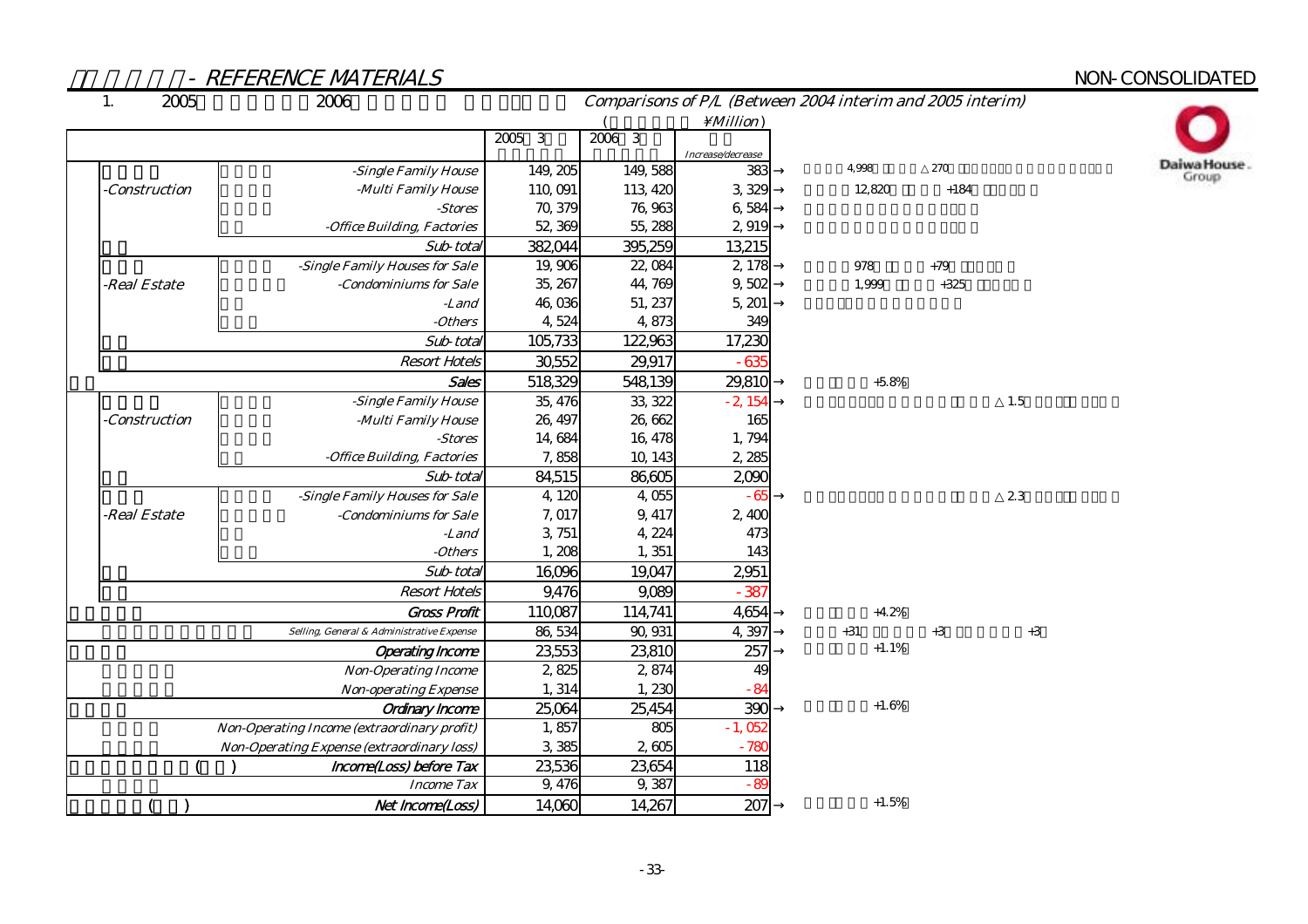| 2005<br>1.          | 2006                                                   | Comparisons of P/L (Between 2004 interim and 2005 interim) |                   |                   |         |        |      |  |
|---------------------|--------------------------------------------------------|------------------------------------------------------------|-------------------|-------------------|---------|--------|------|--|
|                     |                                                        |                                                            |                   | $\text{Million}$  |         |        |      |  |
|                     |                                                        | $2005 - 3$                                                 | $2006$ 3          |                   |         |        |      |  |
|                     |                                                        |                                                            |                   | Increase/decrease | 4.998   | 270    |      |  |
|                     | -Single Family House                                   | 149, 205                                                   | 149,588           | 383               |         |        |      |  |
| <b>Construction</b> | -Multi Family House                                    | 110,091                                                    | 113, 420          | 3,329             | 12,820  | $+184$ |      |  |
|                     | -Stores<br>-Office Building, Factories                 | 70, 379<br>52,369                                          | 76,963<br>55, 288 | 6,584<br>2,919    |         |        |      |  |
|                     | Sub-total                                              | 382,044                                                    | 395,259           | 13,215            |         |        |      |  |
|                     | -Single Family Houses for Sale                         | 19,906                                                     | 22,084            | 2,178             | 978     | $+79$  |      |  |
| -Real Estate        | -Condominiums for Sale                                 | 35, 267                                                    | 44,769            | 9,502             | 1,999   | $+325$ |      |  |
|                     | -Land                                                  | 46,036                                                     | 51, 237           | 5, 201            |         |        |      |  |
|                     | - <i>Others</i>                                        | 4,524                                                      | 4,873             | 349               |         |        |      |  |
|                     | Sub-total                                              | 105,733                                                    | 122,963           | 17,230            |         |        |      |  |
|                     | <b>Resort Hotels</b>                                   | 30,552                                                     | 29,917            | $-635$            |         |        |      |  |
|                     | Sales                                                  | 518,329                                                    | 548,139           | 29,810            | $+5.8%$ |        |      |  |
|                     | -Single Family House                                   | 35, 476                                                    | 33, 322           | $-2,154$          |         |        | 1.5  |  |
| <i>Construction</i> | -Multi Family House                                    | 26, 497                                                    | 26,662            | 165               |         |        |      |  |
|                     | -Stores                                                | 14,684                                                     | 16, 478           | 1,794             |         |        |      |  |
|                     | -Office Building, Factories                            | 7,858                                                      | 10, 143           | 2,285             |         |        |      |  |
|                     | Sub-total                                              | 84,515                                                     | 86,605            | 200C              |         |        |      |  |
|                     | -Single Family Houses for Sale                         | 4,120                                                      | 4,055             | - 65              |         |        | 23   |  |
| -Real Estate        | -Condominiums for Sale                                 | 7,017                                                      | 9, 417            | 2,400             |         |        |      |  |
|                     | -Land                                                  | 3, 751                                                     | 4, 224            | 473               |         |        |      |  |
|                     | $- Others$                                             | 1,208                                                      | 1, 351            | 143               |         |        |      |  |
|                     | Sub-total                                              | 16,096                                                     | 19,047            | 2,951             |         |        |      |  |
|                     | <b>Resort Hotels</b>                                   | 9,476                                                      | 9,089             | $-387$            |         |        |      |  |
|                     | <b>Gross Profit</b>                                    | 110,087                                                    | 114,741           | 4,654             | $+4.2%$ |        |      |  |
|                     | Selling, General & Administrative Expense              | 86, 534                                                    | 90, 931           | 4,397             | $+31$   | $+3$   | $+3$ |  |
|                     | <b>Operating Income</b>                                | 23,553                                                     | 23,810            | 257               | $+1.1%$ |        |      |  |
|                     | <b>Non-Operating Income</b>                            | 2,825                                                      | 2,874             | 4 <sup>C</sup>    |         |        |      |  |
|                     | <b>Non-operating Expense</b><br><b>Ordinary Income</b> | 1, 314                                                     | 1,230             | $-84$             |         |        |      |  |
|                     | 25,064                                                 | 25,454                                                     | 390               | $+1.6%$           |         |        |      |  |
|                     | 1,857                                                  | 805                                                        | $-1,052$          |                   |         |        |      |  |
|                     | 3,385                                                  | 2,605                                                      | $-780$            |                   |         |        |      |  |
|                     | Income(Loss) before Tax                                | 23,536                                                     | 23,654            | 118               |         |        |      |  |
|                     | <b>Income Tax</b>                                      | 9,476                                                      | 9,387             | $-89$             |         |        |      |  |
|                     | Net Income(Loss)                                       | 14,060                                                     | 14,267            | 207               | $+1.5%$ |        |      |  |

Daiwa House.<br>Group